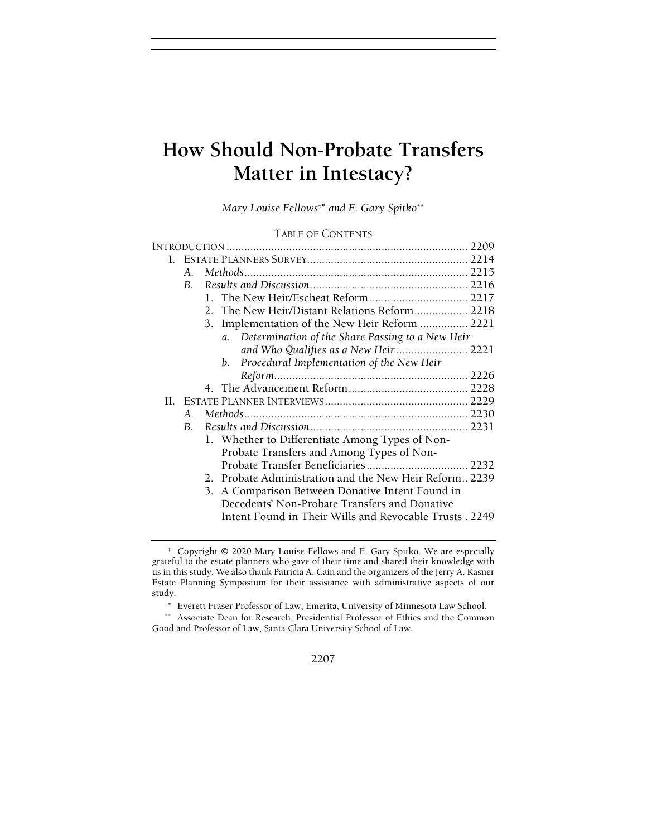# How Should Non-Probate Transfers Matter in Intestacy?

Mary Louise Fellows<sup>†\*</sup> and E. Gary Spitko<sup>\*\*</sup>

# TABLE OF CONTENTS

|    | 2209           |                                                        |  |
|----|----------------|--------------------------------------------------------|--|
|    |                |                                                        |  |
|    | $A_{-}$        |                                                        |  |
|    | $\mathbf{B}$ . |                                                        |  |
|    |                |                                                        |  |
|    |                |                                                        |  |
|    |                | 3. Implementation of the New Heir Reform  2221         |  |
|    |                | a. Determination of the Share Passing to a New Heir    |  |
|    |                |                                                        |  |
|    |                | Procedural Implementation of the New Heir<br>b.        |  |
|    |                |                                                        |  |
|    |                |                                                        |  |
| Н. |                |                                                        |  |
|    | $A_{\cdot}$    |                                                        |  |
|    | $B_{-}$        |                                                        |  |
|    |                | 1. Whether to Differentiate Among Types of Non-        |  |
|    |                | Probate Transfers and Among Types of Non-              |  |
|    |                |                                                        |  |
|    |                | 2. Probate Administration and the New Heir Reform 2239 |  |
|    |                | 3. A Comparison Between Donative Intent Found in       |  |
|    |                | Decedents' Non-Probate Transfers and Donative          |  |
|    |                | Intent Found in Their Wills and Revocable Trusts. 2249 |  |
|    |                |                                                        |  |

2207

 <sup>†</sup> Copyright © 2020 Mary Louise Fellows and E. Gary Spitko. We are especially grateful to the estate planners who gave of their time and shared their knowledge with us in this study. We also thank Patricia A. Cain and the organizers of the Jerry A. Kasner Estate Planning Symposium for their assistance with administrative aspects of our study.

<sup>∗</sup> Everett Fraser Professor of Law, Emerita, University of Minnesota Law School.

<sup>\*\*</sup> Associate Dean for Research, Presidential Professor of Ethics and the Common Good and Professor of Law, Santa Clara University School of Law.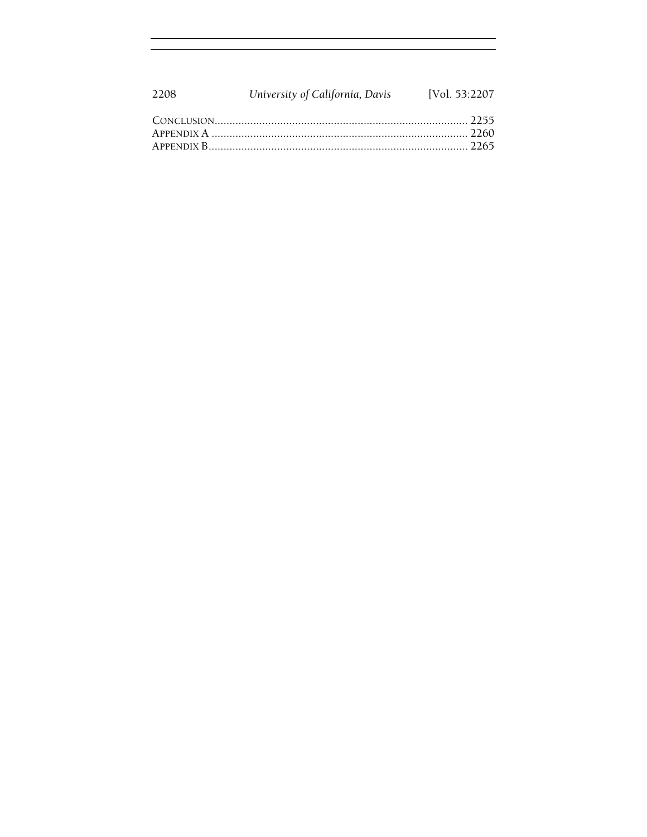| 2208 | University of California, Davis [Vol. 53:2207] |  |
|------|------------------------------------------------|--|
|      |                                                |  |
|      |                                                |  |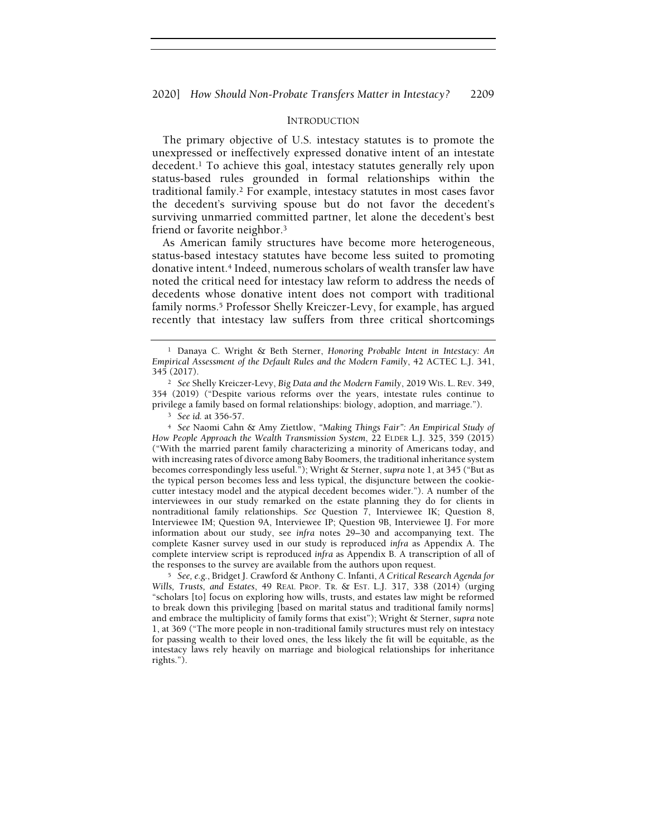### INTRODUCTION

The primary objective of U.S. intestacy statutes is to promote the unexpressed or ineffectively expressed donative intent of an intestate decedent.<sup>1</sup> To achieve this goal, intestacy statutes generally rely upon status-based rules grounded in formal relationships within the traditional family.<sup>2</sup> For example, intestacy statutes in most cases favor the decedent's surviving spouse but do not favor the decedent's surviving unmarried committed partner, let alone the decedent's best friend or favorite neighbor.<sup>3</sup>

As American family structures have become more heterogeneous, status-based intestacy statutes have become less suited to promoting donative intent.<sup>4</sup> Indeed, numerous scholars of wealth transfer law have noted the critical need for intestacy law reform to address the needs of decedents whose donative intent does not comport with traditional family norms.<sup>5</sup> Professor Shelly Kreiczer-Levy, for example, has argued recently that intestacy law suffers from three critical shortcomings

<sup>4</sup> See Naomi Cahn & Amy Ziettlow, "Making Things Fair": An Empirical Study of How People Approach the Wealth Transmission System, 22 ELDER L.J. 325, 359 (2015) ("With the married parent family characterizing a minority of Americans today, and with increasing rates of divorce among Baby Boomers, the traditional inheritance system becomes correspondingly less useful."); Wright & Sterner, supra note 1, at 345 ("But as the typical person becomes less and less typical, the disjuncture between the cookiecutter intestacy model and the atypical decedent becomes wider."). A number of the interviewees in our study remarked on the estate planning they do for clients in nontraditional family relationships. See Question 7, Interviewee IK; Question 8, Interviewee IM; Question 9A, Interviewee IP; Question 9B, Interviewee IJ. For more information about our study, see infra notes 29–30 and accompanying text. The complete Kasner survey used in our study is reproduced infra as Appendix A. The complete interview script is reproduced infra as Appendix B. A transcription of all of the responses to the survey are available from the authors upon request.

<sup>5</sup> See, e.g., Bridget J. Crawford & Anthony C. Infanti, A Critical Research Agenda for Wills, Trusts, and Estates, 49 REAL PROP. TR. & EST. L.J. 317, 338 (2014) (urging "scholars [to] focus on exploring how wills, trusts, and estates law might be reformed to break down this privileging [based on marital status and traditional family norms] and embrace the multiplicity of family forms that exist"); Wright & Sterner, supra note 1, at 369 ("The more people in non-traditional family structures must rely on intestacy for passing wealth to their loved ones, the less likely the fit will be equitable, as the intestacy laws rely heavily on marriage and biological relationships for inheritance rights.").

<sup>1</sup> Danaya C. Wright & Beth Sterner, Honoring Probable Intent in Intestacy: An Empirical Assessment of the Default Rules and the Modern Family, 42 ACTEC L.J. 341, 345 (2017).

<sup>2</sup> See Shelly Kreiczer-Levy, Big Data and the Modern Family, 2019 WIS. L. REV. 349, 354 (2019) ("Despite various reforms over the years, intestate rules continue to privilege a family based on formal relationships: biology, adoption, and marriage.").

<sup>3</sup> See id. at 356-57.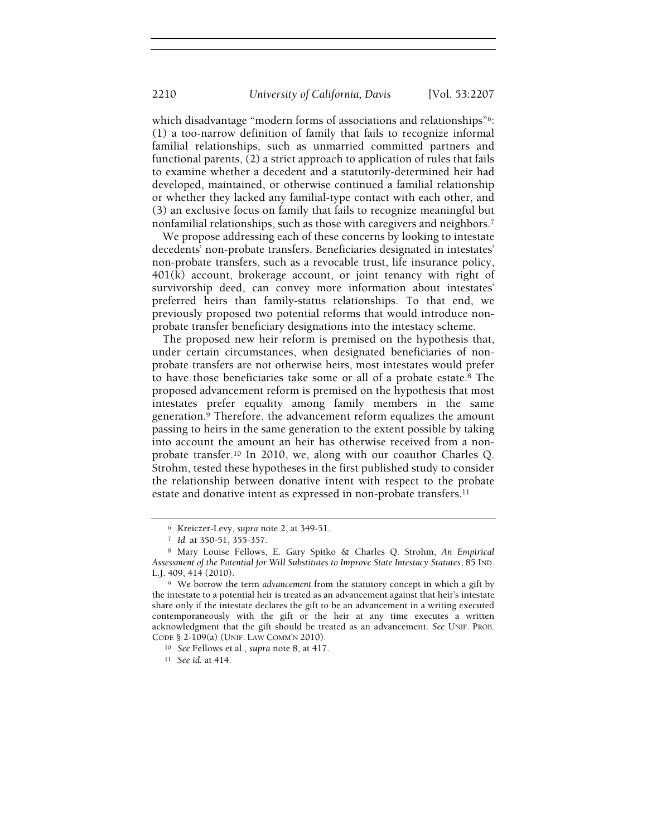which disadvantage "modern forms of associations and relationships"<sup>6</sup>: (1) a too-narrow definition of family that fails to recognize informal familial relationships, such as unmarried committed partners and functional parents, (2) a strict approach to application of rules that fails to examine whether a decedent and a statutorily-determined heir had developed, maintained, or otherwise continued a familial relationship or whether they lacked any familial-type contact with each other, and (3) an exclusive focus on family that fails to recognize meaningful but nonfamilial relationships, such as those with caregivers and neighbors.<sup>7</sup>

We propose addressing each of these concerns by looking to intestate decedents' non-probate transfers. Beneficiaries designated in intestates' non-probate transfers, such as a revocable trust, life insurance policy, 401(k) account, brokerage account, or joint tenancy with right of survivorship deed, can convey more information about intestates' preferred heirs than family-status relationships. To that end, we previously proposed two potential reforms that would introduce nonprobate transfer beneficiary designations into the intestacy scheme.

The proposed new heir reform is premised on the hypothesis that, under certain circumstances, when designated beneficiaries of nonprobate transfers are not otherwise heirs, most intestates would prefer to have those beneficiaries take some or all of a probate estate.<sup>8</sup> The proposed advancement reform is premised on the hypothesis that most intestates prefer equality among family members in the same generation.<sup>9</sup> Therefore, the advancement reform equalizes the amount passing to heirs in the same generation to the extent possible by taking into account the amount an heir has otherwise received from a nonprobate transfer.<sup>10</sup> In 2010, we, along with our coauthor Charles Q. Strohm, tested these hypotheses in the first published study to consider the relationship between donative intent with respect to the probate estate and donative intent as expressed in non-probate transfers.<sup>11</sup>

<sup>6</sup> Kreiczer-Levy, supra note 2, at 349-51.

<sup>7</sup> Id. at 350-51, 355-357.

<sup>8</sup> Mary Louise Fellows, E. Gary Spitko & Charles Q. Strohm, An Empirical Assessment of the Potential for Will Substitutes to Improve State Intestacy Statutes, 85 IND. L.J. 409, 414 (2010).

<sup>&</sup>lt;sup>9</sup> We borrow the term *advancement* from the statutory concept in which a gift by the intestate to a potential heir is treated as an advancement against that heir's intestate share only if the intestate declares the gift to be an advancement in a writing executed contemporaneously with the gift or the heir at any time executes a written acknowledgment that the gift should be treated as an advancement. See UNIF. PROB. CODE § 2-109(a) (UNIF. LAW COMM'N 2010).

<sup>10</sup> See Fellows et al., supra note 8, at 417.

<sup>11</sup> See id. at 414.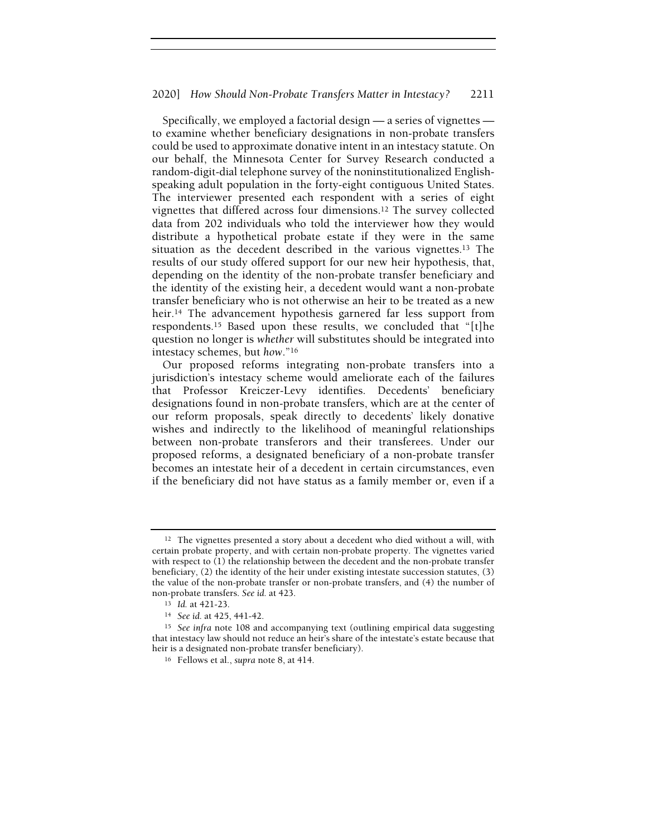Specifically, we employed a factorial design — a series of vignettes to examine whether beneficiary designations in non-probate transfers could be used to approximate donative intent in an intestacy statute. On our behalf, the Minnesota Center for Survey Research conducted a random-digit-dial telephone survey of the noninstitutionalized Englishspeaking adult population in the forty-eight contiguous United States. The interviewer presented each respondent with a series of eight vignettes that differed across four dimensions.<sup>12</sup> The survey collected data from 202 individuals who told the interviewer how they would distribute a hypothetical probate estate if they were in the same situation as the decedent described in the various vignettes.<sup>13</sup> The results of our study offered support for our new heir hypothesis, that, depending on the identity of the non-probate transfer beneficiary and the identity of the existing heir, a decedent would want a non-probate transfer beneficiary who is not otherwise an heir to be treated as a new heir.<sup>14</sup> The advancement hypothesis garnered far less support from respondents.<sup>15</sup> Based upon these results, we concluded that "[t]he question no longer is whether will substitutes should be integrated into intestacy schemes, but how."<sup>16</sup>

Our proposed reforms integrating non-probate transfers into a jurisdiction's intestacy scheme would ameliorate each of the failures that Professor Kreiczer-Levy identifies. Decedents' beneficiary designations found in non-probate transfers, which are at the center of our reform proposals, speak directly to decedents' likely donative wishes and indirectly to the likelihood of meaningful relationships between non-probate transferors and their transferees. Under our proposed reforms, a designated beneficiary of a non-probate transfer becomes an intestate heir of a decedent in certain circumstances, even if the beneficiary did not have status as a family member or, even if a

<sup>&</sup>lt;sup>12</sup> The vignettes presented a story about a decedent who died without a will, with certain probate property, and with certain non-probate property. The vignettes varied with respect to (1) the relationship between the decedent and the non-probate transfer beneficiary, (2) the identity of the heir under existing intestate succession statutes, (3) the value of the non-probate transfer or non-probate transfers, and (4) the number of non-probate transfers. See id. at 423.

<sup>13</sup> Id. at 421-23.

<sup>14</sup> See id. at 425, 441-42.

<sup>&</sup>lt;sup>15</sup> See infra note 108 and accompanying text (outlining empirical data suggesting that intestacy law should not reduce an heir's share of the intestate's estate because that heir is a designated non-probate transfer beneficiary).

<sup>16</sup> Fellows et al., supra note 8, at 414.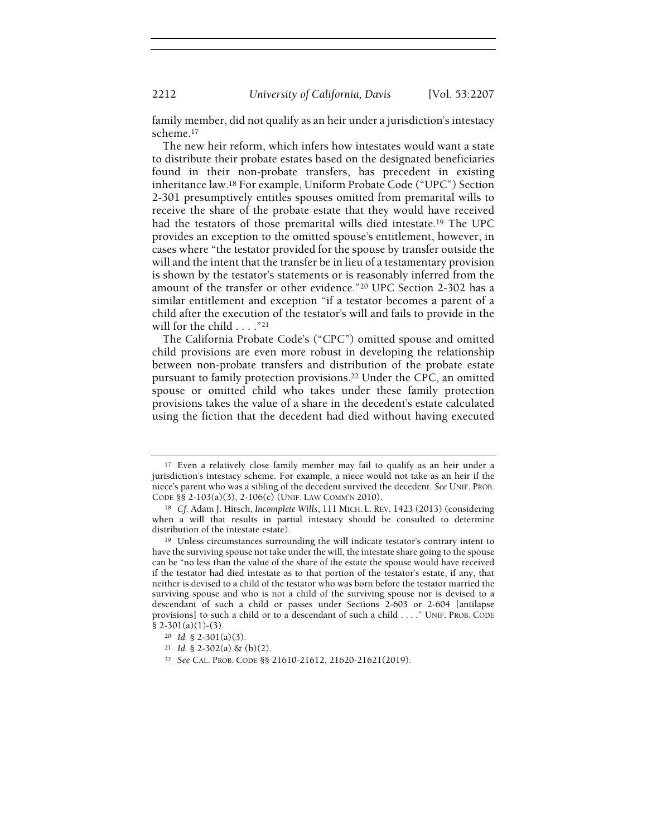family member, did not qualify as an heir under a jurisdiction's intestacy scheme.<sup>17</sup>

The new heir reform, which infers how intestates would want a state to distribute their probate estates based on the designated beneficiaries found in their non-probate transfers, has precedent in existing inheritance law.<sup>18</sup> For example, Uniform Probate Code ("UPC") Section 2-301 presumptively entitles spouses omitted from premarital wills to receive the share of the probate estate that they would have received had the testators of those premarital wills died intestate.<sup>19</sup> The UPC provides an exception to the omitted spouse's entitlement, however, in cases where "the testator provided for the spouse by transfer outside the will and the intent that the transfer be in lieu of a testamentary provision is shown by the testator's statements or is reasonably inferred from the amount of the transfer or other evidence."<sup>20</sup> UPC Section 2-302 has a similar entitlement and exception "if a testator becomes a parent of a child after the execution of the testator's will and fails to provide in the will for the child . . . . "<sup>21</sup>

The California Probate Code's ("CPC") omitted spouse and omitted child provisions are even more robust in developing the relationship between non-probate transfers and distribution of the probate estate pursuant to family protection provisions.<sup>22</sup> Under the CPC, an omitted spouse or omitted child who takes under these family protection provisions takes the value of a share in the decedent's estate calculated using the fiction that the decedent had died without having executed

<sup>&</sup>lt;sup>17</sup> Even a relatively close family member may fail to qualify as an heir under a jurisdiction's intestacy scheme. For example, a niece would not take as an heir if the niece's parent who was a sibling of the decedent survived the decedent. See UNIF. PROB. CODE §§ 2-103(a)(3), 2-106(c) (UNIF. LAW COMM'N 2010).

<sup>&</sup>lt;sup>18</sup> Cf. Adam J. Hirsch, Incomplete Wills, 111 MICH. L. REV. 1423 (2013) (considering when a will that results in partial intestacy should be consulted to determine distribution of the intestate estate).

<sup>&</sup>lt;sup>19</sup> Unless circumstances surrounding the will indicate testator's contrary intent to have the surviving spouse not take under the will, the intestate share going to the spouse can be "no less than the value of the share of the estate the spouse would have received if the testator had died intestate as to that portion of the testator's estate, if any, that neither is devised to a child of the testator who was born before the testator married the surviving spouse and who is not a child of the surviving spouse nor is devised to a descendant of such a child or passes under Sections 2-603 or 2-604 [antilapse provisions] to such a child or to a descendant of such a child . . . ." UNIF. PROB. CODE § 2-301(a)(1)-(3).

<sup>20</sup> Id. § 2-301(a)(3).

 $21$  *Id.* § 2-302(a) & (b)(2).

<sup>22</sup> See CAL. PROB. CODE §§ 21610-21612, 21620-21621(2019).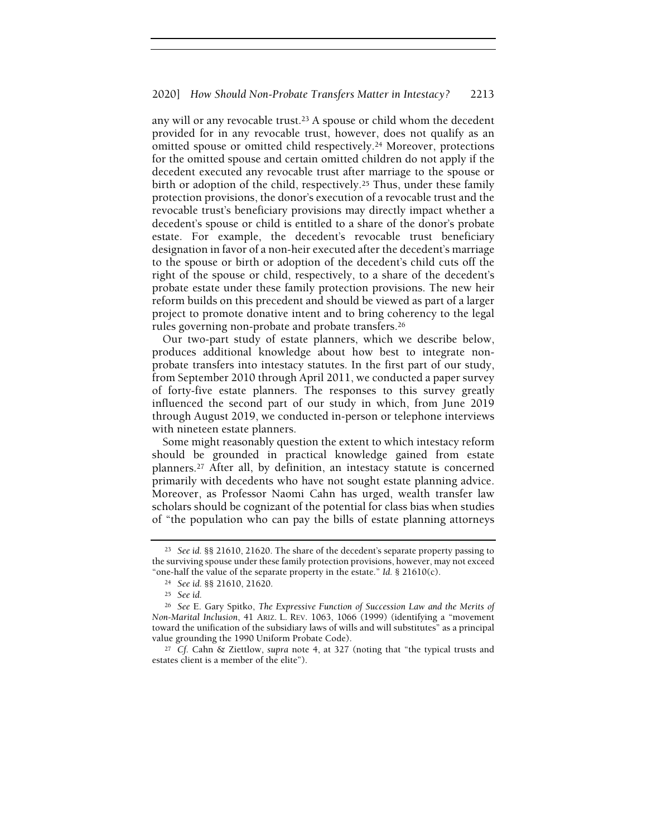any will or any revocable trust.<sup>23</sup> A spouse or child whom the decedent provided for in any revocable trust, however, does not qualify as an omitted spouse or omitted child respectively.<sup>24</sup> Moreover, protections for the omitted spouse and certain omitted children do not apply if the decedent executed any revocable trust after marriage to the spouse or birth or adoption of the child, respectively.<sup>25</sup> Thus, under these family protection provisions, the donor's execution of a revocable trust and the revocable trust's beneficiary provisions may directly impact whether a decedent's spouse or child is entitled to a share of the donor's probate estate. For example, the decedent's revocable trust beneficiary designation in favor of a non-heir executed after the decedent's marriage to the spouse or birth or adoption of the decedent's child cuts off the right of the spouse or child, respectively, to a share of the decedent's probate estate under these family protection provisions. The new heir reform builds on this precedent and should be viewed as part of a larger project to promote donative intent and to bring coherency to the legal rules governing non-probate and probate transfers.<sup>26</sup>

Our two-part study of estate planners, which we describe below, produces additional knowledge about how best to integrate nonprobate transfers into intestacy statutes. In the first part of our study, from September 2010 through April 2011, we conducted a paper survey of forty-five estate planners. The responses to this survey greatly influenced the second part of our study in which, from June 2019 through August 2019, we conducted in-person or telephone interviews with nineteen estate planners.

Some might reasonably question the extent to which intestacy reform should be grounded in practical knowledge gained from estate planners.<sup>27</sup> After all, by definition, an intestacy statute is concerned primarily with decedents who have not sought estate planning advice. Moreover, as Professor Naomi Cahn has urged, wealth transfer law scholars should be cognizant of the potential for class bias when studies of "the population who can pay the bills of estate planning attorneys

<sup>23</sup> See id. §§ 21610, 21620. The share of the decedent's separate property passing to the surviving spouse under these family protection provisions, however, may not exceed "one-half the value of the separate property in the estate." Id.  $\S$  21610(c).

<sup>24</sup> See id. §§ 21610, 21620.

<sup>25</sup> See id.

<sup>26</sup> See E. Gary Spitko, The Expressive Function of Succession Law and the Merits of Non-Marital Inclusion, 41 ARIZ. L. REV. 1063, 1066 (1999) (identifying a "movement toward the unification of the subsidiary laws of wills and will substitutes" as a principal value grounding the 1990 Uniform Probate Code).

<sup>27</sup> Cf. Cahn & Ziettlow, supra note 4, at 327 (noting that "the typical trusts and estates client is a member of the elite").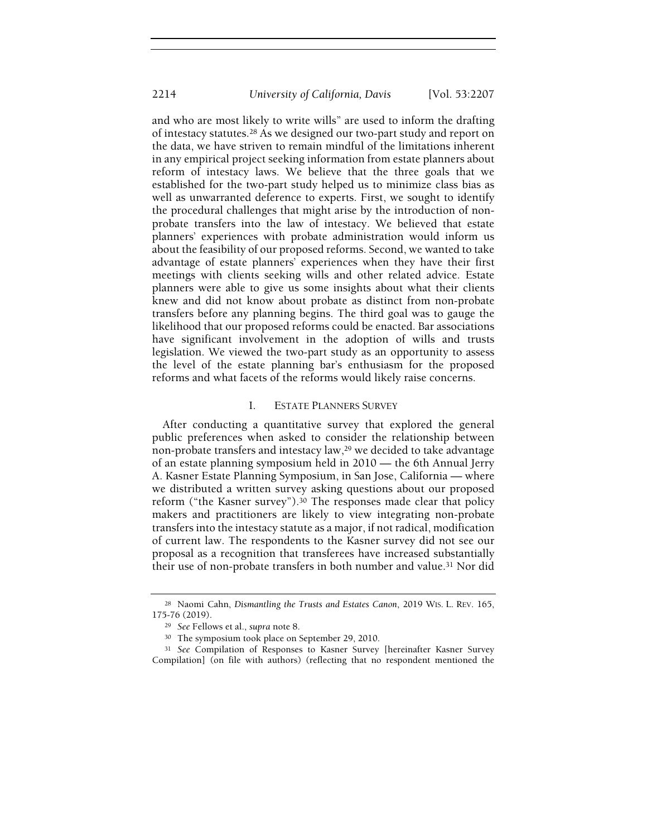and who are most likely to write wills" are used to inform the drafting of intestacy statutes.<sup>28</sup> As we designed our two-part study and report on the data, we have striven to remain mindful of the limitations inherent in any empirical project seeking information from estate planners about reform of intestacy laws. We believe that the three goals that we established for the two-part study helped us to minimize class bias as well as unwarranted deference to experts. First, we sought to identify the procedural challenges that might arise by the introduction of nonprobate transfers into the law of intestacy. We believed that estate planners' experiences with probate administration would inform us about the feasibility of our proposed reforms. Second, we wanted to take advantage of estate planners' experiences when they have their first meetings with clients seeking wills and other related advice. Estate planners were able to give us some insights about what their clients knew and did not know about probate as distinct from non-probate transfers before any planning begins. The third goal was to gauge the likelihood that our proposed reforms could be enacted. Bar associations have significant involvement in the adoption of wills and trusts legislation. We viewed the two-part study as an opportunity to assess the level of the estate planning bar's enthusiasm for the proposed reforms and what facets of the reforms would likely raise concerns.

# I. ESTATE PLANNERS SURVEY

After conducting a quantitative survey that explored the general public preferences when asked to consider the relationship between non-probate transfers and intestacy law,<sup>29</sup> we decided to take advantage of an estate planning symposium held in 2010 — the 6th Annual Jerry A. Kasner Estate Planning Symposium, in San Jose, California — where we distributed a written survey asking questions about our proposed reform ("the Kasner survey").<sup>30</sup> The responses made clear that policy makers and practitioners are likely to view integrating non-probate transfers into the intestacy statute as a major, if not radical, modification of current law. The respondents to the Kasner survey did not see our proposal as a recognition that transferees have increased substantially their use of non-probate transfers in both number and value.<sup>31</sup> Nor did

<sup>28</sup> Naomi Cahn, Dismantling the Trusts and Estates Canon, 2019 WIS. L. REV. 165, 175-76 (2019).

<sup>29</sup> See Fellows et al., supra note 8.

<sup>30</sup> The symposium took place on September 29, 2010.

<sup>31</sup> See Compilation of Responses to Kasner Survey [hereinafter Kasner Survey Compilation] (on file with authors) (reflecting that no respondent mentioned the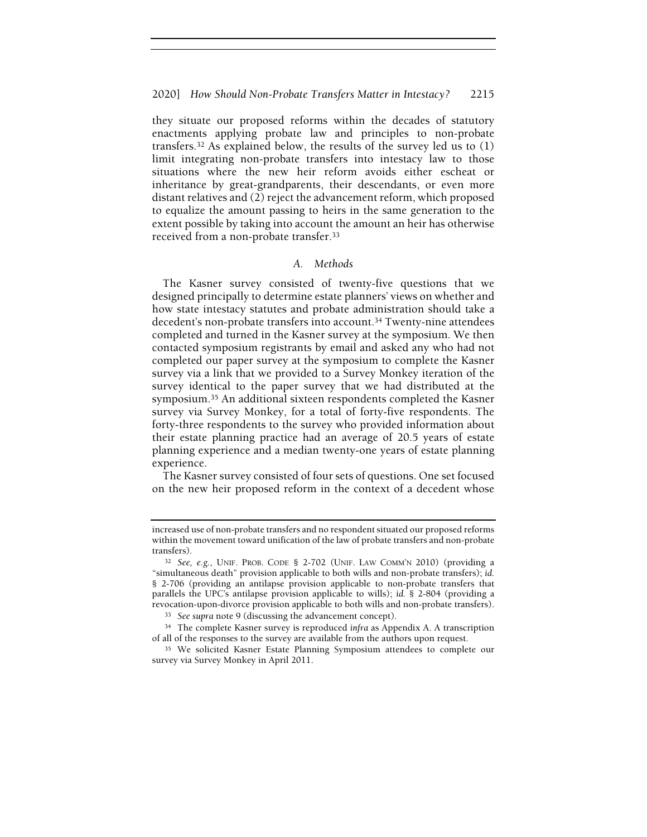they situate our proposed reforms within the decades of statutory enactments applying probate law and principles to non-probate transfers.<sup>32</sup> As explained below, the results of the survey led us to (1) limit integrating non-probate transfers into intestacy law to those situations where the new heir reform avoids either escheat or inheritance by great-grandparents, their descendants, or even more distant relatives and (2) reject the advancement reform, which proposed to equalize the amount passing to heirs in the same generation to the extent possible by taking into account the amount an heir has otherwise received from a non-probate transfer.<sup>33</sup>

#### A. Methods

The Kasner survey consisted of twenty-five questions that we designed principally to determine estate planners' views on whether and how state intestacy statutes and probate administration should take a decedent's non-probate transfers into account.<sup>34</sup> Twenty-nine attendees completed and turned in the Kasner survey at the symposium. We then contacted symposium registrants by email and asked any who had not completed our paper survey at the symposium to complete the Kasner survey via a link that we provided to a Survey Monkey iteration of the survey identical to the paper survey that we had distributed at the symposium.<sup>35</sup> An additional sixteen respondents completed the Kasner survey via Survey Monkey, for a total of forty-five respondents. The forty-three respondents to the survey who provided information about their estate planning practice had an average of 20.5 years of estate planning experience and a median twenty-one years of estate planning experience.

The Kasner survey consisted of four sets of questions. One set focused on the new heir proposed reform in the context of a decedent whose

increased use of non-probate transfers and no respondent situated our proposed reforms within the movement toward unification of the law of probate transfers and non-probate transfers).

<sup>32</sup> See, e.g., UNIF. PROB. CODE § 2-702 (UNIF. LAW COMM'N 2010) (providing a "simultaneous death" provision applicable to both wills and non-probate transfers); id. § 2-706 (providing an antilapse provision applicable to non-probate transfers that parallels the UPC's antilapse provision applicable to wills); id. § 2-804 (providing a revocation-upon-divorce provision applicable to both wills and non-probate transfers).

<sup>33</sup> See supra note 9 (discussing the advancement concept).

<sup>&</sup>lt;sup>34</sup> The complete Kasner survey is reproduced infra as Appendix A. A transcription of all of the responses to the survey are available from the authors upon request.

<sup>&</sup>lt;sup>35</sup> We solicited Kasner Estate Planning Symposium attendees to complete our survey via Survey Monkey in April 2011.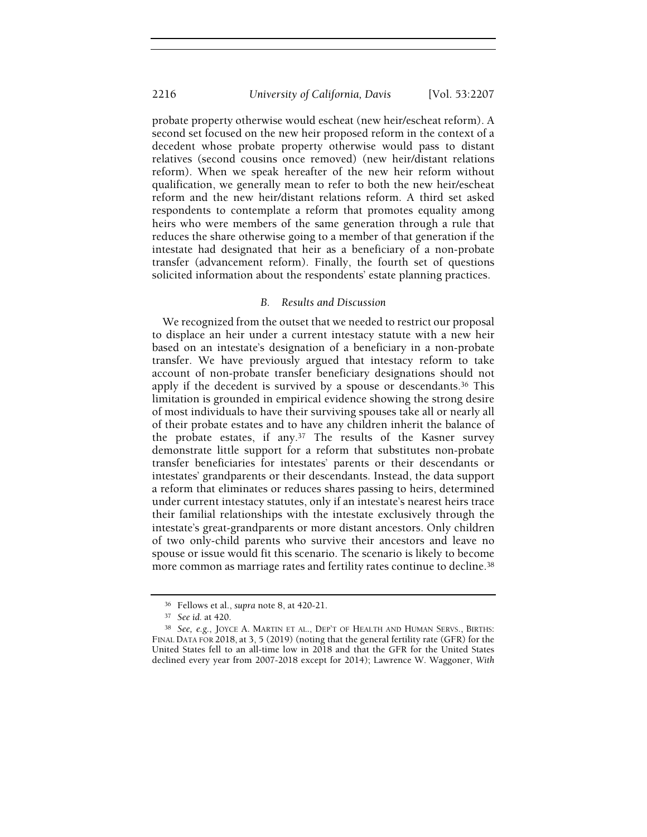probate property otherwise would escheat (new heir/escheat reform). A second set focused on the new heir proposed reform in the context of a decedent whose probate property otherwise would pass to distant relatives (second cousins once removed) (new heir/distant relations reform). When we speak hereafter of the new heir reform without qualification, we generally mean to refer to both the new heir/escheat reform and the new heir/distant relations reform. A third set asked respondents to contemplate a reform that promotes equality among heirs who were members of the same generation through a rule that reduces the share otherwise going to a member of that generation if the intestate had designated that heir as a beneficiary of a non-probate transfer (advancement reform). Finally, the fourth set of questions solicited information about the respondents' estate planning practices.

# B. Results and Discussion

We recognized from the outset that we needed to restrict our proposal to displace an heir under a current intestacy statute with a new heir based on an intestate's designation of a beneficiary in a non-probate transfer. We have previously argued that intestacy reform to take account of non-probate transfer beneficiary designations should not apply if the decedent is survived by a spouse or descendants.<sup>36</sup> This limitation is grounded in empirical evidence showing the strong desire of most individuals to have their surviving spouses take all or nearly all of their probate estates and to have any children inherit the balance of the probate estates, if any.<sup>37</sup> The results of the Kasner survey demonstrate little support for a reform that substitutes non-probate transfer beneficiaries for intestates' parents or their descendants or intestates' grandparents or their descendants. Instead, the data support a reform that eliminates or reduces shares passing to heirs, determined under current intestacy statutes, only if an intestate's nearest heirs trace their familial relationships with the intestate exclusively through the intestate's great-grandparents or more distant ancestors. Only children of two only-child parents who survive their ancestors and leave no spouse or issue would fit this scenario. The scenario is likely to become more common as marriage rates and fertility rates continue to decline.<sup>38</sup>

<sup>&</sup>lt;sup>36</sup> Fellows et al., supra note 8, at 420-21.

<sup>37</sup> See id. at 420.

<sup>38</sup> See, e.g., JOYCE A. MARTIN ET AL., DEP'T OF HEALTH AND HUMAN SERVS., BIRTHS: FINAL DATA FOR 2018, at 3, 5 (2019) (noting that the general fertility rate (GFR) for the United States fell to an all-time low in 2018 and that the GFR for the United States declined every year from 2007-2018 except for 2014); Lawrence W. Waggoner, With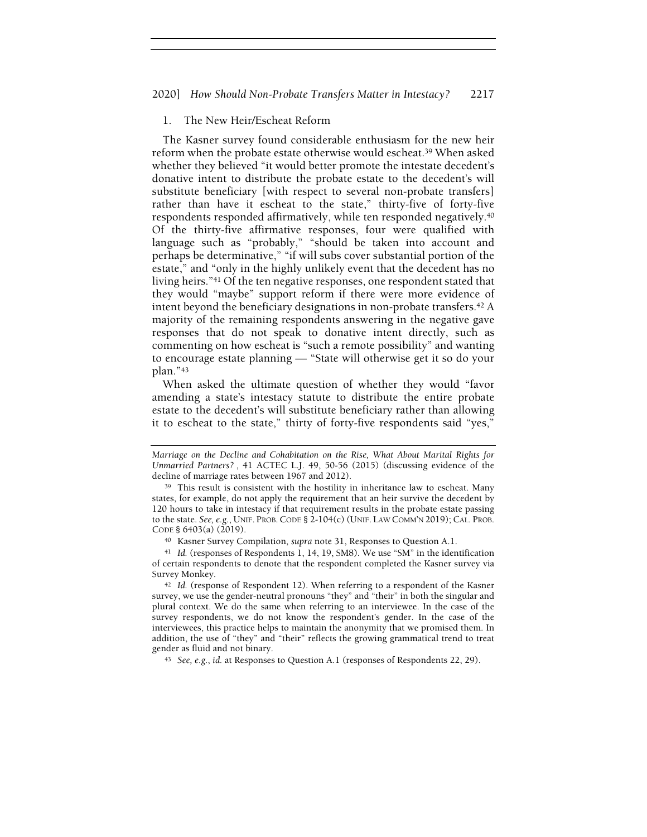# 1. The New Heir/Escheat Reform

The Kasner survey found considerable enthusiasm for the new heir reform when the probate estate otherwise would escheat.<sup>39</sup> When asked whether they believed "it would better promote the intestate decedent's donative intent to distribute the probate estate to the decedent's will substitute beneficiary [with respect to several non-probate transfers] rather than have it escheat to the state," thirty-five of forty-five respondents responded affirmatively, while ten responded negatively.<sup>40</sup> Of the thirty-five affirmative responses, four were qualified with language such as "probably," "should be taken into account and perhaps be determinative," "if will subs cover substantial portion of the estate," and "only in the highly unlikely event that the decedent has no living heirs."<sup>41</sup> Of the ten negative responses, one respondent stated that they would "maybe" support reform if there were more evidence of intent beyond the beneficiary designations in non-probate transfers.<sup>42</sup> A majority of the remaining respondents answering in the negative gave responses that do not speak to donative intent directly, such as commenting on how escheat is "such a remote possibility" and wanting to encourage estate planning — "State will otherwise get it so do your plan."<sup>43</sup>

When asked the ultimate question of whether they would "favor amending a state's intestacy statute to distribute the entire probate estate to the decedent's will substitute beneficiary rather than allowing it to escheat to the state," thirty of forty-five respondents said "yes,"

Marriage on the Decline and Cohabitation on the Rise, What About Marital Rights for Unmarried Partners? , 41 ACTEC L.J. 49, 50-56 (2015) (discussing evidence of the decline of marriage rates between 1967 and 2012).

<sup>39</sup> This result is consistent with the hostility in inheritance law to escheat. Many states, for example, do not apply the requirement that an heir survive the decedent by 120 hours to take in intestacy if that requirement results in the probate estate passing to the state. See, e.g., UNIF. PROB.CODE § 2-104(c) (UNIF. LAW COMM'N 2019); CAL. PROB. CODE § 6403(a) (2019).

<sup>40</sup> Kasner Survey Compilation, supra note 31, Responses to Question A.1.

<sup>41</sup> Id. (responses of Respondents 1, 14, 19, SM8). We use "SM" in the identification of certain respondents to denote that the respondent completed the Kasner survey via Survey Monkey.

<sup>&</sup>lt;sup>42</sup> Id. (response of Respondent 12). When referring to a respondent of the Kasner survey, we use the gender-neutral pronouns "they" and "their" in both the singular and plural context. We do the same when referring to an interviewee. In the case of the survey respondents, we do not know the respondent's gender. In the case of the interviewees, this practice helps to maintain the anonymity that we promised them. In addition, the use of "they" and "their" reflects the growing grammatical trend to treat gender as fluid and not binary.

<sup>43</sup> See, e.g., id. at Responses to Question A.1 (responses of Respondents 22, 29).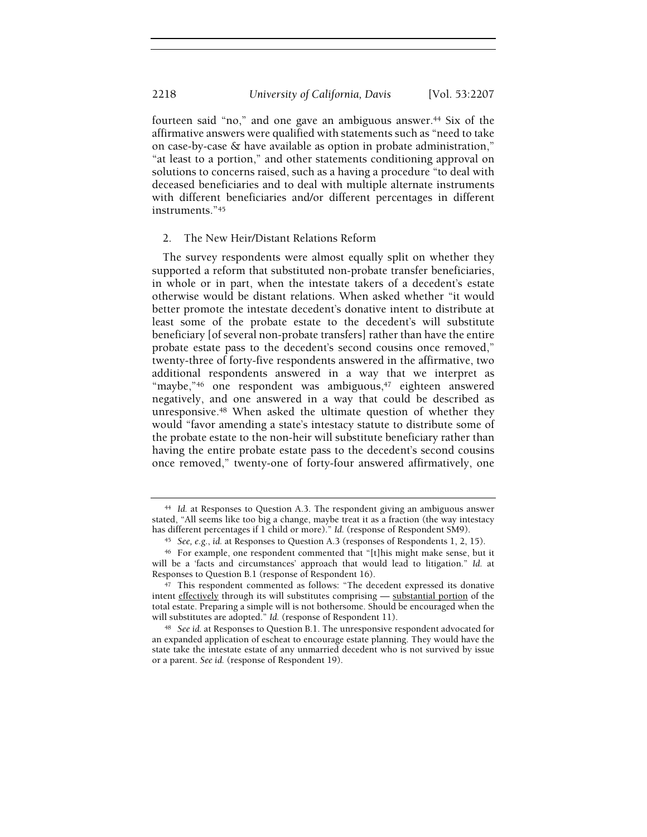fourteen said "no," and one gave an ambiguous answer.<sup>44</sup> Six of the affirmative answers were qualified with statements such as "need to take on case-by-case & have available as option in probate administration," "at least to a portion," and other statements conditioning approval on solutions to concerns raised, such as a having a procedure "to deal with deceased beneficiaries and to deal with multiple alternate instruments with different beneficiaries and/or different percentages in different instruments."<sup>45</sup>

# 2. The New Heir/Distant Relations Reform

The survey respondents were almost equally split on whether they supported a reform that substituted non-probate transfer beneficiaries, in whole or in part, when the intestate takers of a decedent's estate otherwise would be distant relations. When asked whether "it would better promote the intestate decedent's donative intent to distribute at least some of the probate estate to the decedent's will substitute beneficiary [of several non-probate transfers] rather than have the entire probate estate pass to the decedent's second cousins once removed," twenty-three of forty-five respondents answered in the affirmative, two additional respondents answered in a way that we interpret as "maybe,"<sup>46</sup> one respondent was ambiguous,<sup>47</sup> eighteen answered negatively, and one answered in a way that could be described as unresponsive.<sup>48</sup> When asked the ultimate question of whether they would "favor amending a state's intestacy statute to distribute some of the probate estate to the non-heir will substitute beneficiary rather than having the entire probate estate pass to the decedent's second cousins once removed," twenty-one of forty-four answered affirmatively, one

<sup>44</sup> Id. at Responses to Question A.3. The respondent giving an ambiguous answer stated, "All seems like too big a change, maybe treat it as a fraction (the way intestacy has different percentages if 1 child or more)." Id. (response of Respondent SM9).

<sup>45</sup> See, e.g., id. at Responses to Question A.3 (responses of Respondents 1, 2, 15).

<sup>46</sup> For example, one respondent commented that "[t]his might make sense, but it will be a 'facts and circumstances' approach that would lead to litigation." Id. at Responses to Question B.1 (response of Respondent 16).

<sup>47</sup> This respondent commented as follows: "The decedent expressed its donative intent effectively through its will substitutes comprising — substantial portion of the total estate. Preparing a simple will is not bothersome. Should be encouraged when the will substitutes are adopted." Id. (response of Respondent 11).

<sup>48</sup> See id. at Responses to Question B.1. The unresponsive respondent advocated for an expanded application of escheat to encourage estate planning. They would have the state take the intestate estate of any unmarried decedent who is not survived by issue or a parent. See id. (response of Respondent 19).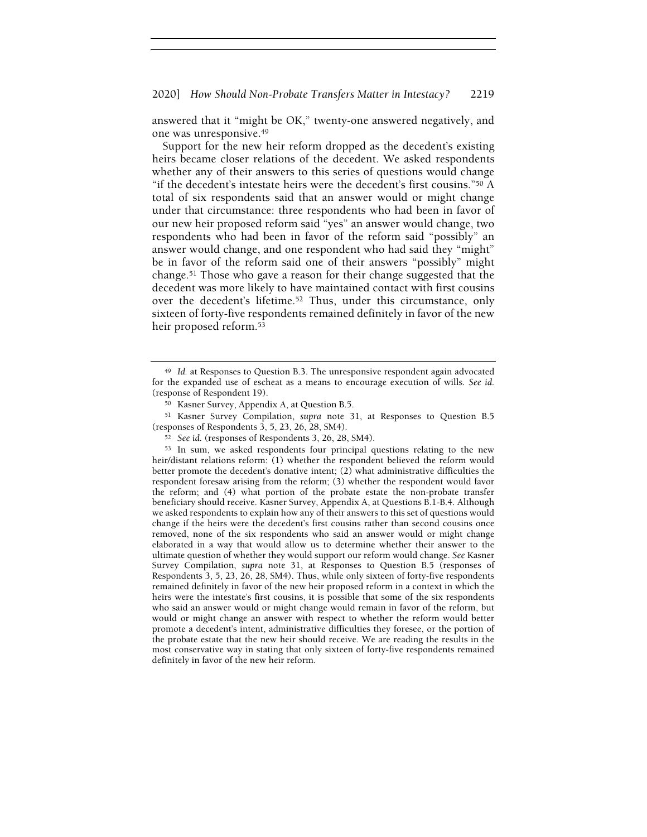answered that it "might be OK," twenty-one answered negatively, and one was unresponsive.<sup>49</sup>

Support for the new heir reform dropped as the decedent's existing heirs became closer relations of the decedent. We asked respondents whether any of their answers to this series of questions would change "if the decedent's intestate heirs were the decedent's first cousins."<sup>50</sup> A total of six respondents said that an answer would or might change under that circumstance: three respondents who had been in favor of our new heir proposed reform said "yes" an answer would change, two respondents who had been in favor of the reform said "possibly" an answer would change, and one respondent who had said they "might" be in favor of the reform said one of their answers "possibly" might change.<sup>51</sup> Those who gave a reason for their change suggested that the decedent was more likely to have maintained contact with first cousins over the decedent's lifetime.<sup>52</sup> Thus, under this circumstance, only sixteen of forty-five respondents remained definitely in favor of the new heir proposed reform.<sup>53</sup>

<sup>49</sup> Id. at Responses to Question B.3. The unresponsive respondent again advocated for the expanded use of escheat as a means to encourage execution of wills. See id. (response of Respondent 19).

<sup>50</sup> Kasner Survey, Appendix A, at Question B.5.

<sup>51</sup> Kasner Survey Compilation, supra note 31, at Responses to Question B.5 (responses of Respondents 3, 5, 23, 26, 28, SM4).

<sup>52</sup> See id. (responses of Respondents 3, 26, 28, SM4).

<sup>53</sup> In sum, we asked respondents four principal questions relating to the new heir/distant relations reform: (1) whether the respondent believed the reform would better promote the decedent's donative intent; (2) what administrative difficulties the respondent foresaw arising from the reform; (3) whether the respondent would favor the reform; and (4) what portion of the probate estate the non-probate transfer beneficiary should receive. Kasner Survey, Appendix A, at Questions B.1-B.4. Although we asked respondents to explain how any of their answers to this set of questions would change if the heirs were the decedent's first cousins rather than second cousins once removed, none of the six respondents who said an answer would or might change elaborated in a way that would allow us to determine whether their answer to the ultimate question of whether they would support our reform would change. See Kasner Survey Compilation, supra note 31, at Responses to Question B.5 (responses of Respondents 3, 5, 23, 26, 28, SM4). Thus, while only sixteen of forty-five respondents remained definitely in favor of the new heir proposed reform in a context in which the heirs were the intestate's first cousins, it is possible that some of the six respondents who said an answer would or might change would remain in favor of the reform, but would or might change an answer with respect to whether the reform would better promote a decedent's intent, administrative difficulties they foresee, or the portion of the probate estate that the new heir should receive. We are reading the results in the most conservative way in stating that only sixteen of forty-five respondents remained definitely in favor of the new heir reform.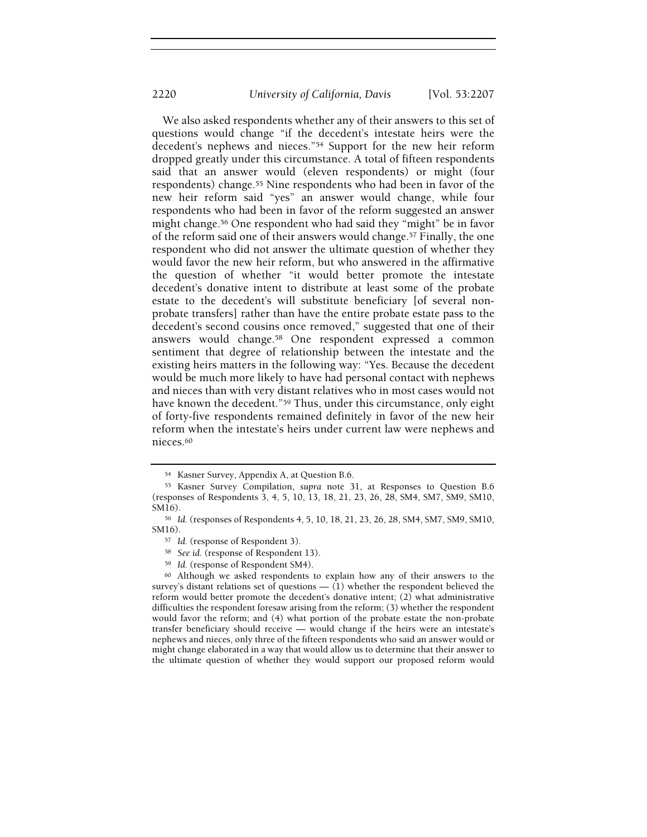We also asked respondents whether any of their answers to this set of questions would change "if the decedent's intestate heirs were the decedent's nephews and nieces."<sup>54</sup> Support for the new heir reform dropped greatly under this circumstance. A total of fifteen respondents said that an answer would (eleven respondents) or might (four respondents) change.<sup>55</sup> Nine respondents who had been in favor of the new heir reform said "yes" an answer would change, while four respondents who had been in favor of the reform suggested an answer might change.<sup>56</sup> One respondent who had said they "might" be in favor of the reform said one of their answers would change.<sup>57</sup> Finally, the one respondent who did not answer the ultimate question of whether they would favor the new heir reform, but who answered in the affirmative the question of whether "it would better promote the intestate decedent's donative intent to distribute at least some of the probate estate to the decedent's will substitute beneficiary [of several nonprobate transfers] rather than have the entire probate estate pass to the decedent's second cousins once removed," suggested that one of their answers would change.<sup>58</sup> One respondent expressed a common sentiment that degree of relationship between the intestate and the existing heirs matters in the following way: "Yes. Because the decedent would be much more likely to have had personal contact with nephews and nieces than with very distant relatives who in most cases would not have known the decedent."<sup>59</sup> Thus, under this circumstance, only eight of forty-five respondents remained definitely in favor of the new heir reform when the intestate's heirs under current law were nephews and nieces.<sup>60</sup>

<sup>60</sup> Although we asked respondents to explain how any of their answers to the survey's distant relations set of questions  $-$  (1) whether the respondent believed the reform would better promote the decedent's donative intent; (2) what administrative difficulties the respondent foresaw arising from the reform; (3) whether the respondent would favor the reform; and (4) what portion of the probate estate the non-probate transfer beneficiary should receive — would change if the heirs were an intestate's nephews and nieces, only three of the fifteen respondents who said an answer would or might change elaborated in a way that would allow us to determine that their answer to the ultimate question of whether they would support our proposed reform would

<sup>54</sup> Kasner Survey, Appendix A, at Question B.6.

<sup>55</sup> Kasner Survey Compilation, supra note 31, at Responses to Question B.6 (responses of Respondents 3, 4, 5, 10, 13, 18, 21, 23, 26, 28, SM4, SM7, SM9, SM10, SM16).

<sup>56</sup> Id. (responses of Respondents 4, 5, 10, 18, 21, 23, 26, 28, SM4, SM7, SM9, SM10, SM16).

<sup>57</sup> Id. (response of Respondent 3).

<sup>58</sup> See id. (response of Respondent 13).

<sup>59</sup> Id. (response of Respondent SM4).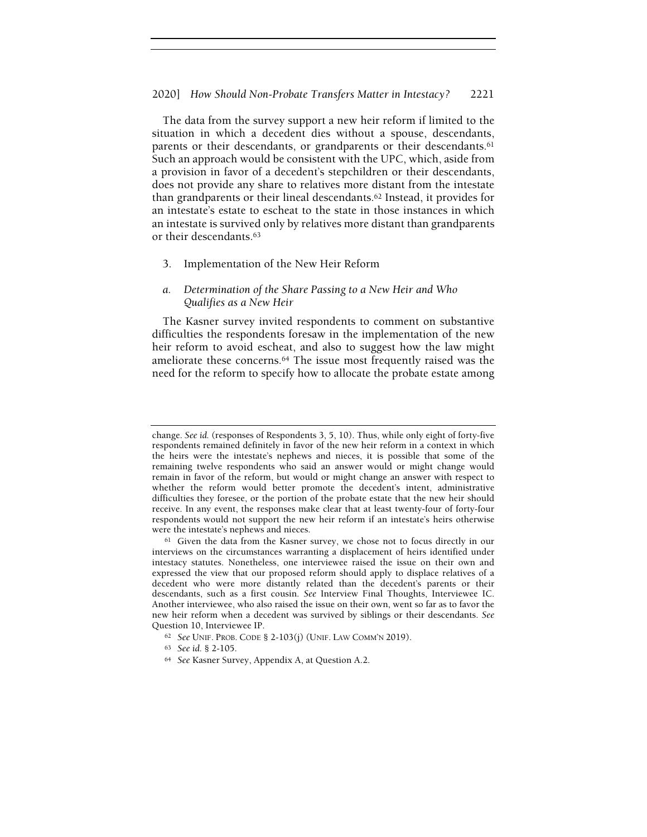The data from the survey support a new heir reform if limited to the situation in which a decedent dies without a spouse, descendants, parents or their descendants, or grandparents or their descendants.<sup>61</sup> Such an approach would be consistent with the UPC, which, aside from a provision in favor of a decedent's stepchildren or their descendants, does not provide any share to relatives more distant from the intestate than grandparents or their lineal descendants.<sup>62</sup> Instead, it provides for an intestate's estate to escheat to the state in those instances in which an intestate is survived only by relatives more distant than grandparents or their descendants.<sup>63</sup>

3. Implementation of the New Heir Reform

# a. Determination of the Share Passing to a New Heir and Who Qualifies as a New Heir

The Kasner survey invited respondents to comment on substantive difficulties the respondents foresaw in the implementation of the new heir reform to avoid escheat, and also to suggest how the law might ameliorate these concerns.<sup>64</sup> The issue most frequently raised was the need for the reform to specify how to allocate the probate estate among

change. See id. (responses of Respondents 3, 5, 10). Thus, while only eight of forty-five respondents remained definitely in favor of the new heir reform in a context in which the heirs were the intestate's nephews and nieces, it is possible that some of the remaining twelve respondents who said an answer would or might change would remain in favor of the reform, but would or might change an answer with respect to whether the reform would better promote the decedent's intent, administrative difficulties they foresee, or the portion of the probate estate that the new heir should receive. In any event, the responses make clear that at least twenty-four of forty-four respondents would not support the new heir reform if an intestate's heirs otherwise were the intestate's nephews and nieces.

<sup>&</sup>lt;sup>61</sup> Given the data from the Kasner survey, we chose not to focus directly in our interviews on the circumstances warranting a displacement of heirs identified under intestacy statutes. Nonetheless, one interviewee raised the issue on their own and expressed the view that our proposed reform should apply to displace relatives of a decedent who were more distantly related than the decedent's parents or their descendants, such as a first cousin. See Interview Final Thoughts, Interviewee IC. Another interviewee, who also raised the issue on their own, went so far as to favor the new heir reform when a decedent was survived by siblings or their descendants. See Question 10, Interviewee IP.

<sup>62</sup> See UNIF. PROB. CODE § 2-103(j) (UNIF. LAW COMM'N 2019).

<sup>63</sup> See id. § 2-105.

<sup>64</sup> See Kasner Survey, Appendix A, at Question A.2.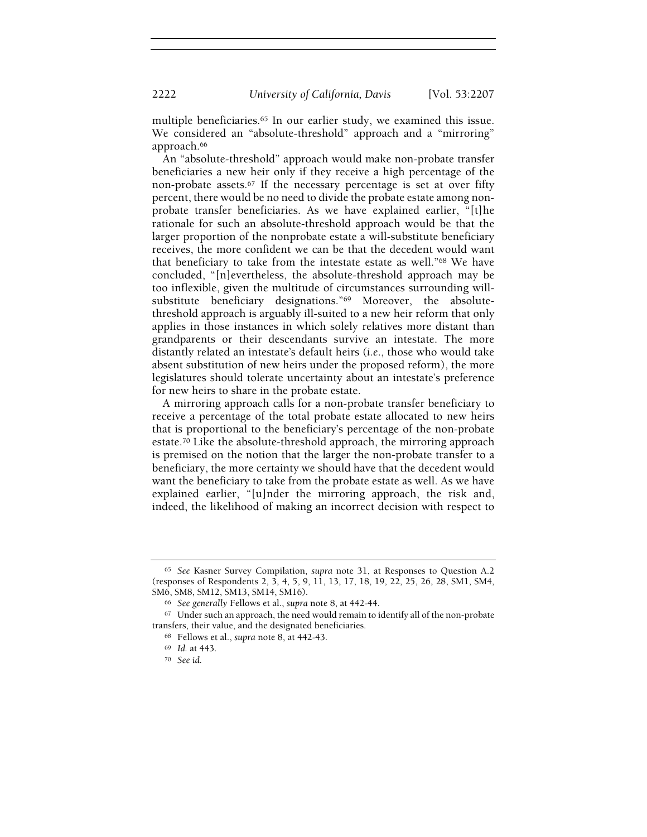multiple beneficiaries.<sup>65</sup> In our earlier study, we examined this issue. We considered an "absolute-threshold" approach and a "mirroring" approach.<sup>66</sup>

An "absolute-threshold" approach would make non-probate transfer beneficiaries a new heir only if they receive a high percentage of the non-probate assets.<sup>67</sup> If the necessary percentage is set at over fifty percent, there would be no need to divide the probate estate among nonprobate transfer beneficiaries. As we have explained earlier, "[t]he rationale for such an absolute-threshold approach would be that the larger proportion of the nonprobate estate a will-substitute beneficiary receives, the more confident we can be that the decedent would want that beneficiary to take from the intestate estate as well."<sup>68</sup> We have concluded, "[n]evertheless, the absolute-threshold approach may be too inflexible, given the multitude of circumstances surrounding willsubstitute beneficiary designations."69 Moreover, the absolutethreshold approach is arguably ill-suited to a new heir reform that only applies in those instances in which solely relatives more distant than grandparents or their descendants survive an intestate. The more distantly related an intestate's default heirs (i.e., those who would take absent substitution of new heirs under the proposed reform), the more legislatures should tolerate uncertainty about an intestate's preference for new heirs to share in the probate estate.

A mirroring approach calls for a non-probate transfer beneficiary to receive a percentage of the total probate estate allocated to new heirs that is proportional to the beneficiary's percentage of the non-probate estate.<sup>70</sup> Like the absolute-threshold approach, the mirroring approach is premised on the notion that the larger the non-probate transfer to a beneficiary, the more certainty we should have that the decedent would want the beneficiary to take from the probate estate as well. As we have explained earlier, "[u]nder the mirroring approach, the risk and, indeed, the likelihood of making an incorrect decision with respect to

<sup>65</sup> See Kasner Survey Compilation, supra note 31, at Responses to Question A.2 (responses of Respondents 2, 3, 4, 5, 9, 11, 13, 17, 18, 19, 22, 25, 26, 28, SM1, SM4, SM6, SM8, SM12, SM13, SM14, SM16).

<sup>66</sup> See generally Fellows et al., supra note 8, at 442-44.

<sup>&</sup>lt;sup>67</sup> Under such an approach, the need would remain to identify all of the non-probate transfers, their value, and the designated beneficiaries.

<sup>68</sup> Fellows et al., supra note 8, at 442-43.

<sup>69</sup> Id. at 443.

<sup>70</sup> See id.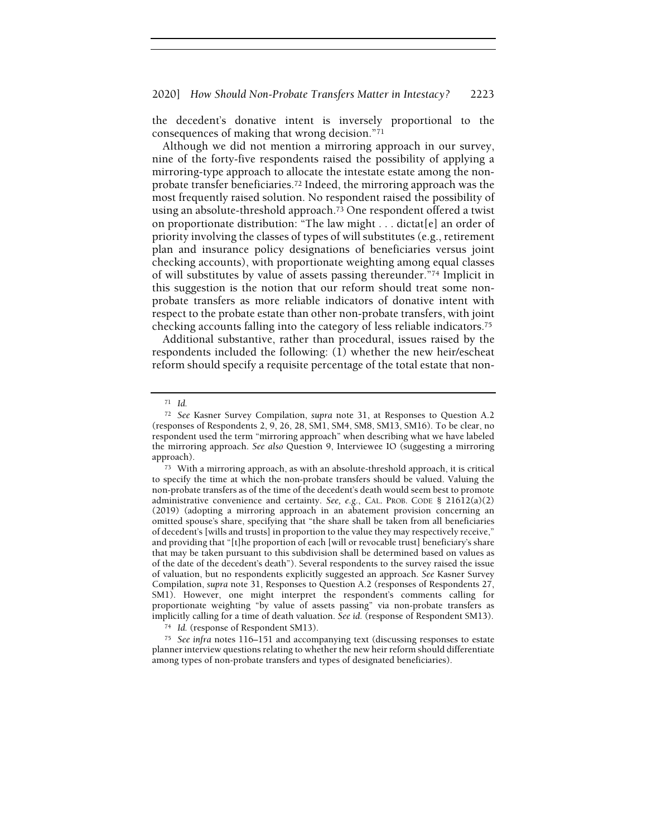the decedent's donative intent is inversely proportional to the consequences of making that wrong decision."<sup>71</sup>

Although we did not mention a mirroring approach in our survey, nine of the forty-five respondents raised the possibility of applying a mirroring-type approach to allocate the intestate estate among the nonprobate transfer beneficiaries.<sup>72</sup> Indeed, the mirroring approach was the most frequently raised solution. No respondent raised the possibility of using an absolute-threshold approach.<sup>73</sup> One respondent offered a twist on proportionate distribution: "The law might . . . dictat[e] an order of priority involving the classes of types of will substitutes (e.g., retirement plan and insurance policy designations of beneficiaries versus joint checking accounts), with proportionate weighting among equal classes of will substitutes by value of assets passing thereunder."<sup>74</sup> Implicit in this suggestion is the notion that our reform should treat some nonprobate transfers as more reliable indicators of donative intent with respect to the probate estate than other non-probate transfers, with joint checking accounts falling into the category of less reliable indicators.<sup>75</sup>

Additional substantive, rather than procedural, issues raised by the respondents included the following: (1) whether the new heir/escheat reform should specify a requisite percentage of the total estate that non-

<sup>71</sup> Id.

<sup>72</sup> See Kasner Survey Compilation, supra note 31, at Responses to Question A.2 (responses of Respondents 2, 9, 26, 28, SM1, SM4, SM8, SM13, SM16). To be clear, no respondent used the term "mirroring approach" when describing what we have labeled the mirroring approach. See also Question 9, Interviewee IO (suggesting a mirroring approach).

<sup>73</sup> With a mirroring approach, as with an absolute-threshold approach, it is critical to specify the time at which the non-probate transfers should be valued. Valuing the non-probate transfers as of the time of the decedent's death would seem best to promote administrative convenience and certainty. See, e.g., CAL. PROB. CODE § 21612(a)(2) (2019) (adopting a mirroring approach in an abatement provision concerning an omitted spouse's share, specifying that "the share shall be taken from all beneficiaries of decedent's [wills and trusts] in proportion to the value they may respectively receive," and providing that "[t]he proportion of each [will or revocable trust] beneficiary's share that may be taken pursuant to this subdivision shall be determined based on values as of the date of the decedent's death"). Several respondents to the survey raised the issue of valuation, but no respondents explicitly suggested an approach. See Kasner Survey Compilation, supra note 31, Responses to Question A.2 (responses of Respondents 27, SM1). However, one might interpret the respondent's comments calling for proportionate weighting "by value of assets passing" via non-probate transfers as implicitly calling for a time of death valuation. See id. (response of Respondent SM13).

<sup>74</sup> Id. (response of Respondent SM13).

<sup>75</sup> See infra notes 116–151 and accompanying text (discussing responses to estate planner interview questions relating to whether the new heir reform should differentiate among types of non-probate transfers and types of designated beneficiaries).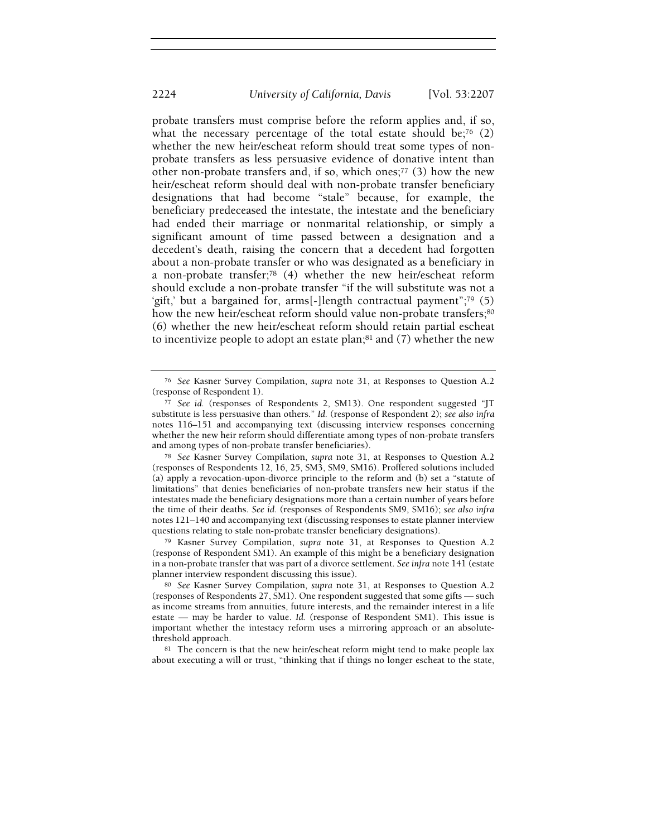probate transfers must comprise before the reform applies and, if so, what the necessary percentage of the total estate should be;<sup>76</sup>  $(2)$ whether the new heir/escheat reform should treat some types of nonprobate transfers as less persuasive evidence of donative intent than other non-probate transfers and, if so, which ones;<sup>77</sup> (3) how the new heir/escheat reform should deal with non-probate transfer beneficiary designations that had become "stale" because, for example, the beneficiary predeceased the intestate, the intestate and the beneficiary had ended their marriage or nonmarital relationship, or simply a significant amount of time passed between a designation and a decedent's death, raising the concern that a decedent had forgotten about a non-probate transfer or who was designated as a beneficiary in a non-probate transfer;<sup>78</sup> (4) whether the new heir/escheat reform should exclude a non-probate transfer "if the will substitute was not a 'gift,' but a bargained for, arms[-]length contractual payment";<sup>79</sup> (5) how the new heir/escheat reform should value non-probate transfers;80 (6) whether the new heir/escheat reform should retain partial escheat to incentivize people to adopt an estate plan; $81$  and (7) whether the new

<sup>79</sup> Kasner Survey Compilation, supra note 31, at Responses to Question A.2 (response of Respondent SM1). An example of this might be a beneficiary designation in a non-probate transfer that was part of a divorce settlement. See infra note 141 (estate planner interview respondent discussing this issue).

<sup>76</sup> See Kasner Survey Compilation, supra note 31, at Responses to Question A.2 (response of Respondent 1).

<sup>77</sup> See id. (responses of Respondents 2, SM13). One respondent suggested "JT substitute is less persuasive than others." Id. (response of Respondent 2); see also infra notes 116–151 and accompanying text (discussing interview responses concerning whether the new heir reform should differentiate among types of non-probate transfers and among types of non-probate transfer beneficiaries).

<sup>78</sup> See Kasner Survey Compilation, supra note 31, at Responses to Question A.2 (responses of Respondents 12, 16, 25, SM3, SM9, SM16). Proffered solutions included (a) apply a revocation-upon-divorce principle to the reform and (b) set a "statute of limitations" that denies beneficiaries of non-probate transfers new heir status if the intestates made the beneficiary designations more than a certain number of years before the time of their deaths. See id. (responses of Respondents SM9, SM16); see also infra notes 121–140 and accompanying text (discussing responses to estate planner interview questions relating to stale non-probate transfer beneficiary designations).

<sup>80</sup> See Kasner Survey Compilation, supra note 31, at Responses to Question A.2 (responses of Respondents 27, SM1). One respondent suggested that some gifts — such as income streams from annuities, future interests, and the remainder interest in a life estate — may be harder to value. Id. (response of Respondent SM1). This issue is important whether the intestacy reform uses a mirroring approach or an absolutethreshold approach.

<sup>81</sup> The concern is that the new heir/escheat reform might tend to make people lax about executing a will or trust, "thinking that if things no longer escheat to the state,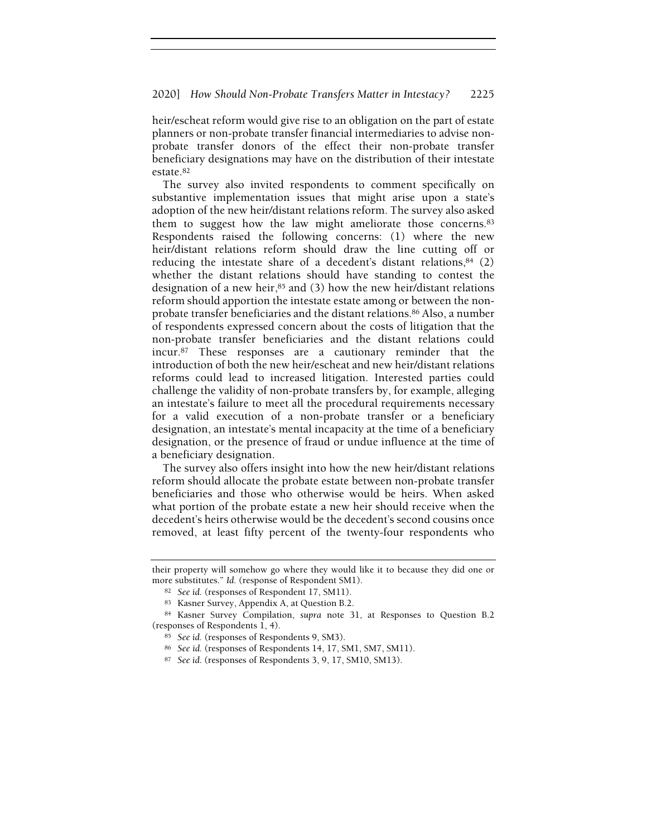## 2020] How Should Non-Probate Transfers Matter in Intestacy? 2225

heir/escheat reform would give rise to an obligation on the part of estate planners or non-probate transfer financial intermediaries to advise nonprobate transfer donors of the effect their non-probate transfer beneficiary designations may have on the distribution of their intestate estate.<sup>82</sup>

The survey also invited respondents to comment specifically on substantive implementation issues that might arise upon a state's adoption of the new heir/distant relations reform. The survey also asked them to suggest how the law might ameliorate those concerns.<sup>83</sup> Respondents raised the following concerns: (1) where the new heir/distant relations reform should draw the line cutting off or reducing the intestate share of a decedent's distant relations, $84$  (2) whether the distant relations should have standing to contest the designation of a new heir, $85$  and (3) how the new heir/distant relations reform should apportion the intestate estate among or between the nonprobate transfer beneficiaries and the distant relations.<sup>86</sup> Also, a number of respondents expressed concern about the costs of litigation that the non-probate transfer beneficiaries and the distant relations could incur.<sup>87</sup> These responses are a cautionary reminder that the introduction of both the new heir/escheat and new heir/distant relations reforms could lead to increased litigation. Interested parties could challenge the validity of non-probate transfers by, for example, alleging an intestate's failure to meet all the procedural requirements necessary for a valid execution of a non-probate transfer or a beneficiary designation, an intestate's mental incapacity at the time of a beneficiary designation, or the presence of fraud or undue influence at the time of a beneficiary designation.

The survey also offers insight into how the new heir/distant relations reform should allocate the probate estate between non-probate transfer beneficiaries and those who otherwise would be heirs. When asked what portion of the probate estate a new heir should receive when the decedent's heirs otherwise would be the decedent's second cousins once removed, at least fifty percent of the twenty-four respondents who

their property will somehow go where they would like it to because they did one or more substitutes." Id. (response of Respondent SM1).

<sup>82</sup> See id. (responses of Respondent 17, SM11).

<sup>83</sup> Kasner Survey, Appendix A, at Question B.2.

<sup>84</sup> Kasner Survey Compilation, supra note 31, at Responses to Question B.2 (responses of Respondents 1, 4).

<sup>85</sup> See id. (responses of Respondents 9, SM3).

<sup>86</sup> See id. (responses of Respondents 14, 17, SM1, SM7, SM11).

<sup>87</sup> See id. (responses of Respondents 3, 9, 17, SM10, SM13).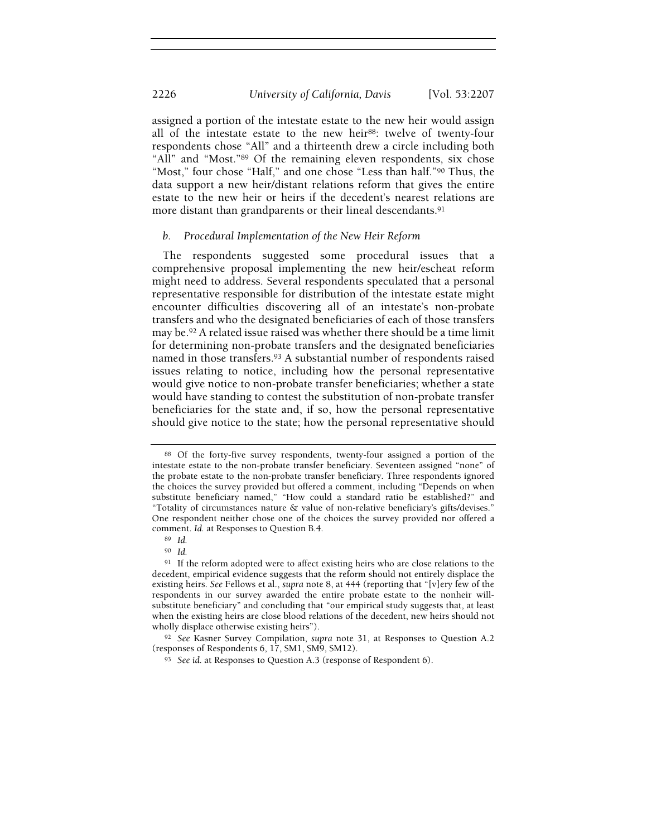assigned a portion of the intestate estate to the new heir would assign all of the intestate estate to the new heir<sup>88</sup>: twelve of twenty-four respondents chose "All" and a thirteenth drew a circle including both "All" and "Most."89 Of the remaining eleven respondents, six chose "Most," four chose "Half," and one chose "Less than half."<sup>90</sup> Thus, the data support a new heir/distant relations reform that gives the entire estate to the new heir or heirs if the decedent's nearest relations are more distant than grandparents or their lineal descendants.<sup>91</sup>

#### b. Procedural Implementation of the New Heir Reform

The respondents suggested some procedural issues that a comprehensive proposal implementing the new heir/escheat reform might need to address. Several respondents speculated that a personal representative responsible for distribution of the intestate estate might encounter difficulties discovering all of an intestate's non-probate transfers and who the designated beneficiaries of each of those transfers may be.<sup>92</sup> A related issue raised was whether there should be a time limit for determining non-probate transfers and the designated beneficiaries named in those transfers.<sup>93</sup> A substantial number of respondents raised issues relating to notice, including how the personal representative would give notice to non-probate transfer beneficiaries; whether a state would have standing to contest the substitution of non-probate transfer beneficiaries for the state and, if so, how the personal representative should give notice to the state; how the personal representative should

<sup>88</sup> Of the forty-five survey respondents, twenty-four assigned a portion of the intestate estate to the non-probate transfer beneficiary. Seventeen assigned "none" of the probate estate to the non-probate transfer beneficiary. Three respondents ignored the choices the survey provided but offered a comment, including "Depends on when substitute beneficiary named," "How could a standard ratio be established?" and "Totality of circumstances nature & value of non-relative beneficiary's gifts/devises." One respondent neither chose one of the choices the survey provided nor offered a comment. Id. at Responses to Question B.4.

<sup>89</sup> Id.

<sup>90</sup> Id.

<sup>&</sup>lt;sup>91</sup> If the reform adopted were to affect existing heirs who are close relations to the decedent, empirical evidence suggests that the reform should not entirely displace the existing heirs. See Fellows et al., supra note 8, at 444 (reporting that "[v]ery few of the respondents in our survey awarded the entire probate estate to the nonheir willsubstitute beneficiary" and concluding that "our empirical study suggests that, at least when the existing heirs are close blood relations of the decedent, new heirs should not wholly displace otherwise existing heirs").

<sup>92</sup> See Kasner Survey Compilation, supra note 31, at Responses to Question A.2 (responses of Respondents 6, 17, SM1, SM9, SM12).

<sup>93</sup> See id. at Responses to Question A.3 (response of Respondent 6).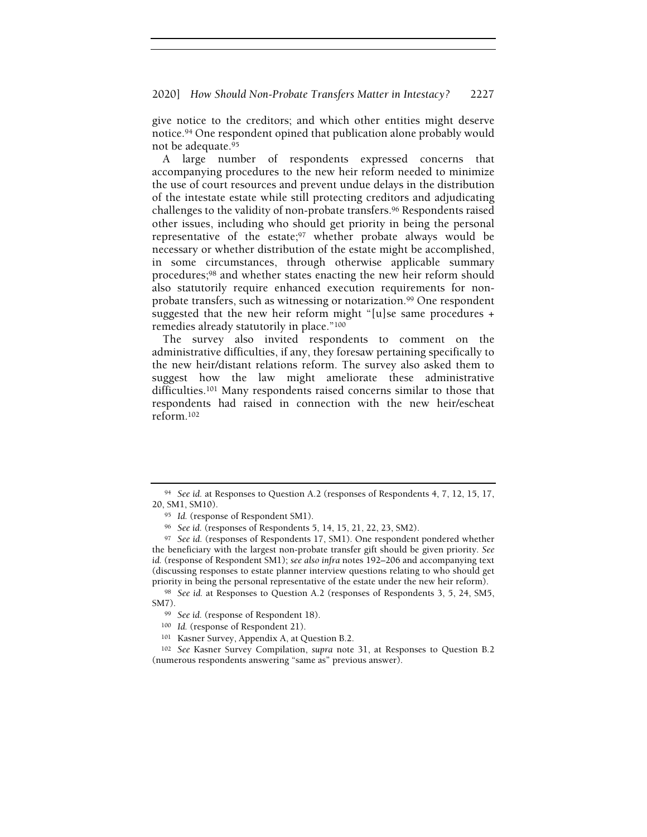#### 2020] How Should Non-Probate Transfers Matter in Intestacy? 2227

give notice to the creditors; and which other entities might deserve notice.<sup>94</sup> One respondent opined that publication alone probably would not be adequate.<sup>95</sup>

A large number of respondents expressed concerns that accompanying procedures to the new heir reform needed to minimize the use of court resources and prevent undue delays in the distribution of the intestate estate while still protecting creditors and adjudicating challenges to the validity of non-probate transfers.<sup>96</sup> Respondents raised other issues, including who should get priority in being the personal representative of the estate;<sup>97</sup> whether probate always would be necessary or whether distribution of the estate might be accomplished, in some circumstances, through otherwise applicable summary procedures;<sup>98</sup> and whether states enacting the new heir reform should also statutorily require enhanced execution requirements for nonprobate transfers, such as witnessing or notarization.<sup>99</sup> One respondent suggested that the new heir reform might "[u]se same procedures + remedies already statutorily in place."<sup>100</sup>

The survey also invited respondents to comment on the administrative difficulties, if any, they foresaw pertaining specifically to the new heir/distant relations reform. The survey also asked them to suggest how the law might ameliorate these administrative difficulties.<sup>101</sup> Many respondents raised concerns similar to those that respondents had raised in connection with the new heir/escheat reform.<sup>102</sup>

<sup>94</sup> See id. at Responses to Question A.2 (responses of Respondents 4, 7, 12, 15, 17, 20, SM1, SM10).

<sup>95</sup> Id. (response of Respondent SM1).

<sup>96</sup> See id. (responses of Respondents 5, 14, 15, 21, 22, 23, SM2).

<sup>97</sup> See id. (responses of Respondents 17, SM1). One respondent pondered whether the beneficiary with the largest non-probate transfer gift should be given priority. See id. (response of Respondent SM1); see also infra notes 192–206 and accompanying text (discussing responses to estate planner interview questions relating to who should get priority in being the personal representative of the estate under the new heir reform).

<sup>98</sup> See id. at Responses to Question A.2 (responses of Respondents 3, 5, 24, SM5, SM7).

<sup>99</sup> See id. (response of Respondent 18).

<sup>100</sup> Id. (response of Respondent 21).

<sup>101</sup> Kasner Survey, Appendix A, at Question B.2.

<sup>102</sup> See Kasner Survey Compilation, supra note 31, at Responses to Question B.2 (numerous respondents answering "same as" previous answer).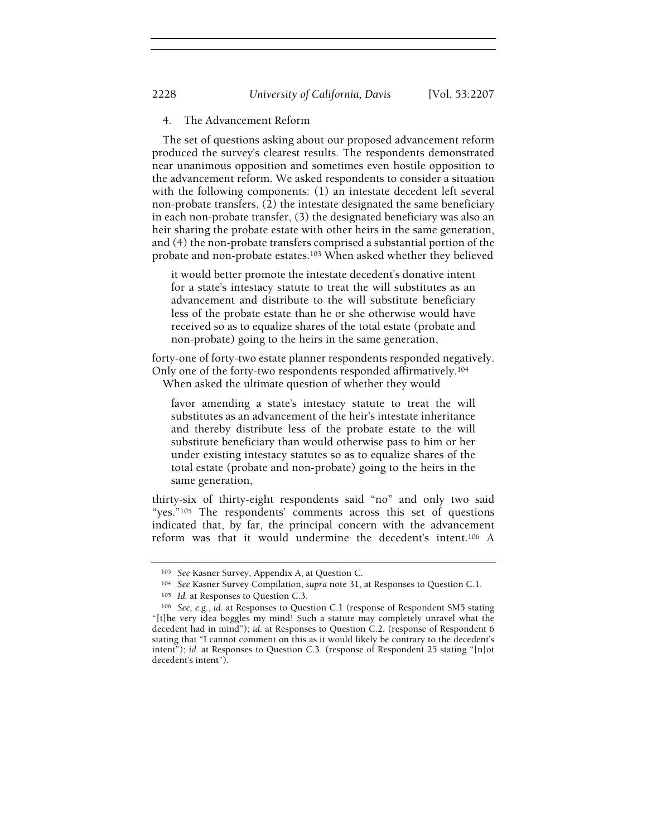# 4. The Advancement Reform

The set of questions asking about our proposed advancement reform produced the survey's clearest results. The respondents demonstrated near unanimous opposition and sometimes even hostile opposition to the advancement reform. We asked respondents to consider a situation with the following components: (1) an intestate decedent left several non-probate transfers, (2) the intestate designated the same beneficiary in each non-probate transfer, (3) the designated beneficiary was also an heir sharing the probate estate with other heirs in the same generation, and (4) the non-probate transfers comprised a substantial portion of the probate and non-probate estates.<sup>103</sup> When asked whether they believed

it would better promote the intestate decedent's donative intent for a state's intestacy statute to treat the will substitutes as an advancement and distribute to the will substitute beneficiary less of the probate estate than he or she otherwise would have received so as to equalize shares of the total estate (probate and non-probate) going to the heirs in the same generation,

forty-one of forty-two estate planner respondents responded negatively. Only one of the forty-two respondents responded affirmatively.<sup>104</sup> When asked the ultimate question of whether they would

favor amending a state's intestacy statute to treat the will substitutes as an advancement of the heir's intestate inheritance and thereby distribute less of the probate estate to the will substitute beneficiary than would otherwise pass to him or her under existing intestacy statutes so as to equalize shares of the total estate (probate and non-probate) going to the heirs in the same generation,

thirty-six of thirty-eight respondents said "no" and only two said "yes."<sup>105</sup> The respondents' comments across this set of questions indicated that, by far, the principal concern with the advancement reform was that it would undermine the decedent's intent.<sup>106</sup> A

<sup>103</sup> See Kasner Survey, Appendix A, at Question C.

<sup>&</sup>lt;sup>104</sup> See Kasner Survey Compilation, supra note 31, at Responses to Question C.1.

<sup>105</sup> Id. at Responses to Question C.3.

<sup>106</sup> See, e.g., id. at Responses to Question C.1 (response of Respondent SM5 stating "[t]he very idea boggles my mind! Such a statute may completely unravel what the decedent had in mind"); id. at Responses to Question C.2. (response of Respondent 6 stating that "I cannot comment on this as it would likely be contrary to the decedent's intent"); id. at Responses to Question C.3. (response of Respondent 25 stating "[n]ot decedent's intent").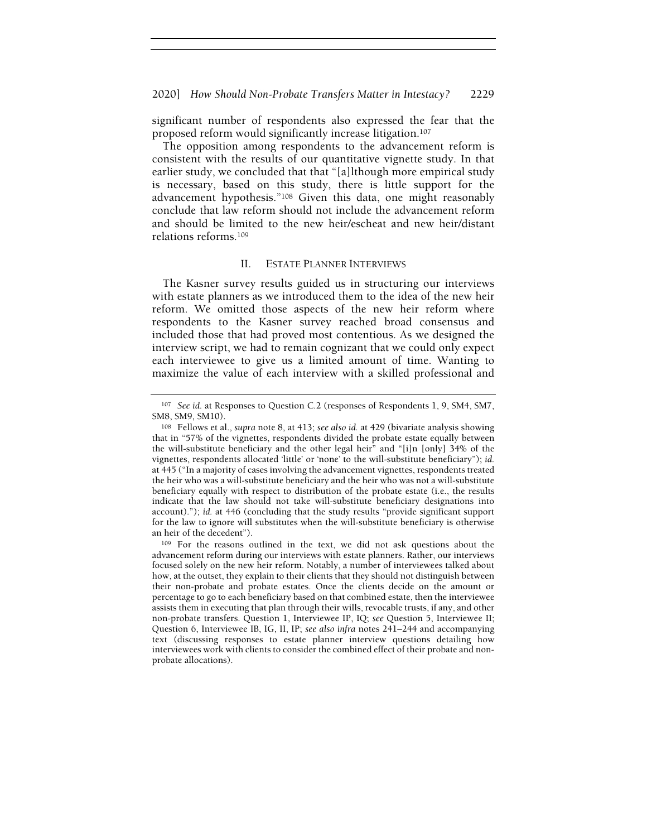#### 2020] How Should Non-Probate Transfers Matter in Intestacy? 2229

significant number of respondents also expressed the fear that the proposed reform would significantly increase litigation.<sup>107</sup>

The opposition among respondents to the advancement reform is consistent with the results of our quantitative vignette study. In that earlier study, we concluded that that "[a]lthough more empirical study is necessary, based on this study, there is little support for the advancement hypothesis."<sup>108</sup> Given this data, one might reasonably conclude that law reform should not include the advancement reform and should be limited to the new heir/escheat and new heir/distant relations reforms.<sup>109</sup>

### II. ESTATE PLANNER INTERVIEWS

The Kasner survey results guided us in structuring our interviews with estate planners as we introduced them to the idea of the new heir reform. We omitted those aspects of the new heir reform where respondents to the Kasner survey reached broad consensus and included those that had proved most contentious. As we designed the interview script, we had to remain cognizant that we could only expect each interviewee to give us a limited amount of time. Wanting to maximize the value of each interview with a skilled professional and

<sup>107</sup> See id. at Responses to Question C.2 (responses of Respondents 1, 9, SM4, SM7, SM8, SM9, SM10).

<sup>108</sup> Fellows et al., supra note 8, at 413; see also id. at 429 (bivariate analysis showing that in "57% of the vignettes, respondents divided the probate estate equally between the will-substitute beneficiary and the other legal heir" and "[i]n [only] 34% of the vignettes, respondents allocated 'little' or 'none' to the will-substitute beneficiary"); id. at 445 ("In a majority of cases involving the advancement vignettes, respondents treated the heir who was a will-substitute beneficiary and the heir who was not a will-substitute beneficiary equally with respect to distribution of the probate estate (i.e., the results indicate that the law should not take will-substitute beneficiary designations into account)."); id. at 446 (concluding that the study results "provide significant support for the law to ignore will substitutes when the will-substitute beneficiary is otherwise an heir of the decedent").

<sup>109</sup> For the reasons outlined in the text, we did not ask questions about the advancement reform during our interviews with estate planners. Rather, our interviews focused solely on the new heir reform. Notably, a number of interviewees talked about how, at the outset, they explain to their clients that they should not distinguish between their non-probate and probate estates. Once the clients decide on the amount or percentage to go to each beneficiary based on that combined estate, then the interviewee assists them in executing that plan through their wills, revocable trusts, if any, and other non-probate transfers. Question 1, Interviewee IP, IQ; see Question 5, Interviewee II; Question 6, Interviewee IB, IG, II, IP; see also infra notes 241–244 and accompanying text (discussing responses to estate planner interview questions detailing how interviewees work with clients to consider the combined effect of their probate and nonprobate allocations).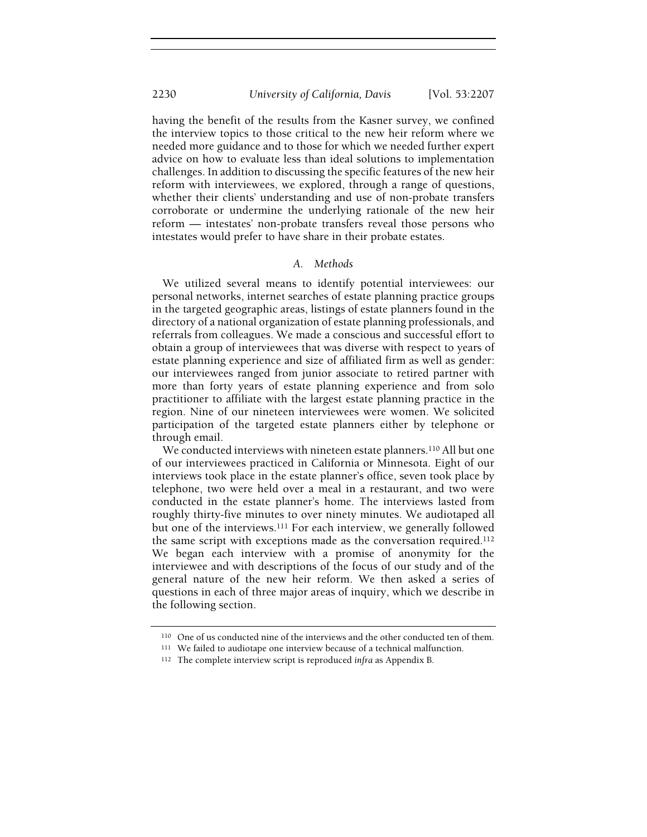having the benefit of the results from the Kasner survey, we confined the interview topics to those critical to the new heir reform where we needed more guidance and to those for which we needed further expert advice on how to evaluate less than ideal solutions to implementation challenges. In addition to discussing the specific features of the new heir reform with interviewees, we explored, through a range of questions, whether their clients' understanding and use of non-probate transfers corroborate or undermine the underlying rationale of the new heir reform — intestates' non-probate transfers reveal those persons who intestates would prefer to have share in their probate estates.

#### A. Methods

We utilized several means to identify potential interviewees: our personal networks, internet searches of estate planning practice groups in the targeted geographic areas, listings of estate planners found in the directory of a national organization of estate planning professionals, and referrals from colleagues. We made a conscious and successful effort to obtain a group of interviewees that was diverse with respect to years of estate planning experience and size of affiliated firm as well as gender: our interviewees ranged from junior associate to retired partner with more than forty years of estate planning experience and from solo practitioner to affiliate with the largest estate planning practice in the region. Nine of our nineteen interviewees were women. We solicited participation of the targeted estate planners either by telephone or through email.

We conducted interviews with nineteen estate planners.<sup>110</sup> All but one of our interviewees practiced in California or Minnesota. Eight of our interviews took place in the estate planner's office, seven took place by telephone, two were held over a meal in a restaurant, and two were conducted in the estate planner's home. The interviews lasted from roughly thirty-five minutes to over ninety minutes. We audiotaped all but one of the interviews.<sup>111</sup> For each interview, we generally followed the same script with exceptions made as the conversation required.<sup>112</sup> We began each interview with a promise of anonymity for the interviewee and with descriptions of the focus of our study and of the general nature of the new heir reform. We then asked a series of questions in each of three major areas of inquiry, which we describe in the following section.

<sup>110</sup> One of us conducted nine of the interviews and the other conducted ten of them.

<sup>111</sup> We failed to audiotape one interview because of a technical malfunction.

<sup>&</sup>lt;sup>112</sup> The complete interview script is reproduced infra as Appendix B.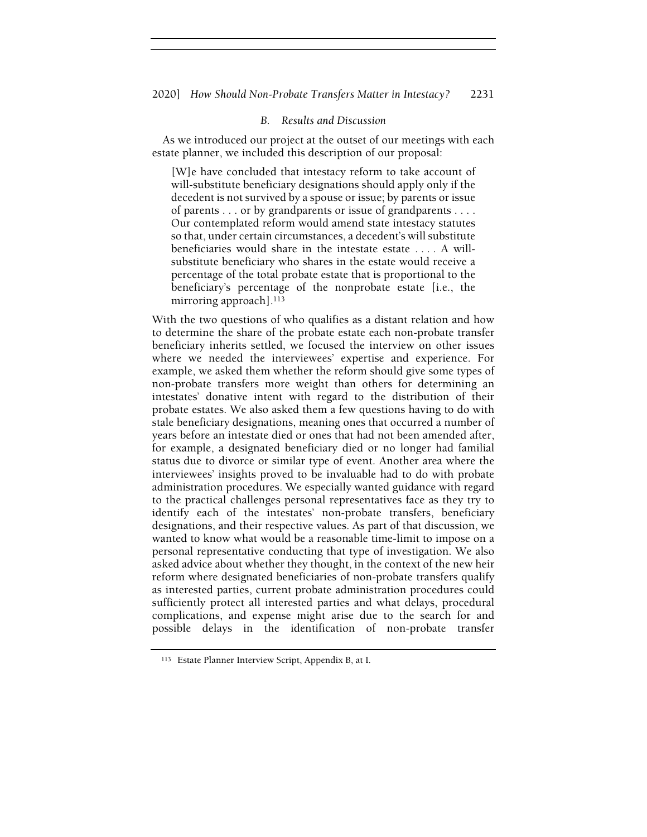# B. Results and Discussion

As we introduced our project at the outset of our meetings with each estate planner, we included this description of our proposal:

[W]e have concluded that intestacy reform to take account of will-substitute beneficiary designations should apply only if the decedent is not survived by a spouse or issue; by parents or issue of parents . . . or by grandparents or issue of grandparents . . . . Our contemplated reform would amend state intestacy statutes so that, under certain circumstances, a decedent's will substitute beneficiaries would share in the intestate estate . . . . A willsubstitute beneficiary who shares in the estate would receive a percentage of the total probate estate that is proportional to the beneficiary's percentage of the nonprobate estate [i.e., the mirroring approach].<sup>113</sup>

With the two questions of who qualifies as a distant relation and how to determine the share of the probate estate each non-probate transfer beneficiary inherits settled, we focused the interview on other issues where we needed the interviewees' expertise and experience. For example, we asked them whether the reform should give some types of non-probate transfers more weight than others for determining an intestates' donative intent with regard to the distribution of their probate estates. We also asked them a few questions having to do with stale beneficiary designations, meaning ones that occurred a number of years before an intestate died or ones that had not been amended after, for example, a designated beneficiary died or no longer had familial status due to divorce or similar type of event. Another area where the interviewees' insights proved to be invaluable had to do with probate administration procedures. We especially wanted guidance with regard to the practical challenges personal representatives face as they try to identify each of the intestates' non-probate transfers, beneficiary designations, and their respective values. As part of that discussion, we wanted to know what would be a reasonable time-limit to impose on a personal representative conducting that type of investigation. We also asked advice about whether they thought, in the context of the new heir reform where designated beneficiaries of non-probate transfers qualify as interested parties, current probate administration procedures could sufficiently protect all interested parties and what delays, procedural complications, and expense might arise due to the search for and possible delays in the identification of non-probate transfer

<sup>113</sup> Estate Planner Interview Script, Appendix B, at I.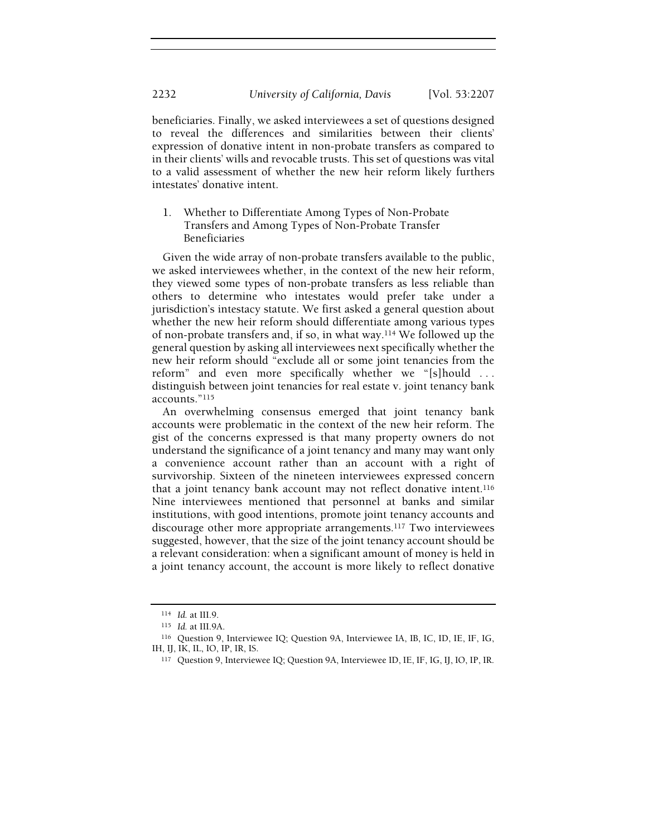beneficiaries. Finally, we asked interviewees a set of questions designed to reveal the differences and similarities between their clients' expression of donative intent in non-probate transfers as compared to in their clients' wills and revocable trusts. This set of questions was vital to a valid assessment of whether the new heir reform likely furthers intestates' donative intent.

1. Whether to Differentiate Among Types of Non-Probate Transfers and Among Types of Non-Probate Transfer Beneficiaries

Given the wide array of non-probate transfers available to the public, we asked interviewees whether, in the context of the new heir reform, they viewed some types of non-probate transfers as less reliable than others to determine who intestates would prefer take under a jurisdiction's intestacy statute. We first asked a general question about whether the new heir reform should differentiate among various types of non-probate transfers and, if so, in what way.<sup>114</sup> We followed up the general question by asking all interviewees next specifically whether the new heir reform should "exclude all or some joint tenancies from the reform" and even more specifically whether we "[s]hould . . . distinguish between joint tenancies for real estate v. joint tenancy bank accounts."<sup>115</sup>

An overwhelming consensus emerged that joint tenancy bank accounts were problematic in the context of the new heir reform. The gist of the concerns expressed is that many property owners do not understand the significance of a joint tenancy and many may want only a convenience account rather than an account with a right of survivorship. Sixteen of the nineteen interviewees expressed concern that a joint tenancy bank account may not reflect donative intent.<sup>116</sup> Nine interviewees mentioned that personnel at banks and similar institutions, with good intentions, promote joint tenancy accounts and discourage other more appropriate arrangements.<sup>117</sup> Two interviewees suggested, however, that the size of the joint tenancy account should be a relevant consideration: when a significant amount of money is held in a joint tenancy account, the account is more likely to reflect donative

<sup>114</sup> Id. at III.9.

<sup>115</sup> Id. at III.9A.

<sup>116</sup> Question 9, Interviewee IQ; Question 9A, Interviewee IA, IB, IC, ID, IE, IF, IG, IH, IJ, IK, IL, IO, IP, IR, IS.

<sup>117</sup> Question 9, Interviewee IQ; Question 9A, Interviewee ID, IE, IF, IG, IJ, IO, IP, IR.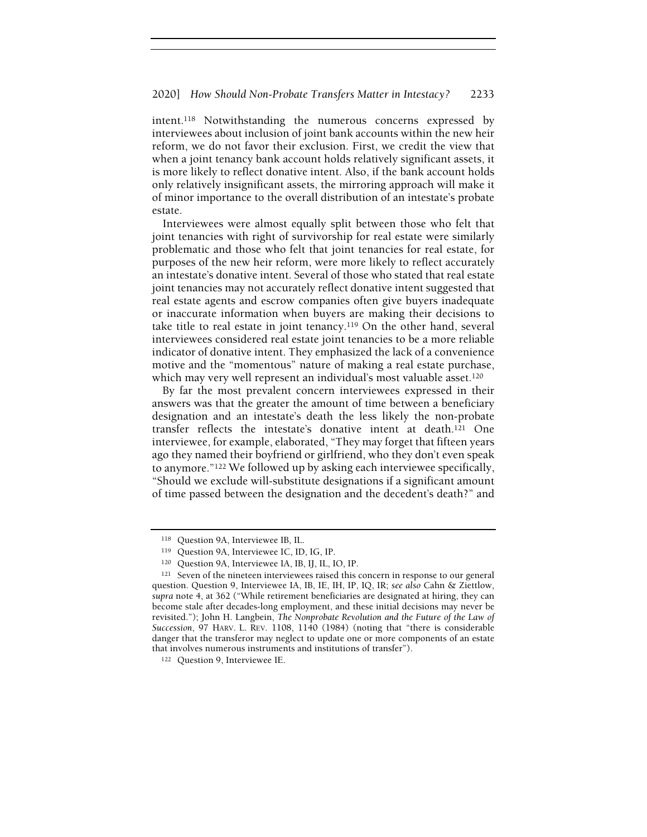intent.<sup>118</sup> Notwithstanding the numerous concerns expressed by interviewees about inclusion of joint bank accounts within the new heir reform, we do not favor their exclusion. First, we credit the view that when a joint tenancy bank account holds relatively significant assets, it is more likely to reflect donative intent. Also, if the bank account holds only relatively insignificant assets, the mirroring approach will make it of minor importance to the overall distribution of an intestate's probate estate.

Interviewees were almost equally split between those who felt that joint tenancies with right of survivorship for real estate were similarly problematic and those who felt that joint tenancies for real estate, for purposes of the new heir reform, were more likely to reflect accurately an intestate's donative intent. Several of those who stated that real estate joint tenancies may not accurately reflect donative intent suggested that real estate agents and escrow companies often give buyers inadequate or inaccurate information when buyers are making their decisions to take title to real estate in joint tenancy.<sup>119</sup> On the other hand, several interviewees considered real estate joint tenancies to be a more reliable indicator of donative intent. They emphasized the lack of a convenience motive and the "momentous" nature of making a real estate purchase, which may very well represent an individual's most valuable asset.<sup>120</sup>

By far the most prevalent concern interviewees expressed in their answers was that the greater the amount of time between a beneficiary designation and an intestate's death the less likely the non-probate transfer reflects the intestate's donative intent at death.<sup>121</sup> One interviewee, for example, elaborated, "They may forget that fifteen years ago they named their boyfriend or girlfriend, who they don't even speak to anymore."<sup>122</sup> We followed up by asking each interviewee specifically, "Should we exclude will-substitute designations if a significant amount of time passed between the designation and the decedent's death?" and

<sup>118</sup> Question 9A, Interviewee IB, IL.

<sup>119</sup> Question 9A, Interviewee IC, ID, IG, IP.

<sup>120</sup> Question 9A, Interviewee IA, IB, IJ, IL, IO, IP.

<sup>121</sup> Seven of the nineteen interviewees raised this concern in response to our general question. Question 9, Interviewee IA, IB, IE, IH, IP, IQ, IR; see also Cahn & Ziettlow, supra note 4, at 362 ("While retirement beneficiaries are designated at hiring, they can become stale after decades-long employment, and these initial decisions may never be revisited."); John H. Langbein, The Nonprobate Revolution and the Future of the Law of Succession, 97 HARV. L. REV. 1108, 1140 (1984) (noting that "there is considerable danger that the transferor may neglect to update one or more components of an estate that involves numerous instruments and institutions of transfer").

<sup>122</sup> Question 9, Interviewee IE.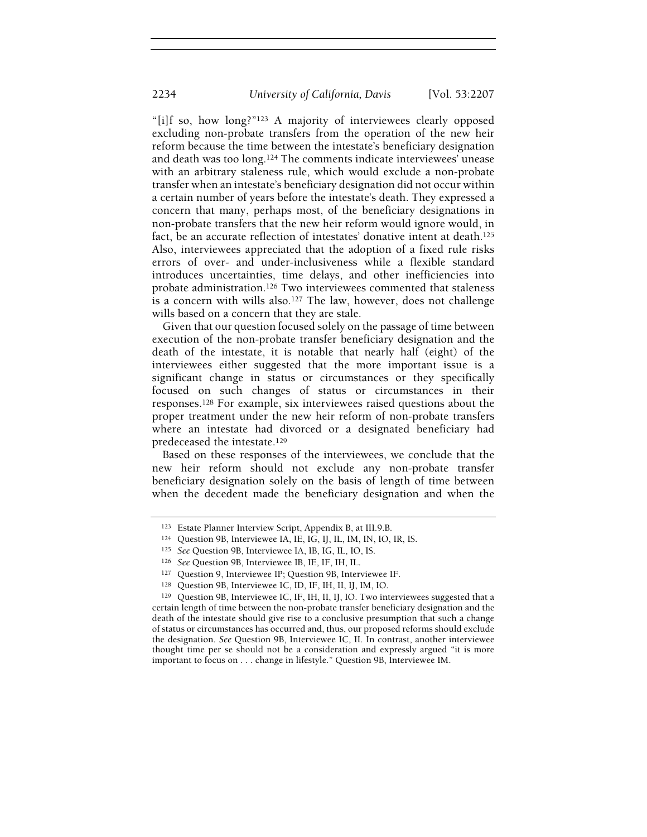"[i]f so, how long?"<sup>123</sup> A majority of interviewees clearly opposed excluding non-probate transfers from the operation of the new heir reform because the time between the intestate's beneficiary designation and death was too long.<sup>124</sup> The comments indicate interviewees' unease with an arbitrary staleness rule, which would exclude a non-probate transfer when an intestate's beneficiary designation did not occur within a certain number of years before the intestate's death. They expressed a concern that many, perhaps most, of the beneficiary designations in non-probate transfers that the new heir reform would ignore would, in fact, be an accurate reflection of intestates' donative intent at death.<sup>125</sup> Also, interviewees appreciated that the adoption of a fixed rule risks errors of over- and under-inclusiveness while a flexible standard introduces uncertainties, time delays, and other inefficiencies into probate administration.<sup>126</sup> Two interviewees commented that staleness is a concern with wills also.<sup>127</sup> The law, however, does not challenge wills based on a concern that they are stale.

Given that our question focused solely on the passage of time between execution of the non-probate transfer beneficiary designation and the death of the intestate, it is notable that nearly half (eight) of the interviewees either suggested that the more important issue is a significant change in status or circumstances or they specifically focused on such changes of status or circumstances in their responses.<sup>128</sup> For example, six interviewees raised questions about the proper treatment under the new heir reform of non-probate transfers where an intestate had divorced or a designated beneficiary had predeceased the intestate.<sup>129</sup>

Based on these responses of the interviewees, we conclude that the new heir reform should not exclude any non-probate transfer beneficiary designation solely on the basis of length of time between when the decedent made the beneficiary designation and when the

<sup>123</sup> Estate Planner Interview Script, Appendix B, at III.9.B.

<sup>124</sup> Question 9B, Interviewee IA, IE, IG, IJ, IL, IM, IN, IO, IR, IS.

<sup>125</sup> See Question 9B, Interviewee IA, IB, IG, IL, IO, IS.

<sup>126</sup> See Question 9B, Interviewee IB, IE, IF, IH, IL.

<sup>127</sup> Question 9, Interviewee IP; Question 9B, Interviewee IF.

<sup>128</sup> Question 9B, Interviewee IC, ID, IF, IH, II, IJ, IM, IO.

<sup>129</sup> Question 9B, Interviewee IC, IF, IH, II, IJ, IO. Two interviewees suggested that a certain length of time between the non-probate transfer beneficiary designation and the death of the intestate should give rise to a conclusive presumption that such a change of status or circumstances has occurred and, thus, our proposed reforms should exclude the designation. See Question 9B, Interviewee IC, II. In contrast, another interviewee thought time per se should not be a consideration and expressly argued "it is more important to focus on . . . change in lifestyle." Question 9B, Interviewee IM.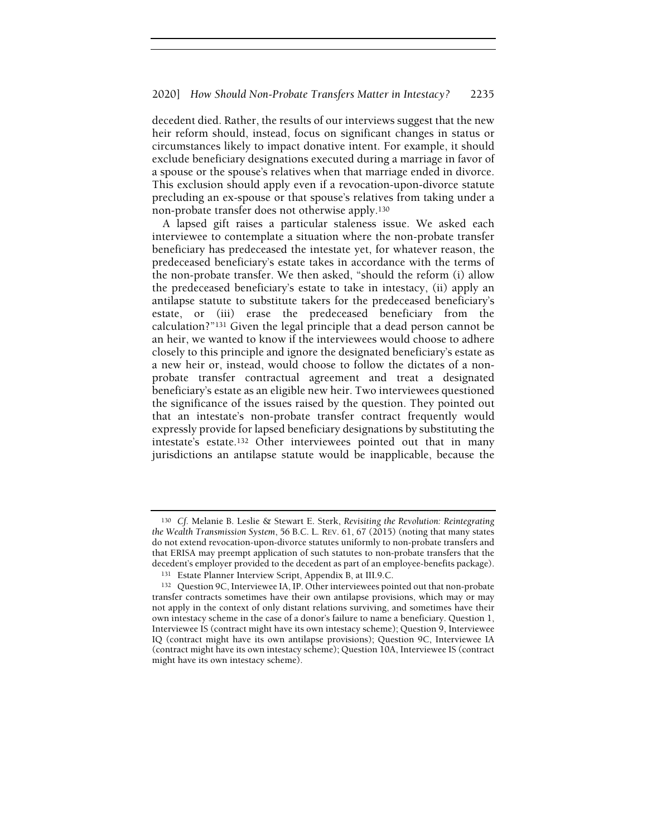decedent died. Rather, the results of our interviews suggest that the new heir reform should, instead, focus on significant changes in status or circumstances likely to impact donative intent. For example, it should exclude beneficiary designations executed during a marriage in favor of a spouse or the spouse's relatives when that marriage ended in divorce. This exclusion should apply even if a revocation-upon-divorce statute precluding an ex-spouse or that spouse's relatives from taking under a non-probate transfer does not otherwise apply.<sup>130</sup>

A lapsed gift raises a particular staleness issue. We asked each interviewee to contemplate a situation where the non-probate transfer beneficiary has predeceased the intestate yet, for whatever reason, the predeceased beneficiary's estate takes in accordance with the terms of the non-probate transfer. We then asked, "should the reform (i) allow the predeceased beneficiary's estate to take in intestacy, (ii) apply an antilapse statute to substitute takers for the predeceased beneficiary's estate, or (iii) erase the predeceased beneficiary from the calculation?"<sup>131</sup> Given the legal principle that a dead person cannot be an heir, we wanted to know if the interviewees would choose to adhere closely to this principle and ignore the designated beneficiary's estate as a new heir or, instead, would choose to follow the dictates of a nonprobate transfer contractual agreement and treat a designated beneficiary's estate as an eligible new heir. Two interviewees questioned the significance of the issues raised by the question. They pointed out that an intestate's non-probate transfer contract frequently would expressly provide for lapsed beneficiary designations by substituting the intestate's estate.<sup>132</sup> Other interviewees pointed out that in many jurisdictions an antilapse statute would be inapplicable, because the

<sup>130</sup> Cf. Melanie B. Leslie & Stewart E. Sterk, Revisiting the Revolution: Reintegrating the Wealth Transmission System, 56 B.C. L. REV. 61, 67 (2015) (noting that many states do not extend revocation-upon-divorce statutes uniformly to non-probate transfers and that ERISA may preempt application of such statutes to non-probate transfers that the decedent's employer provided to the decedent as part of an employee-benefits package).

<sup>131</sup> Estate Planner Interview Script, Appendix B, at III.9.C.

<sup>132</sup> Question 9C, Interviewee IA, IP. Other interviewees pointed out that non-probate transfer contracts sometimes have their own antilapse provisions, which may or may not apply in the context of only distant relations surviving, and sometimes have their own intestacy scheme in the case of a donor's failure to name a beneficiary. Question 1, Interviewee IS (contract might have its own intestacy scheme); Question 9, Interviewee IQ (contract might have its own antilapse provisions); Question 9C, Interviewee IA (contract might have its own intestacy scheme); Question 10A, Interviewee IS (contract might have its own intestacy scheme).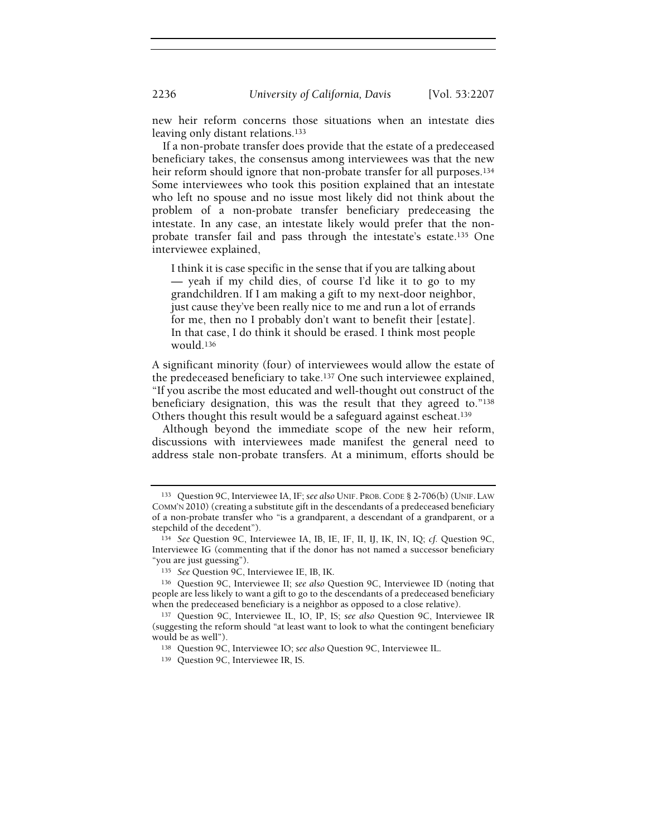new heir reform concerns those situations when an intestate dies leaving only distant relations.<sup>133</sup>

If a non-probate transfer does provide that the estate of a predeceased beneficiary takes, the consensus among interviewees was that the new heir reform should ignore that non-probate transfer for all purposes.<sup>134</sup> Some interviewees who took this position explained that an intestate who left no spouse and no issue most likely did not think about the problem of a non-probate transfer beneficiary predeceasing the intestate. In any case, an intestate likely would prefer that the nonprobate transfer fail and pass through the intestate's estate.<sup>135</sup> One interviewee explained,

I think it is case specific in the sense that if you are talking about — yeah if my child dies, of course I'd like it to go to my grandchildren. If I am making a gift to my next-door neighbor, just cause they've been really nice to me and run a lot of errands for me, then no I probably don't want to benefit their [estate]. In that case, I do think it should be erased. I think most people would.<sup>136</sup>

A significant minority (four) of interviewees would allow the estate of the predeceased beneficiary to take.<sup>137</sup> One such interviewee explained, "If you ascribe the most educated and well-thought out construct of the beneficiary designation, this was the result that they agreed to."<sup>138</sup> Others thought this result would be a safeguard against escheat.<sup>139</sup>

Although beyond the immediate scope of the new heir reform, discussions with interviewees made manifest the general need to address stale non-probate transfers. At a minimum, efforts should be

<sup>133</sup> Question 9C, Interviewee IA, IF; see also UNIF. PROB.CODE § 2-706(b) (UNIF. LAW COMM'N 2010) (creating a substitute gift in the descendants of a predeceased beneficiary of a non-probate transfer who "is a grandparent, a descendant of a grandparent, or a stepchild of the decedent").

<sup>134</sup> See Question 9C, Interviewee IA, IB, IE, IF, II, IJ, IK, IN, IQ; cf. Question 9C, Interviewee IG (commenting that if the donor has not named a successor beneficiary "you are just guessing").

<sup>135</sup> See Question 9C, Interviewee IE, IB, IK.

<sup>136</sup> Question 9C, Interviewee II; see also Question 9C, Interviewee ID (noting that people are less likely to want a gift to go to the descendants of a predeceased beneficiary when the predeceased beneficiary is a neighbor as opposed to a close relative).

<sup>137</sup> Question 9C, Interviewee IL, IO, IP, IS; see also Question 9C, Interviewee IR (suggesting the reform should "at least want to look to what the contingent beneficiary would be as well").

<sup>138</sup> Question 9C, Interviewee IO; see also Question 9C, Interviewee IL.

<sup>139</sup> Question 9C, Interviewee IR, IS.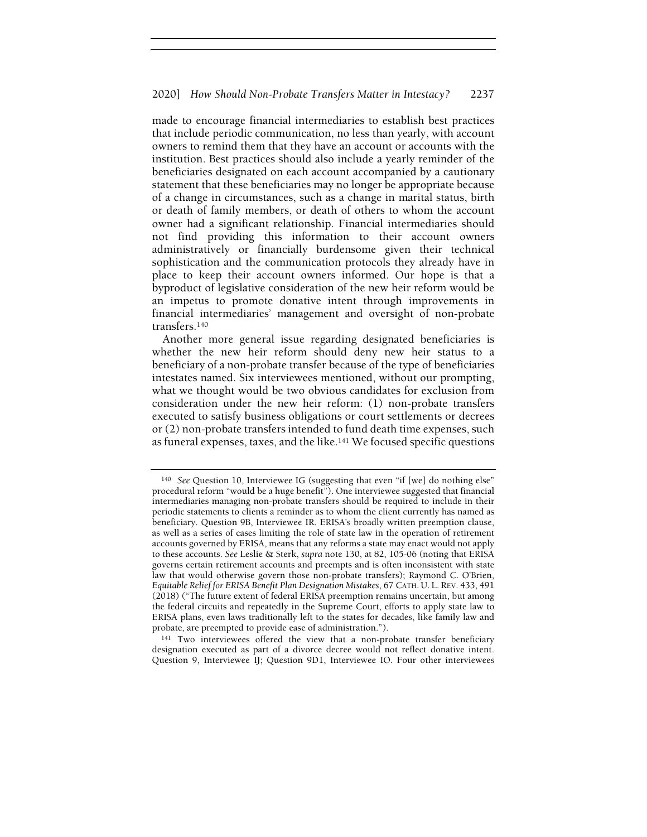made to encourage financial intermediaries to establish best practices that include periodic communication, no less than yearly, with account owners to remind them that they have an account or accounts with the institution. Best practices should also include a yearly reminder of the beneficiaries designated on each account accompanied by a cautionary statement that these beneficiaries may no longer be appropriate because of a change in circumstances, such as a change in marital status, birth or death of family members, or death of others to whom the account owner had a significant relationship. Financial intermediaries should not find providing this information to their account owners administratively or financially burdensome given their technical sophistication and the communication protocols they already have in place to keep their account owners informed. Our hope is that a byproduct of legislative consideration of the new heir reform would be an impetus to promote donative intent through improvements in financial intermediaries' management and oversight of non-probate transfers.<sup>140</sup>

Another more general issue regarding designated beneficiaries is whether the new heir reform should deny new heir status to a beneficiary of a non-probate transfer because of the type of beneficiaries intestates named. Six interviewees mentioned, without our prompting, what we thought would be two obvious candidates for exclusion from consideration under the new heir reform: (1) non-probate transfers executed to satisfy business obligations or court settlements or decrees or (2) non-probate transfers intended to fund death time expenses, such as funeral expenses, taxes, and the like.<sup>141</sup> We focused specific questions

<sup>141</sup> Two interviewees offered the view that a non-probate transfer beneficiary designation executed as part of a divorce decree would not reflect donative intent. Question 9, Interviewee IJ; Question 9D1, Interviewee IO. Four other interviewees

<sup>&</sup>lt;sup>140</sup> See Question 10, Interviewee IG (suggesting that even "if [we] do nothing else" procedural reform "would be a huge benefit"). One interviewee suggested that financial intermediaries managing non-probate transfers should be required to include in their periodic statements to clients a reminder as to whom the client currently has named as beneficiary. Question 9B, Interviewee IR. ERISA's broadly written preemption clause, as well as a series of cases limiting the role of state law in the operation of retirement accounts governed by ERISA, means that any reforms a state may enact would not apply to these accounts. See Leslie & Sterk, supra note 130, at 82, 105-06 (noting that ERISA governs certain retirement accounts and preempts and is often inconsistent with state law that would otherwise govern those non-probate transfers); Raymond C. O'Brien, Equitable Relief for ERISA Benefit Plan Designation Mistakes, 67 CATH. U. L. REV. 433, 491 (2018) ("The future extent of federal ERISA preemption remains uncertain, but among the federal circuits and repeatedly in the Supreme Court, efforts to apply state law to ERISA plans, even laws traditionally left to the states for decades, like family law and probate, are preempted to provide ease of administration.").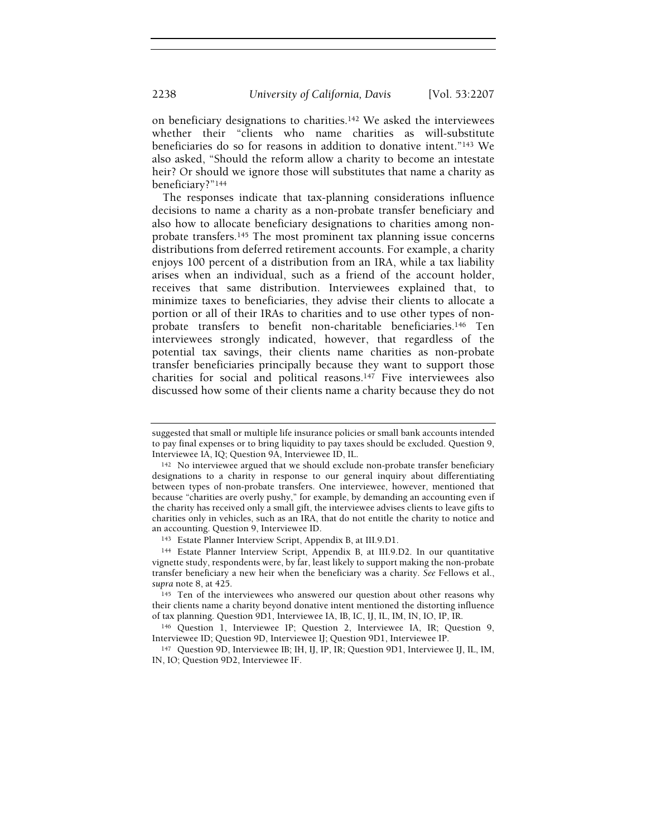2238 University of California, Davis [Vol. 53:2207

on beneficiary designations to charities.<sup>142</sup> We asked the interviewees whether their "clients who name charities as will-substitute beneficiaries do so for reasons in addition to donative intent."<sup>143</sup> We also asked, "Should the reform allow a charity to become an intestate heir? Or should we ignore those will substitutes that name a charity as beneficiary?"<sup>144</sup>

The responses indicate that tax-planning considerations influence decisions to name a charity as a non-probate transfer beneficiary and also how to allocate beneficiary designations to charities among nonprobate transfers.<sup>145</sup> The most prominent tax planning issue concerns distributions from deferred retirement accounts. For example, a charity enjoys 100 percent of a distribution from an IRA, while a tax liability arises when an individual, such as a friend of the account holder, receives that same distribution. Interviewees explained that, to minimize taxes to beneficiaries, they advise their clients to allocate a portion or all of their IRAs to charities and to use other types of nonprobate transfers to benefit non-charitable beneficiaries.<sup>146</sup> Ten interviewees strongly indicated, however, that regardless of the potential tax savings, their clients name charities as non-probate transfer beneficiaries principally because they want to support those charities for social and political reasons.<sup>147</sup> Five interviewees also discussed how some of their clients name a charity because they do not

suggested that small or multiple life insurance policies or small bank accounts intended to pay final expenses or to bring liquidity to pay taxes should be excluded. Question 9, Interviewee IA, IQ; Question 9A, Interviewee ID, IL.

<sup>142</sup> No interviewee argued that we should exclude non-probate transfer beneficiary designations to a charity in response to our general inquiry about differentiating between types of non-probate transfers. One interviewee, however, mentioned that because "charities are overly pushy," for example, by demanding an accounting even if the charity has received only a small gift, the interviewee advises clients to leave gifts to charities only in vehicles, such as an IRA, that do not entitle the charity to notice and an accounting. Question 9, Interviewee ID.

<sup>143</sup> Estate Planner Interview Script, Appendix B, at III.9.D1.

<sup>144</sup> Estate Planner Interview Script, Appendix B, at III.9.D2. In our quantitative vignette study, respondents were, by far, least likely to support making the non-probate transfer beneficiary a new heir when the beneficiary was a charity. See Fellows et al., supra note 8, at 425.

<sup>&</sup>lt;sup>145</sup> Ten of the interviewees who answered our question about other reasons why their clients name a charity beyond donative intent mentioned the distorting influence of tax planning. Question 9D1, Interviewee IA, IB, IC, IJ, IL, IM, IN, IO, IP, IR.

<sup>146</sup> Question 1, Interviewee IP; Question 2, Interviewee IA, IR; Question 9, Interviewee ID; Question 9D, Interviewee IJ; Question 9D1, Interviewee IP.

<sup>147</sup> Question 9D, Interviewee IB; IH, IJ, IP, IR; Question 9D1, Interviewee IJ, IL, IM, IN, IO; Question 9D2, Interviewee IF.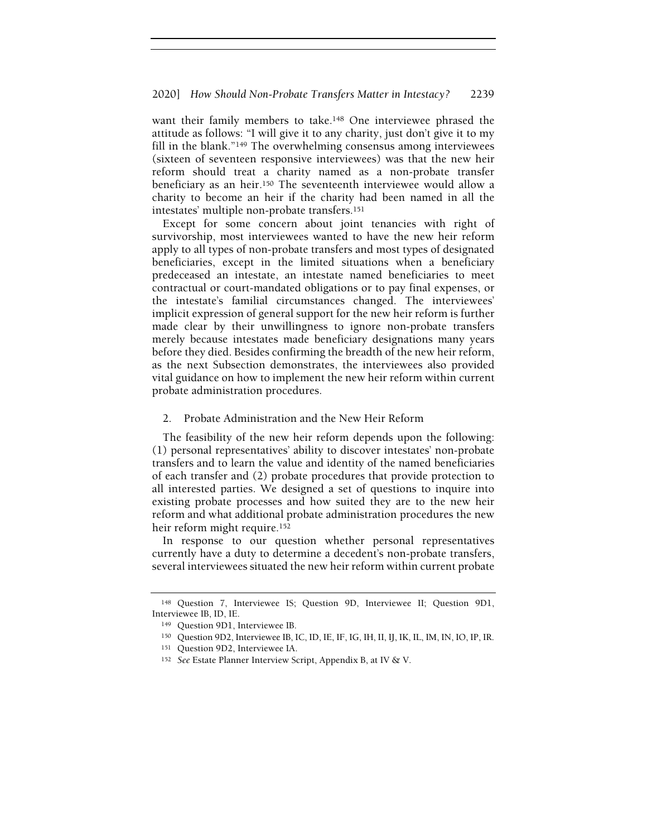want their family members to take.<sup>148</sup> One interviewee phrased the attitude as follows: "I will give it to any charity, just don't give it to my fill in the blank."<sup>149</sup> The overwhelming consensus among interviewees (sixteen of seventeen responsive interviewees) was that the new heir reform should treat a charity named as a non-probate transfer beneficiary as an heir.<sup>150</sup> The seventeenth interviewee would allow a charity to become an heir if the charity had been named in all the intestates' multiple non-probate transfers.<sup>151</sup>

Except for some concern about joint tenancies with right of survivorship, most interviewees wanted to have the new heir reform apply to all types of non-probate transfers and most types of designated beneficiaries, except in the limited situations when a beneficiary predeceased an intestate, an intestate named beneficiaries to meet contractual or court-mandated obligations or to pay final expenses, or the intestate's familial circumstances changed. The interviewees' implicit expression of general support for the new heir reform is further made clear by their unwillingness to ignore non-probate transfers merely because intestates made beneficiary designations many years before they died. Besides confirming the breadth of the new heir reform, as the next Subsection demonstrates, the interviewees also provided vital guidance on how to implement the new heir reform within current probate administration procedures.

2. Probate Administration and the New Heir Reform

The feasibility of the new heir reform depends upon the following: (1) personal representatives' ability to discover intestates' non-probate transfers and to learn the value and identity of the named beneficiaries of each transfer and (2) probate procedures that provide protection to all interested parties. We designed a set of questions to inquire into existing probate processes and how suited they are to the new heir reform and what additional probate administration procedures the new heir reform might require.<sup>152</sup>

In response to our question whether personal representatives currently have a duty to determine a decedent's non-probate transfers, several interviewees situated the new heir reform within current probate

<sup>148</sup> Question 7, Interviewee IS; Question 9D, Interviewee II; Question 9D1, Interviewee IB, ID, IE.

<sup>149</sup> Question 9D1, Interviewee IB.

<sup>150</sup> Question 9D2, Interviewee IB, IC, ID, IE, IF, IG, IH, II, IJ, IK, IL, IM, IN, IO, IP, IR.

<sup>151</sup> Question 9D2, Interviewee IA.

<sup>152</sup> See Estate Planner Interview Script, Appendix B, at IV & V.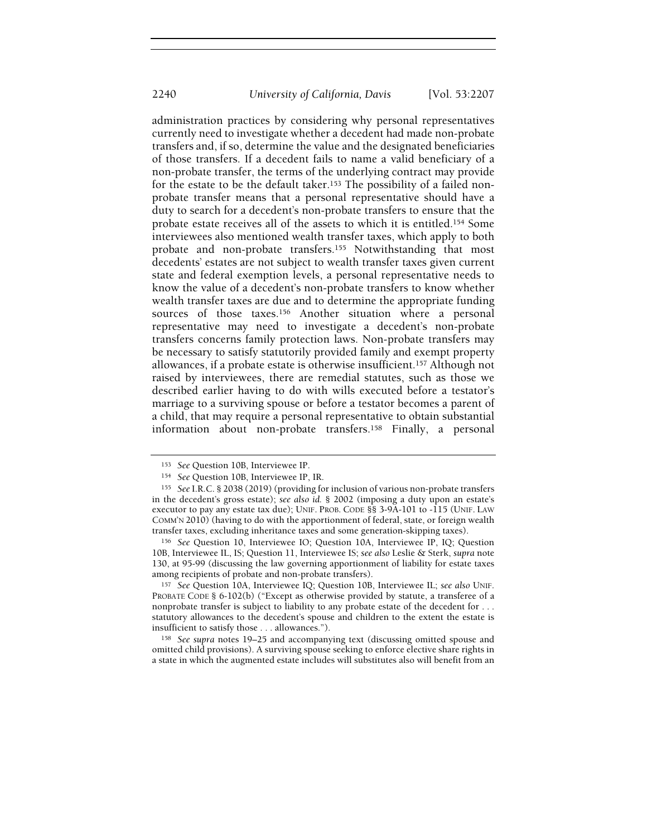administration practices by considering why personal representatives currently need to investigate whether a decedent had made non-probate transfers and, if so, determine the value and the designated beneficiaries of those transfers. If a decedent fails to name a valid beneficiary of a non-probate transfer, the terms of the underlying contract may provide for the estate to be the default taker.<sup>153</sup> The possibility of a failed nonprobate transfer means that a personal representative should have a duty to search for a decedent's non-probate transfers to ensure that the probate estate receives all of the assets to which it is entitled.<sup>154</sup> Some interviewees also mentioned wealth transfer taxes, which apply to both probate and non-probate transfers.<sup>155</sup> Notwithstanding that most decedents' estates are not subject to wealth transfer taxes given current state and federal exemption levels, a personal representative needs to know the value of a decedent's non-probate transfers to know whether wealth transfer taxes are due and to determine the appropriate funding sources of those taxes.<sup>156</sup> Another situation where a personal representative may need to investigate a decedent's non-probate transfers concerns family protection laws. Non-probate transfers may be necessary to satisfy statutorily provided family and exempt property allowances, if a probate estate is otherwise insufficient.<sup>157</sup> Although not raised by interviewees, there are remedial statutes, such as those we described earlier having to do with wills executed before a testator's marriage to a surviving spouse or before a testator becomes a parent of a child, that may require a personal representative to obtain substantial information about non-probate transfers.<sup>158</sup> Finally, a personal

<sup>157</sup> See Question 10A, Interviewee IQ; Question 10B, Interviewee IL; see also UNIF. PROBATE CODE § 6-102(b) ("Except as otherwise provided by statute, a transferee of a nonprobate transfer is subject to liability to any probate estate of the decedent for . . . statutory allowances to the decedent's spouse and children to the extent the estate is insufficient to satisfy those . . . allowances.").

<sup>158</sup> See supra notes 19–25 and accompanying text (discussing omitted spouse and omitted child provisions). A surviving spouse seeking to enforce elective share rights in a state in which the augmented estate includes will substitutes also will benefit from an

<sup>153</sup> See Question 10B, Interviewee IP.

<sup>154</sup> See Question 10B, Interviewee IP, IR.

<sup>155</sup> See I.R.C. § 2038 (2019) (providing for inclusion of various non-probate transfers in the decedent's gross estate); see also id. § 2002 (imposing a duty upon an estate's executor to pay any estate tax due); UNIF. PROB. CODE §§ 3-9A-101 to -115 (UNIF. LAW COMM'N 2010) (having to do with the apportionment of federal, state, or foreign wealth transfer taxes, excluding inheritance taxes and some generation-skipping taxes).

<sup>156</sup> See Question 10, Interviewee IO; Question 10A, Interviewee IP, IQ; Question 10B, Interviewee IL, IS; Question 11, Interviewee IS; see also Leslie & Sterk, supra note 130, at 95-99 (discussing the law governing apportionment of liability for estate taxes among recipients of probate and non-probate transfers).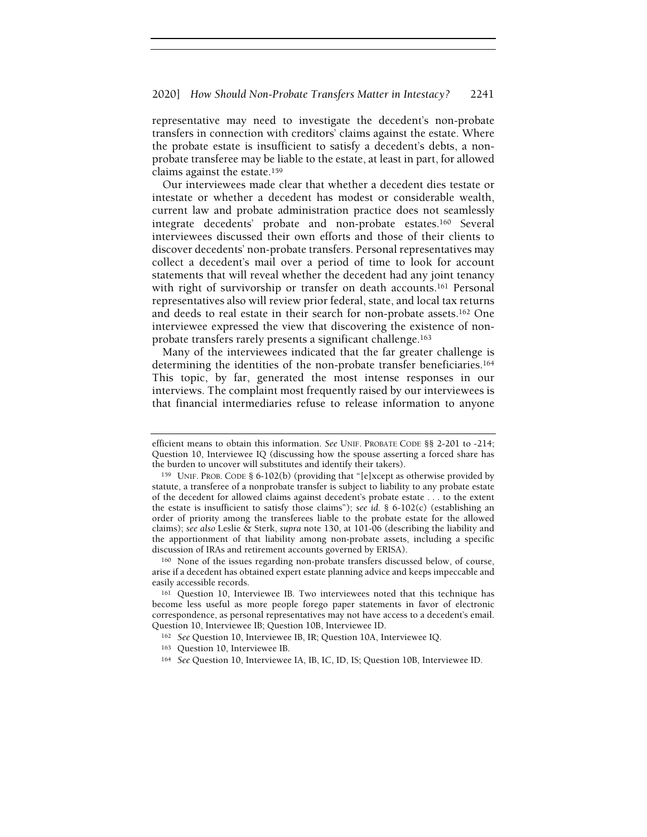representative may need to investigate the decedent's non-probate transfers in connection with creditors' claims against the estate. Where the probate estate is insufficient to satisfy a decedent's debts, a nonprobate transferee may be liable to the estate, at least in part, for allowed claims against the estate.<sup>159</sup>

Our interviewees made clear that whether a decedent dies testate or intestate or whether a decedent has modest or considerable wealth, current law and probate administration practice does not seamlessly integrate decedents' probate and non-probate estates.<sup>160</sup> Several interviewees discussed their own efforts and those of their clients to discover decedents' non-probate transfers. Personal representatives may collect a decedent's mail over a period of time to look for account statements that will reveal whether the decedent had any joint tenancy with right of survivorship or transfer on death accounts.<sup>161</sup> Personal representatives also will review prior federal, state, and local tax returns and deeds to real estate in their search for non-probate assets.<sup>162</sup> One interviewee expressed the view that discovering the existence of nonprobate transfers rarely presents a significant challenge.<sup>163</sup>

Many of the interviewees indicated that the far greater challenge is determining the identities of the non-probate transfer beneficiaries.<sup>164</sup> This topic, by far, generated the most intense responses in our interviews. The complaint most frequently raised by our interviewees is that financial intermediaries refuse to release information to anyone

<sup>160</sup> None of the issues regarding non-probate transfers discussed below, of course, arise if a decedent has obtained expert estate planning advice and keeps impeccable and easily accessible records.

<sup>161</sup> Question 10, Interviewee IB. Two interviewees noted that this technique has become less useful as more people forego paper statements in favor of electronic correspondence, as personal representatives may not have access to a decedent's email. Question 10, Interviewee IB; Question 10B, Interviewee ID.

- <sup>163</sup> Question 10, Interviewee IB.
- <sup>164</sup> See Question 10, Interviewee IA, IB, IC, ID, IS; Question 10B, Interviewee ID.

efficient means to obtain this information. See UNIF. PROBATE CODE §§ 2-201 to -214; Question 10, Interviewee IQ (discussing how the spouse asserting a forced share has the burden to uncover will substitutes and identify their takers).

<sup>159</sup> UNIF. PROB. CODE § 6-102(b) (providing that "[e]xcept as otherwise provided by statute, a transferee of a nonprobate transfer is subject to liability to any probate estate of the decedent for allowed claims against decedent's probate estate . . . to the extent the estate is insufficient to satisfy those claims"); see id.  $\S$  6-102(c) (establishing an order of priority among the transferees liable to the probate estate for the allowed claims); see also Leslie & Sterk, supra note 130, at 101-06 (describing the liability and the apportionment of that liability among non-probate assets, including a specific discussion of IRAs and retirement accounts governed by ERISA).

<sup>162</sup> See Question 10, Interviewee IB, IR; Question 10A, Interviewee IQ.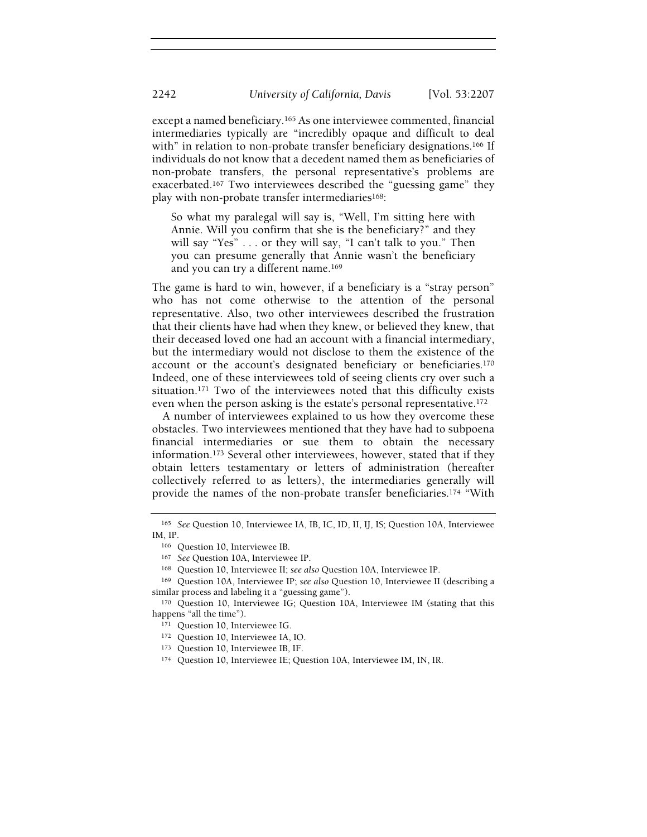except a named beneficiary.<sup>165</sup> As one interviewee commented, financial intermediaries typically are "incredibly opaque and difficult to deal with" in relation to non-probate transfer beneficiary designations.<sup>166</sup> If individuals do not know that a decedent named them as beneficiaries of non-probate transfers, the personal representative's problems are exacerbated.<sup>167</sup> Two interviewees described the "guessing game" they play with non-probate transfer intermediaries<sup>168</sup>:

So what my paralegal will say is, "Well, I'm sitting here with Annie. Will you confirm that she is the beneficiary?" and they will say "Yes" . . . or they will say, "I can't talk to you." Then you can presume generally that Annie wasn't the beneficiary and you can try a different name.<sup>169</sup>

The game is hard to win, however, if a beneficiary is a "stray person" who has not come otherwise to the attention of the personal representative. Also, two other interviewees described the frustration that their clients have had when they knew, or believed they knew, that their deceased loved one had an account with a financial intermediary, but the intermediary would not disclose to them the existence of the account or the account's designated beneficiary or beneficiaries.<sup>170</sup> Indeed, one of these interviewees told of seeing clients cry over such a situation.<sup>171</sup> Two of the interviewees noted that this difficulty exists even when the person asking is the estate's personal representative.<sup>172</sup>

A number of interviewees explained to us how they overcome these obstacles. Two interviewees mentioned that they have had to subpoena financial intermediaries or sue them to obtain the necessary information.<sup>173</sup> Several other interviewees, however, stated that if they obtain letters testamentary or letters of administration (hereafter collectively referred to as letters), the intermediaries generally will provide the names of the non-probate transfer beneficiaries.<sup>174</sup> "With

<sup>165</sup> See Question 10, Interviewee IA, IB, IC, ID, II, IJ, IS; Question 10A, Interviewee IM, IP.

<sup>166</sup> Question 10, Interviewee IB.

<sup>167</sup> See Question 10A, Interviewee IP.

<sup>168</sup> Question 10, Interviewee II; see also Question 10A, Interviewee IP.

<sup>169</sup> Question 10A, Interviewee IP; see also Question 10, Interviewee II (describing a similar process and labeling it a "guessing game").

<sup>170</sup> Question 10, Interviewee IG; Question 10A, Interviewee IM (stating that this happens "all the time").

<sup>171</sup> Question 10, Interviewee IG.

<sup>172</sup> Question 10, Interviewee IA, IO.

<sup>173</sup> Question 10, Interviewee IB, IF.

<sup>174</sup> Question 10, Interviewee IE; Question 10A, Interviewee IM, IN, IR.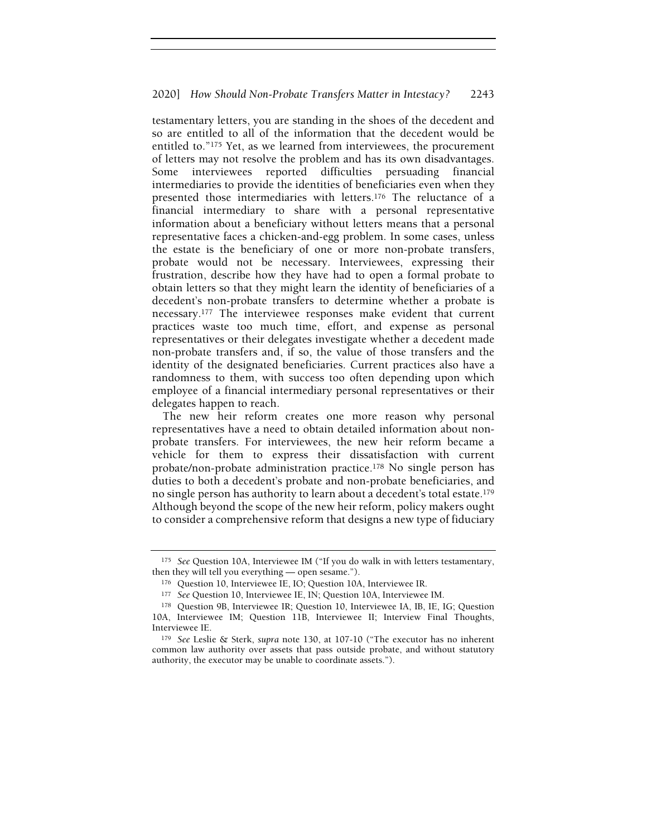testamentary letters, you are standing in the shoes of the decedent and so are entitled to all of the information that the decedent would be entitled to."<sup>175</sup> Yet, as we learned from interviewees, the procurement of letters may not resolve the problem and has its own disadvantages. Some interviewees reported difficulties persuading financial intermediaries to provide the identities of beneficiaries even when they presented those intermediaries with letters.<sup>176</sup> The reluctance of a financial intermediary to share with a personal representative information about a beneficiary without letters means that a personal representative faces a chicken-and-egg problem. In some cases, unless the estate is the beneficiary of one or more non-probate transfers, probate would not be necessary. Interviewees, expressing their frustration, describe how they have had to open a formal probate to obtain letters so that they might learn the identity of beneficiaries of a decedent's non-probate transfers to determine whether a probate is necessary.<sup>177</sup> The interviewee responses make evident that current practices waste too much time, effort, and expense as personal representatives or their delegates investigate whether a decedent made non-probate transfers and, if so, the value of those transfers and the identity of the designated beneficiaries. Current practices also have a randomness to them, with success too often depending upon which employee of a financial intermediary personal representatives or their delegates happen to reach.

The new heir reform creates one more reason why personal representatives have a need to obtain detailed information about nonprobate transfers. For interviewees, the new heir reform became a vehicle for them to express their dissatisfaction with current probate/non-probate administration practice.<sup>178</sup> No single person has duties to both a decedent's probate and non-probate beneficiaries, and no single person has authority to learn about a decedent's total estate.<sup>179</sup> Although beyond the scope of the new heir reform, policy makers ought to consider a comprehensive reform that designs a new type of fiduciary

<sup>&</sup>lt;sup>175</sup> See Question 10A, Interviewee IM ("If you do walk in with letters testamentary, then they will tell you everything — open sesame.").

<sup>176</sup> Question 10, Interviewee IE, IO; Question 10A, Interviewee IR.

<sup>177</sup> See Question 10, Interviewee IE, IN; Question 10A, Interviewee IM.

<sup>178</sup> Question 9B, Interviewee IR; Question 10, Interviewee IA, IB, IE, IG; Question 10A, Interviewee IM; Question 11B, Interviewee II; Interview Final Thoughts, Interviewee IE.

<sup>179</sup> See Leslie & Sterk, supra note 130, at 107-10 ("The executor has no inherent common law authority over assets that pass outside probate, and without statutory authority, the executor may be unable to coordinate assets.").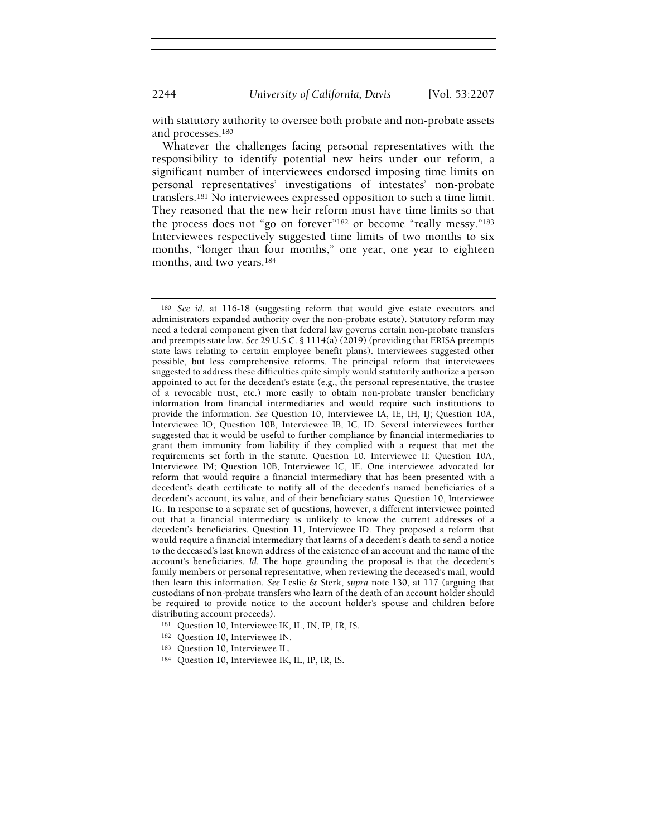with statutory authority to oversee both probate and non-probate assets and processes.<sup>180</sup>

Whatever the challenges facing personal representatives with the responsibility to identify potential new heirs under our reform, a significant number of interviewees endorsed imposing time limits on personal representatives' investigations of intestates' non-probate transfers.<sup>181</sup> No interviewees expressed opposition to such a time limit. They reasoned that the new heir reform must have time limits so that the process does not "go on forever"<sup>182</sup> or become "really messy."<sup>183</sup> Interviewees respectively suggested time limits of two months to six months, "longer than four months," one year, one year to eighteen months, and two years.<sup>184</sup>

- <sup>181</sup> Question 10, Interviewee IK, IL, IN, IP, IR, IS.
- 182 Question 10, Interviewee IN.
- <sup>183</sup> Question 10, Interviewee IL.
- 184 Question 10, Interviewee IK, IL, IP, IR, IS.

<sup>180</sup> See id. at 116-18 (suggesting reform that would give estate executors and administrators expanded authority over the non-probate estate). Statutory reform may need a federal component given that federal law governs certain non-probate transfers and preempts state law. See 29 U.S.C. § 1114(a) (2019) (providing that ERISA preempts state laws relating to certain employee benefit plans). Interviewees suggested other possible, but less comprehensive reforms. The principal reform that interviewees suggested to address these difficulties quite simply would statutorily authorize a person appointed to act for the decedent's estate (e.g., the personal representative, the trustee of a revocable trust, etc.) more easily to obtain non-probate transfer beneficiary information from financial intermediaries and would require such institutions to provide the information. See Question 10, Interviewee IA, IE, IH, IJ; Question 10A, Interviewee IO; Question 10B, Interviewee IB, IC, ID. Several interviewees further suggested that it would be useful to further compliance by financial intermediaries to grant them immunity from liability if they complied with a request that met the requirements set forth in the statute. Question 10, Interviewee II; Question 10A, Interviewee IM; Question 10B, Interviewee IC, IE. One interviewee advocated for reform that would require a financial intermediary that has been presented with a decedent's death certificate to notify all of the decedent's named beneficiaries of a decedent's account, its value, and of their beneficiary status. Question 10, Interviewee IG. In response to a separate set of questions, however, a different interviewee pointed out that a financial intermediary is unlikely to know the current addresses of a decedent's beneficiaries. Question 11, Interviewee ID. They proposed a reform that would require a financial intermediary that learns of a decedent's death to send a notice to the deceased's last known address of the existence of an account and the name of the account's beneficiaries. Id. The hope grounding the proposal is that the decedent's family members or personal representative, when reviewing the deceased's mail, would then learn this information. See Leslie & Sterk, supra note 130, at 117 (arguing that custodians of non-probate transfers who learn of the death of an account holder should be required to provide notice to the account holder's spouse and children before distributing account proceeds).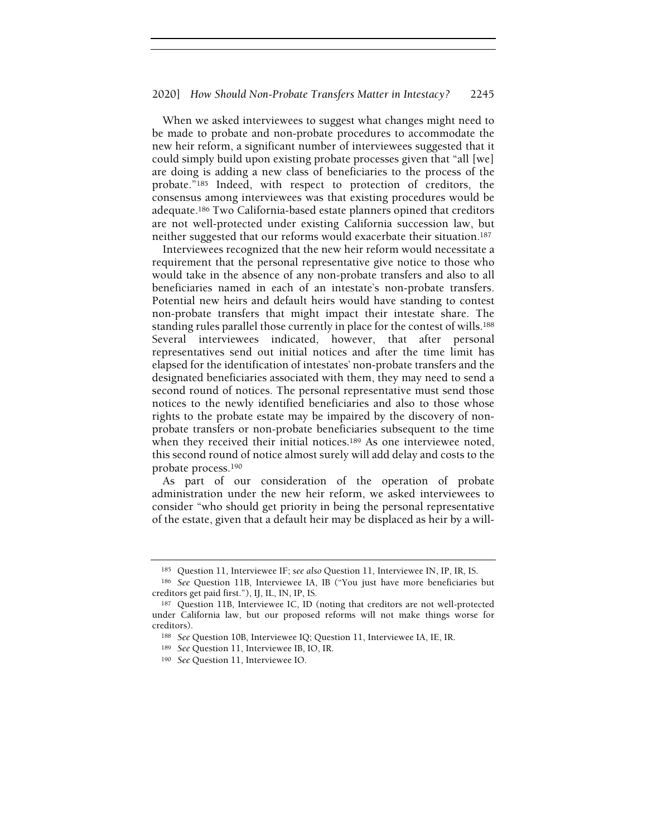When we asked interviewees to suggest what changes might need to be made to probate and non-probate procedures to accommodate the new heir reform, a significant number of interviewees suggested that it could simply build upon existing probate processes given that "all [we] are doing is adding a new class of beneficiaries to the process of the probate."<sup>185</sup> Indeed, with respect to protection of creditors, the consensus among interviewees was that existing procedures would be adequate.<sup>186</sup> Two California-based estate planners opined that creditors are not well-protected under existing California succession law, but neither suggested that our reforms would exacerbate their situation.<sup>187</sup>

Interviewees recognized that the new heir reform would necessitate a requirement that the personal representative give notice to those who would take in the absence of any non-probate transfers and also to all beneficiaries named in each of an intestate's non-probate transfers. Potential new heirs and default heirs would have standing to contest non-probate transfers that might impact their intestate share. The standing rules parallel those currently in place for the contest of wills.<sup>188</sup> Several interviewees indicated, however, that after personal representatives send out initial notices and after the time limit has elapsed for the identification of intestates' non-probate transfers and the designated beneficiaries associated with them, they may need to send a second round of notices. The personal representative must send those notices to the newly identified beneficiaries and also to those whose rights to the probate estate may be impaired by the discovery of nonprobate transfers or non-probate beneficiaries subsequent to the time when they received their initial notices.<sup>189</sup> As one interviewee noted, this second round of notice almost surely will add delay and costs to the probate process.<sup>190</sup>

As part of our consideration of the operation of probate administration under the new heir reform, we asked interviewees to consider "who should get priority in being the personal representative of the estate, given that a default heir may be displaced as heir by a will-

<sup>185</sup> Question 11, Interviewee IF; see also Question 11, Interviewee IN, IP, IR, IS.

<sup>186</sup> See Question 11B, Interviewee IA, IB ("You just have more beneficiaries but creditors get paid first."), IJ, IL, IN, IP, IS.

<sup>187</sup> Question 11B, Interviewee IC, ID (noting that creditors are not well-protected under California law, but our proposed reforms will not make things worse for creditors).

<sup>188</sup> See Question 10B, Interviewee IQ; Question 11, Interviewee IA, IE, IR.

<sup>189</sup> See Question 11, Interviewee IB, IO, IR.

<sup>190</sup> See Question 11, Interviewee IO.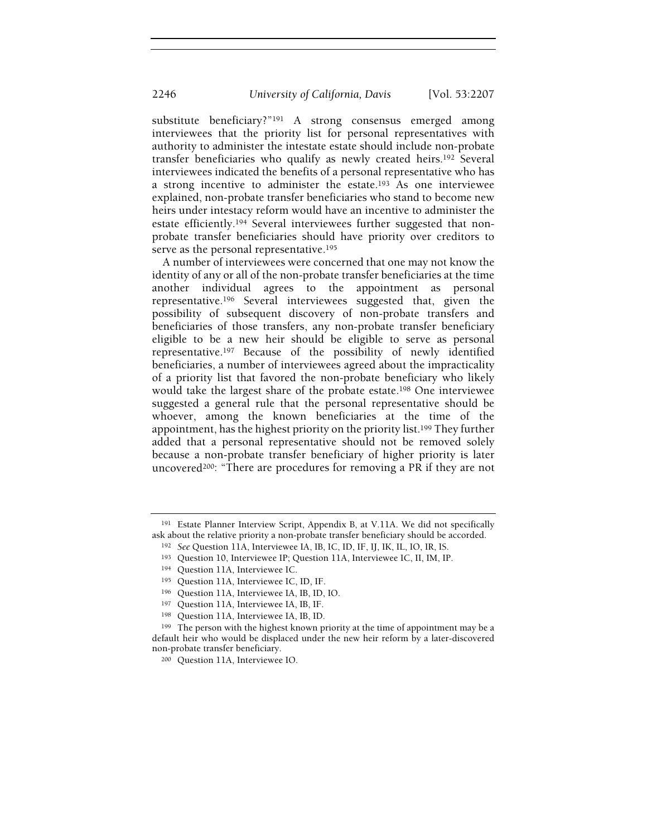substitute beneficiary?"<sup>191</sup> A strong consensus emerged among interviewees that the priority list for personal representatives with authority to administer the intestate estate should include non-probate transfer beneficiaries who qualify as newly created heirs.<sup>192</sup> Several interviewees indicated the benefits of a personal representative who has a strong incentive to administer the estate.<sup>193</sup> As one interviewee explained, non-probate transfer beneficiaries who stand to become new heirs under intestacy reform would have an incentive to administer the estate efficiently.<sup>194</sup> Several interviewees further suggested that nonprobate transfer beneficiaries should have priority over creditors to serve as the personal representative.<sup>195</sup>

A number of interviewees were concerned that one may not know the identity of any or all of the non-probate transfer beneficiaries at the time another individual agrees to the appointment as personal representative.<sup>196</sup> Several interviewees suggested that, given the possibility of subsequent discovery of non-probate transfers and beneficiaries of those transfers, any non-probate transfer beneficiary eligible to be a new heir should be eligible to serve as personal representative.<sup>197</sup> Because of the possibility of newly identified beneficiaries, a number of interviewees agreed about the impracticality of a priority list that favored the non-probate beneficiary who likely would take the largest share of the probate estate.<sup>198</sup> One interviewee suggested a general rule that the personal representative should be whoever, among the known beneficiaries at the time of the appointment, has the highest priority on the priority list.<sup>199</sup> They further added that a personal representative should not be removed solely because a non-probate transfer beneficiary of higher priority is later uncovered<sup>200</sup>: "There are procedures for removing a PR if they are not

<sup>191</sup> Estate Planner Interview Script, Appendix B, at V.11A. We did not specifically ask about the relative priority a non-probate transfer beneficiary should be accorded.

<sup>192</sup> See Question 11A, Interviewee IA, IB, IC, ID, IF, IJ, IK, IL, IO, IR, IS.

<sup>193</sup> Question 10, Interviewee IP; Question 11A, Interviewee IC, II, IM, IP.

<sup>194</sup> Question 11A, Interviewee IC.

<sup>195</sup> Question 11A, Interviewee IC, ID, IF.

<sup>196</sup> Question 11A, Interviewee IA, IB, ID, IO.

<sup>197</sup> Question 11A, Interviewee IA, IB, IF.

<sup>198</sup> Question 11A, Interviewee IA, IB, ID.

<sup>&</sup>lt;sup>199</sup> The person with the highest known priority at the time of appointment may be a default heir who would be displaced under the new heir reform by a later-discovered non-probate transfer beneficiary.

<sup>200</sup> Question 11A, Interviewee IO.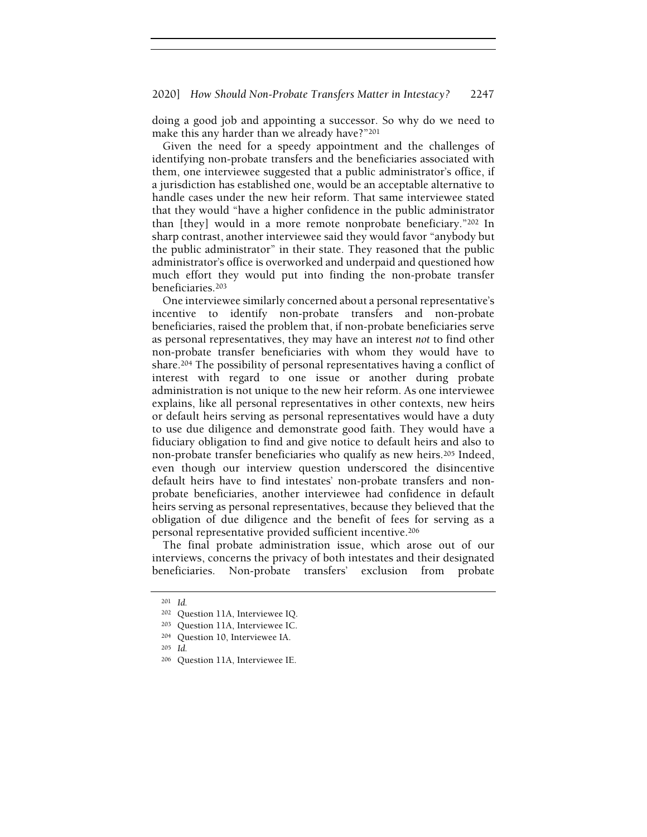### 2020] How Should Non-Probate Transfers Matter in Intestacy? 2247

doing a good job and appointing a successor. So why do we need to make this any harder than we already have?"<sup>201</sup>

Given the need for a speedy appointment and the challenges of identifying non-probate transfers and the beneficiaries associated with them, one interviewee suggested that a public administrator's office, if a jurisdiction has established one, would be an acceptable alternative to handle cases under the new heir reform. That same interviewee stated that they would "have a higher confidence in the public administrator than [they] would in a more remote nonprobate beneficiary."<sup>202</sup> In sharp contrast, another interviewee said they would favor "anybody but the public administrator" in their state. They reasoned that the public administrator's office is overworked and underpaid and questioned how much effort they would put into finding the non-probate transfer beneficiaries.<sup>203</sup>

One interviewee similarly concerned about a personal representative's incentive to identify non-probate transfers and non-probate beneficiaries, raised the problem that, if non-probate beneficiaries serve as personal representatives, they may have an interest not to find other non-probate transfer beneficiaries with whom they would have to share.<sup>204</sup> The possibility of personal representatives having a conflict of interest with regard to one issue or another during probate administration is not unique to the new heir reform. As one interviewee explains, like all personal representatives in other contexts, new heirs or default heirs serving as personal representatives would have a duty to use due diligence and demonstrate good faith. They would have a fiduciary obligation to find and give notice to default heirs and also to non-probate transfer beneficiaries who qualify as new heirs.<sup>205</sup> Indeed, even though our interview question underscored the disincentive default heirs have to find intestates' non-probate transfers and nonprobate beneficiaries, another interviewee had confidence in default heirs serving as personal representatives, because they believed that the obligation of due diligence and the benefit of fees for serving as a personal representative provided sufficient incentive.<sup>206</sup>

The final probate administration issue, which arose out of our interviews, concerns the privacy of both intestates and their designated beneficiaries. Non-probate transfers' exclusion from probate

<sup>201</sup> Id.

<sup>202</sup> Question 11A, Interviewee IQ.

<sup>203</sup> Question 11A, Interviewee IC.

<sup>204</sup> Question 10, Interviewee IA.

<sup>205</sup> Id.

<sup>206</sup> Question 11A, Interviewee IE.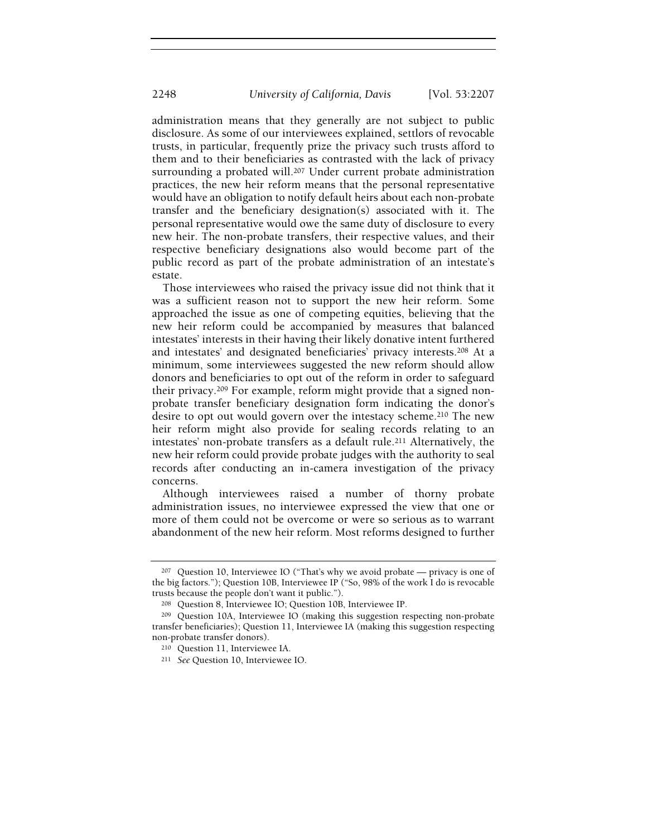administration means that they generally are not subject to public disclosure. As some of our interviewees explained, settlors of revocable trusts, in particular, frequently prize the privacy such trusts afford to them and to their beneficiaries as contrasted with the lack of privacy surrounding a probated will.<sup>207</sup> Under current probate administration practices, the new heir reform means that the personal representative would have an obligation to notify default heirs about each non-probate transfer and the beneficiary designation(s) associated with it. The personal representative would owe the same duty of disclosure to every new heir. The non-probate transfers, their respective values, and their respective beneficiary designations also would become part of the public record as part of the probate administration of an intestate's estate.

Those interviewees who raised the privacy issue did not think that it was a sufficient reason not to support the new heir reform. Some approached the issue as one of competing equities, believing that the new heir reform could be accompanied by measures that balanced intestates' interests in their having their likely donative intent furthered and intestates' and designated beneficiaries' privacy interests.<sup>208</sup> At a minimum, some interviewees suggested the new reform should allow donors and beneficiaries to opt out of the reform in order to safeguard their privacy.209 For example, reform might provide that a signed nonprobate transfer beneficiary designation form indicating the donor's desire to opt out would govern over the intestacy scheme.<sup>210</sup> The new heir reform might also provide for sealing records relating to an intestates' non-probate transfers as a default rule.<sup>211</sup> Alternatively, the new heir reform could provide probate judges with the authority to seal records after conducting an in-camera investigation of the privacy concerns.

Although interviewees raised a number of thorny probate administration issues, no interviewee expressed the view that one or more of them could not be overcome or were so serious as to warrant abandonment of the new heir reform. Most reforms designed to further

 $207$  Question 10, Interviewee IO ("That's why we avoid probate — privacy is one of the big factors."); Question 10B, Interviewee IP ("So, 98% of the work I do is revocable trusts because the people don't want it public.").

<sup>208</sup> Question 8, Interviewee IO; Question 10B, Interviewee IP.

<sup>209</sup> Question 10A, Interviewee IO (making this suggestion respecting non-probate transfer beneficiaries); Question 11, Interviewee IA (making this suggestion respecting non-probate transfer donors).

<sup>210</sup> Question 11, Interviewee IA.

<sup>211</sup> See Question 10, Interviewee IO.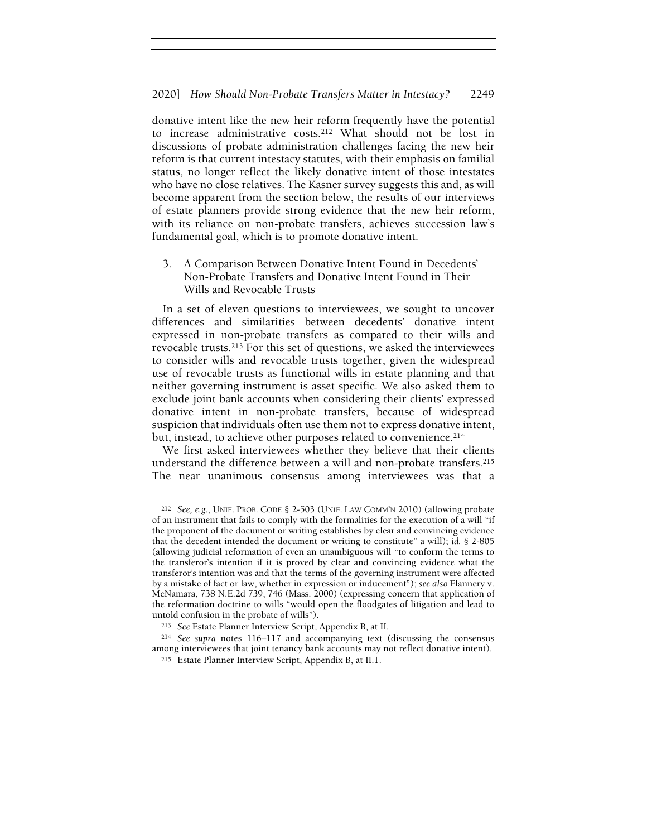donative intent like the new heir reform frequently have the potential to increase administrative costs.<sup>212</sup> What should not be lost in discussions of probate administration challenges facing the new heir reform is that current intestacy statutes, with their emphasis on familial status, no longer reflect the likely donative intent of those intestates who have no close relatives. The Kasner survey suggests this and, as will become apparent from the section below, the results of our interviews of estate planners provide strong evidence that the new heir reform, with its reliance on non-probate transfers, achieves succession law's fundamental goal, which is to promote donative intent.

3. A Comparison Between Donative Intent Found in Decedents' Non-Probate Transfers and Donative Intent Found in Their Wills and Revocable Trusts

In a set of eleven questions to interviewees, we sought to uncover differences and similarities between decedents' donative intent expressed in non-probate transfers as compared to their wills and revocable trusts.<sup>213</sup> For this set of questions, we asked the interviewees to consider wills and revocable trusts together, given the widespread use of revocable trusts as functional wills in estate planning and that neither governing instrument is asset specific. We also asked them to exclude joint bank accounts when considering their clients' expressed donative intent in non-probate transfers, because of widespread suspicion that individuals often use them not to express donative intent, but, instead, to achieve other purposes related to convenience.<sup>214</sup>

We first asked interviewees whether they believe that their clients understand the difference between a will and non-probate transfers.<sup>215</sup> The near unanimous consensus among interviewees was that a

<sup>212</sup> See, e.g., UNIF. PROB. CODE § 2-503 (UNIF. LAW COMM'N 2010) (allowing probate of an instrument that fails to comply with the formalities for the execution of a will "if the proponent of the document or writing establishes by clear and convincing evidence that the decedent intended the document or writing to constitute" a will); id. § 2-805 (allowing judicial reformation of even an unambiguous will "to conform the terms to the transferor's intention if it is proved by clear and convincing evidence what the transferor's intention was and that the terms of the governing instrument were affected by a mistake of fact or law, whether in expression or inducement"); see also Flannery v. McNamara, 738 N.E.2d 739, 746 (Mass. 2000) (expressing concern that application of the reformation doctrine to wills "would open the floodgates of litigation and lead to untold confusion in the probate of wills").

<sup>213</sup> See Estate Planner Interview Script, Appendix B, at II.

<sup>214</sup> See supra notes 116–117 and accompanying text (discussing the consensus among interviewees that joint tenancy bank accounts may not reflect donative intent).

<sup>215</sup> Estate Planner Interview Script, Appendix B, at II.1.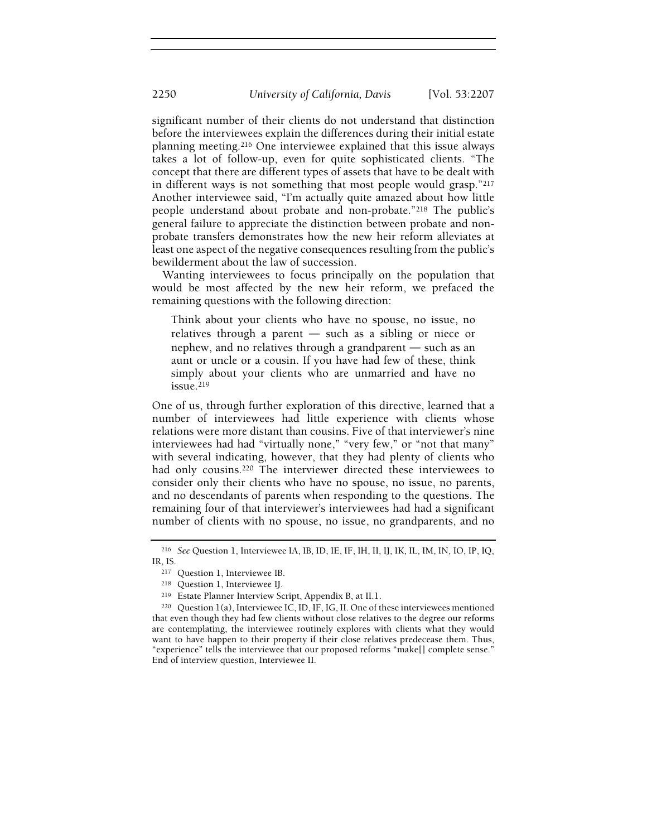significant number of their clients do not understand that distinction before the interviewees explain the differences during their initial estate planning meeting.<sup>216</sup> One interviewee explained that this issue always takes a lot of follow-up, even for quite sophisticated clients. "The concept that there are different types of assets that have to be dealt with in different ways is not something that most people would grasp."<sup>217</sup> Another interviewee said, "I'm actually quite amazed about how little people understand about probate and non-probate."<sup>218</sup> The public's general failure to appreciate the distinction between probate and nonprobate transfers demonstrates how the new heir reform alleviates at least one aspect of the negative consequences resulting from the public's bewilderment about the law of succession.

Wanting interviewees to focus principally on the population that would be most affected by the new heir reform, we prefaced the remaining questions with the following direction:

Think about your clients who have no spouse, no issue, no relatives through a parent — such as a sibling or niece or<br>relatives through a parent — such as a sibling or niece or next allows the reflections and conclude the relatives through a parent — such as a sibling or niece or nephew, and no relatives through a grandparent — such as an aunt or uncle or a cousin. If you have had few of these, think simply about your clients who are unmarried and have no issue.<sup>219</sup>

One of us, through further exploration of this directive, learned that a number of interviewees had little experience with clients whose relations were more distant than cousins. Five of that interviewer's nine interviewees had had "virtually none," "very few," or "not that many" with several indicating, however, that they had plenty of clients who had only cousins.<sup>220</sup> The interviewer directed these interviewees to consider only their clients who have no spouse, no issue, no parents, and no descendants of parents when responding to the questions. The remaining four of that interviewer's interviewees had had a significant number of clients with no spouse, no issue, no grandparents, and no

<sup>216</sup> See Question 1, Interviewee IA, IB, ID, IE, IF, IH, II, IJ, IK, IL, IM, IN, IO, IP, IQ, IR, IS.

<sup>217</sup> Question 1, Interviewee IB.

<sup>218</sup> Question 1, Interviewee IJ.

<sup>219</sup> Estate Planner Interview Script, Appendix B, at II.1.

 $220$  Question 1(a), Interviewee IC, ID, IF, IG, II. One of these interviewees mentioned that even though they had few clients without close relatives to the degree our reforms are contemplating, the interviewee routinely explores with clients what they would want to have happen to their property if their close relatives predecease them. Thus, "experience" tells the interviewee that our proposed reforms "make[] complete sense." End of interview question, Interviewee II.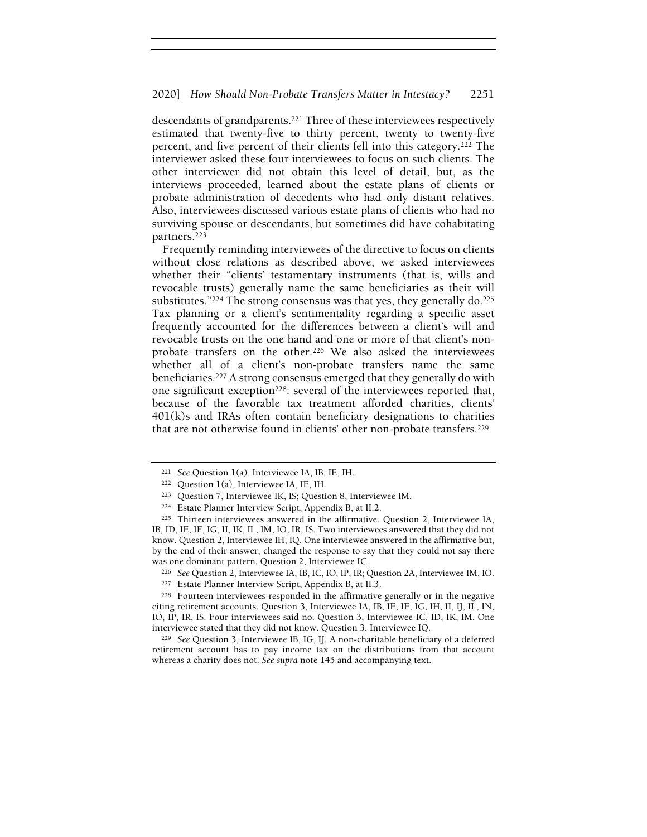descendants of grandparents.<sup>221</sup> Three of these interviewees respectively estimated that twenty-five to thirty percent, twenty to twenty-five percent, and five percent of their clients fell into this category.<sup>222</sup> The interviewer asked these four interviewees to focus on such clients. The other interviewer did not obtain this level of detail, but, as the interviews proceeded, learned about the estate plans of clients or probate administration of decedents who had only distant relatives. Also, interviewees discussed various estate plans of clients who had no surviving spouse or descendants, but sometimes did have cohabitating partners.<sup>223</sup>

Frequently reminding interviewees of the directive to focus on clients without close relations as described above, we asked interviewees whether their "clients' testamentary instruments (that is, wills and revocable trusts) generally name the same beneficiaries as their will substitutes."<sup>224</sup> The strong consensus was that yes, they generally do.<sup>225</sup> Tax planning or a client's sentimentality regarding a specific asset frequently accounted for the differences between a client's will and revocable trusts on the one hand and one or more of that client's nonprobate transfers on the other.<sup>226</sup> We also asked the interviewees whether all of a client's non-probate transfers name the same beneficiaries.<sup>227</sup> A strong consensus emerged that they generally do with one significant exception<sup>228</sup>: several of the interviewees reported that, because of the favorable tax treatment afforded charities, clients' 401(k)s and IRAs often contain beneficiary designations to charities that are not otherwise found in clients' other non-probate transfers.<sup>229</sup>

<sup>221</sup> See Question 1(a), Interviewee IA, IB, IE, IH.

<sup>222</sup> Question 1(a), Interviewee IA, IE, IH.

<sup>223</sup> Question 7, Interviewee IK, IS; Question 8, Interviewee IM.

<sup>224</sup> Estate Planner Interview Script, Appendix B, at II.2.

<sup>225</sup> Thirteen interviewees answered in the affirmative. Question 2, Interviewee IA, IB, ID, IE, IF, IG, II, IK, IL, IM, IO, IR, IS. Two interviewees answered that they did not know. Question 2, Interviewee IH, IQ. One interviewee answered in the affirmative but, by the end of their answer, changed the response to say that they could not say there was one dominant pattern. Question 2, Interviewee IC.

<sup>226</sup> See Question 2, Interviewee IA, IB, IC, IO, IP, IR; Question 2A, Interviewee IM, IO.

<sup>227</sup> Estate Planner Interview Script, Appendix B, at II.3.

<sup>228</sup> Fourteen interviewees responded in the affirmative generally or in the negative citing retirement accounts. Question 3, Interviewee IA, IB, IE, IF, IG, IH, II, IJ, IL, IN, IO, IP, IR, IS. Four interviewees said no. Question 3, Interviewee IC, ID, IK, IM. One interviewee stated that they did not know. Question 3, Interviewee IQ.

<sup>229</sup> See Question 3, Interviewee IB, IG, IJ. A non-charitable beneficiary of a deferred retirement account has to pay income tax on the distributions from that account whereas a charity does not. See supra note 145 and accompanying text.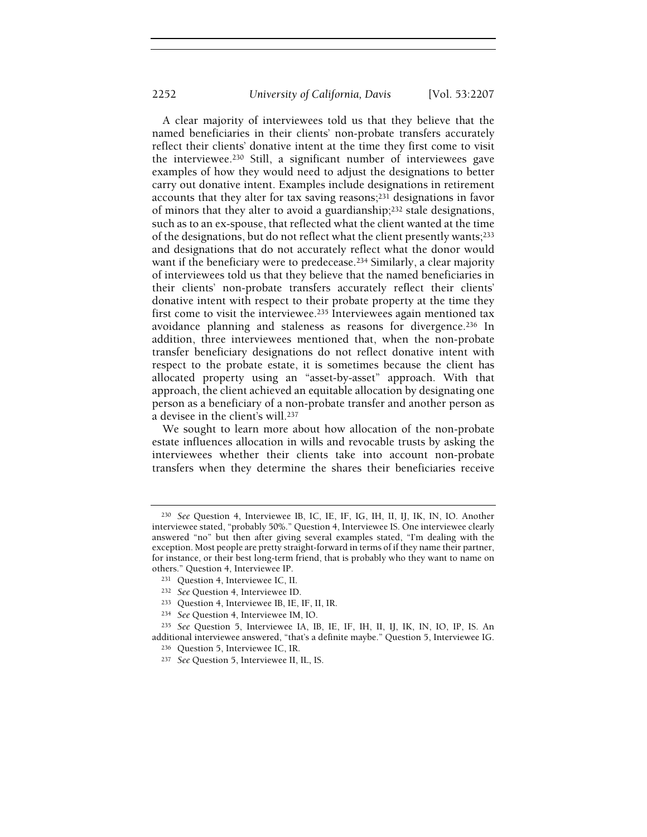A clear majority of interviewees told us that they believe that the named beneficiaries in their clients' non-probate transfers accurately reflect their clients' donative intent at the time they first come to visit the interviewee.<sup>230</sup> Still, a significant number of interviewees gave examples of how they would need to adjust the designations to better carry out donative intent. Examples include designations in retirement accounts that they alter for tax saving reasons;<sup>231</sup> designations in favor of minors that they alter to avoid a guardianship;<sup>232</sup> stale designations, such as to an ex-spouse, that reflected what the client wanted at the time of the designations, but do not reflect what the client presently wants;<sup>233</sup> and designations that do not accurately reflect what the donor would want if the beneficiary were to predecease.<sup>234</sup> Similarly, a clear majority of interviewees told us that they believe that the named beneficiaries in their clients' non-probate transfers accurately reflect their clients' donative intent with respect to their probate property at the time they first come to visit the interviewee.<sup>235</sup> Interviewees again mentioned tax avoidance planning and staleness as reasons for divergence.<sup>236</sup> In addition, three interviewees mentioned that, when the non-probate transfer beneficiary designations do not reflect donative intent with respect to the probate estate, it is sometimes because the client has allocated property using an "asset-by-asset" approach. With that approach, the client achieved an equitable allocation by designating one person as a beneficiary of a non-probate transfer and another person as a devisee in the client's will.<sup>237</sup>

We sought to learn more about how allocation of the non-probate estate influences allocation in wills and revocable trusts by asking the interviewees whether their clients take into account non-probate transfers when they determine the shares their beneficiaries receive

<sup>230</sup> See Question 4, Interviewee IB, IC, IE, IF, IG, IH, II, IJ, IK, IN, IO. Another interviewee stated, "probably 50%." Question 4, Interviewee IS. One interviewee clearly answered "no" but then after giving several examples stated, "I'm dealing with the exception. Most people are pretty straight-forward in terms of if they name their partner, for instance, or their best long-term friend, that is probably who they want to name on others." Question 4, Interviewee IP.

<sup>231</sup> Question 4, Interviewee IC, II.

<sup>232</sup> See Question 4, Interviewee ID.

<sup>233</sup> Question 4, Interviewee IB, IE, IF, II, IR.

<sup>234</sup> See Question 4, Interviewee IM, IO.

<sup>235</sup> See Question 5, Interviewee IA, IB, IE, IF, IH, II, IJ, IK, IN, IO, IP, IS. An additional interviewee answered, "that's a definite maybe." Question 5, Interviewee IG.

<sup>236</sup> Question 5, Interviewee IC, IR.

<sup>237</sup> See Question 5, Interviewee II, IL, IS.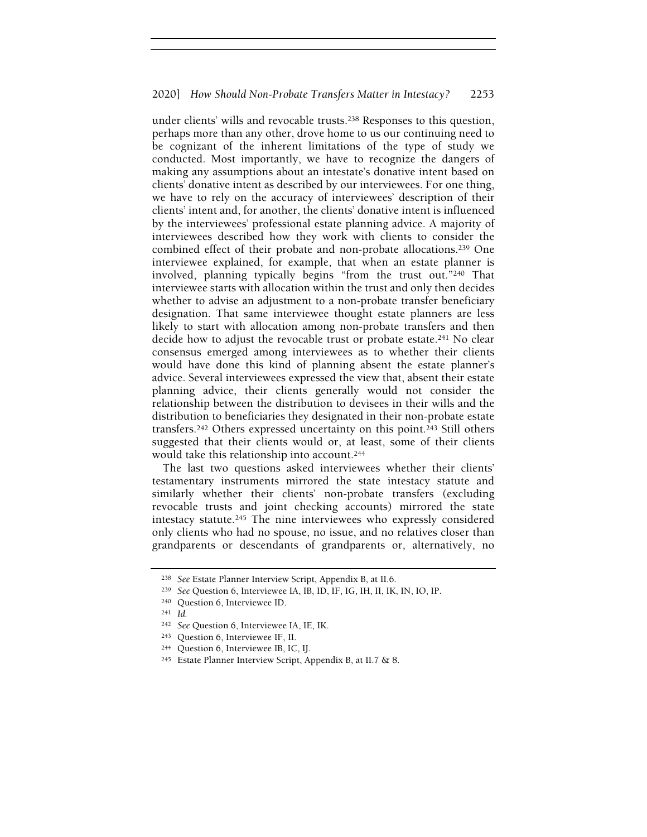under clients' wills and revocable trusts.<sup>238</sup> Responses to this question, perhaps more than any other, drove home to us our continuing need to be cognizant of the inherent limitations of the type of study we conducted. Most importantly, we have to recognize the dangers of making any assumptions about an intestate's donative intent based on clients' donative intent as described by our interviewees. For one thing, we have to rely on the accuracy of interviewees' description of their clients' intent and, for another, the clients' donative intent is influenced by the interviewees' professional estate planning advice. A majority of interviewees described how they work with clients to consider the combined effect of their probate and non-probate allocations.<sup>239</sup> One interviewee explained, for example, that when an estate planner is involved, planning typically begins "from the trust out."<sup>240</sup> That interviewee starts with allocation within the trust and only then decides whether to advise an adjustment to a non-probate transfer beneficiary designation. That same interviewee thought estate planners are less likely to start with allocation among non-probate transfers and then decide how to adjust the revocable trust or probate estate.<sup>241</sup> No clear consensus emerged among interviewees as to whether their clients would have done this kind of planning absent the estate planner's advice. Several interviewees expressed the view that, absent their estate planning advice, their clients generally would not consider the relationship between the distribution to devisees in their wills and the distribution to beneficiaries they designated in their non-probate estate transfers.<sup>242</sup> Others expressed uncertainty on this point.<sup>243</sup> Still others suggested that their clients would or, at least, some of their clients would take this relationship into account.<sup>244</sup>

The last two questions asked interviewees whether their clients' testamentary instruments mirrored the state intestacy statute and similarly whether their clients' non-probate transfers (excluding revocable trusts and joint checking accounts) mirrored the state intestacy statute.<sup>245</sup> The nine interviewees who expressly considered only clients who had no spouse, no issue, and no relatives closer than grandparents or descendants of grandparents or, alternatively, no

<sup>238</sup> See Estate Planner Interview Script, Appendix B, at II.6.

<sup>239</sup> See Question 6, Interviewee IA, IB, ID, IF, IG, IH, II, IK, IN, IO, IP.

<sup>240</sup> Question 6, Interviewee ID.

<sup>241</sup> Id.

<sup>242</sup> See Question 6, Interviewee IA, IE, IK.

<sup>243</sup> Question 6, Interviewee IF, II.

<sup>244</sup> Question 6, Interviewee IB, IC, IJ.

<sup>245</sup> Estate Planner Interview Script, Appendix B, at II.7 & 8.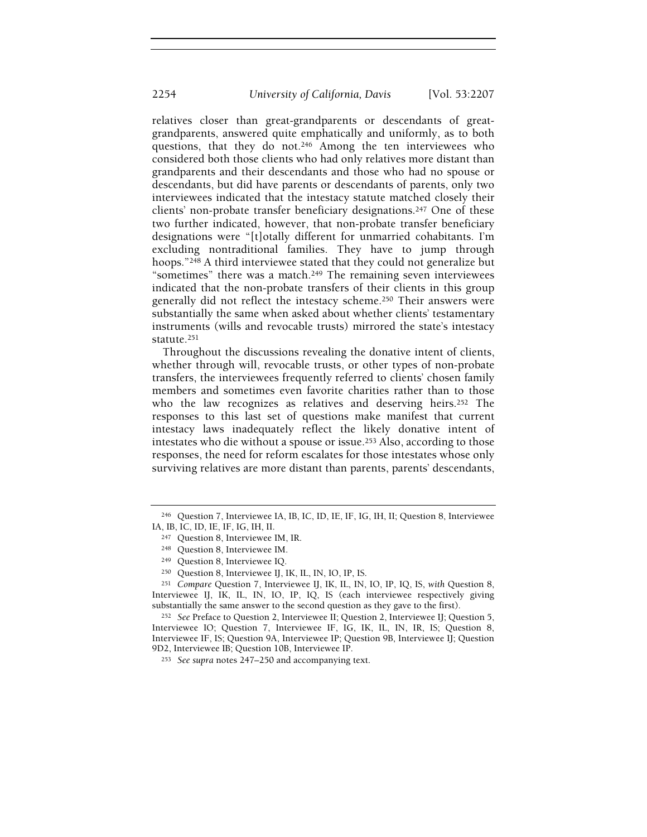relatives closer than great-grandparents or descendants of greatgrandparents, answered quite emphatically and uniformly, as to both questions, that they do not.<sup>246</sup> Among the ten interviewees who considered both those clients who had only relatives more distant than grandparents and their descendants and those who had no spouse or descendants, but did have parents or descendants of parents, only two interviewees indicated that the intestacy statute matched closely their clients' non-probate transfer beneficiary designations.<sup>247</sup> One of these two further indicated, however, that non-probate transfer beneficiary designations were "[t]otally different for unmarried cohabitants. I'm excluding nontraditional families. They have to jump through hoops."<sup>248</sup> A third interviewee stated that they could not generalize but "sometimes" there was a match.<sup>249</sup> The remaining seven interviewees indicated that the non-probate transfers of their clients in this group generally did not reflect the intestacy scheme.<sup>250</sup> Their answers were substantially the same when asked about whether clients' testamentary instruments (wills and revocable trusts) mirrored the state's intestacy statute.<sup>251</sup>

Throughout the discussions revealing the donative intent of clients, whether through will, revocable trusts, or other types of non-probate transfers, the interviewees frequently referred to clients' chosen family members and sometimes even favorite charities rather than to those who the law recognizes as relatives and deserving heirs.<sup>252</sup> The responses to this last set of questions make manifest that current intestacy laws inadequately reflect the likely donative intent of intestates who die without a spouse or issue.<sup>253</sup> Also, according to those responses, the need for reform escalates for those intestates whose only surviving relatives are more distant than parents, parents' descendants,

<sup>250</sup> Question 8, Interviewee IJ, IK, IL, IN, IO, IP, IS.

<sup>251</sup> Compare Question 7, Interviewee IJ, IK, IL, IN, IO, IP, IQ, IS, with Question 8, Interviewee IJ, IK, IL, IN, IO, IP, IQ, IS (each interviewee respectively giving substantially the same answer to the second question as they gave to the first).

<sup>252</sup> See Preface to Question 2, Interviewee II; Question 2, Interviewee IJ; Question 5, Interviewee IO; Question 7, Interviewee IF, IG, IK, IL, IN, IR, IS; Question 8, Interviewee IF, IS; Question 9A, Interviewee IP; Question 9B, Interviewee IJ; Question 9D2, Interviewee IB; Question 10B, Interviewee IP.

<sup>246</sup> Question 7, Interviewee IA, IB, IC, ID, IE, IF, IG, IH, II; Question 8, Interviewee IA, IB, IC, ID, IE, IF, IG, IH, II.

<sup>247</sup> Question 8, Interviewee IM, IR.

<sup>248</sup> Question 8, Interviewee IM.

<sup>249</sup> Question 8, Interviewee IQ.

<sup>253</sup> See supra notes 247–250 and accompanying text.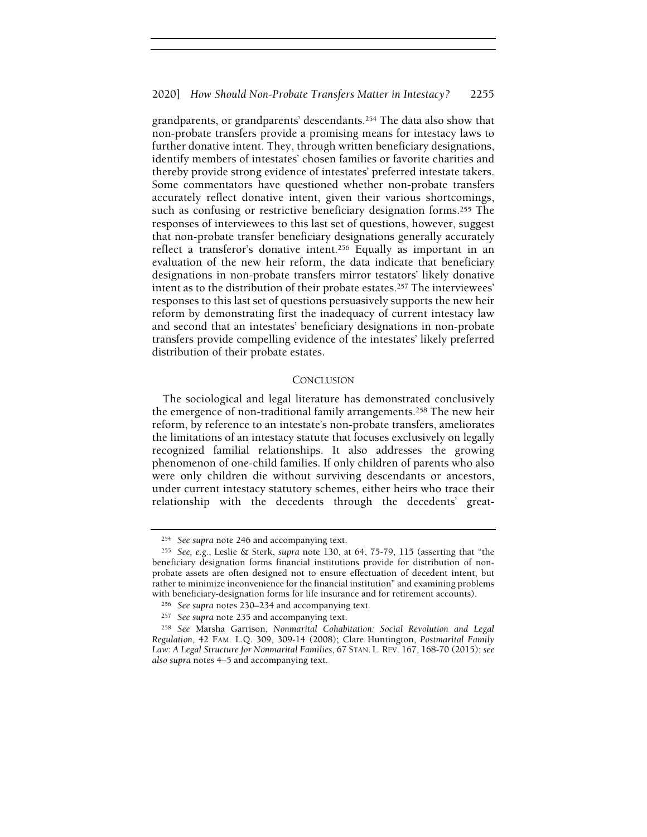grandparents, or grandparents' descendants.<sup>254</sup> The data also show that non-probate transfers provide a promising means for intestacy laws to further donative intent. They, through written beneficiary designations, identify members of intestates' chosen families or favorite charities and thereby provide strong evidence of intestates' preferred intestate takers. Some commentators have questioned whether non-probate transfers accurately reflect donative intent, given their various shortcomings, such as confusing or restrictive beneficiary designation forms.<sup>255</sup> The responses of interviewees to this last set of questions, however, suggest that non-probate transfer beneficiary designations generally accurately reflect a transferor's donative intent.<sup>256</sup> Equally as important in an evaluation of the new heir reform, the data indicate that beneficiary designations in non-probate transfers mirror testators' likely donative intent as to the distribution of their probate estates.<sup>257</sup> The interviewees' responses to this last set of questions persuasively supports the new heir reform by demonstrating first the inadequacy of current intestacy law and second that an intestates' beneficiary designations in non-probate transfers provide compelling evidence of the intestates' likely preferred distribution of their probate estates.

#### **CONCLUSION**

The sociological and legal literature has demonstrated conclusively the emergence of non-traditional family arrangements.<sup>258</sup> The new heir reform, by reference to an intestate's non-probate transfers, ameliorates the limitations of an intestacy statute that focuses exclusively on legally recognized familial relationships. It also addresses the growing phenomenon of one-child families. If only children of parents who also were only children die without surviving descendants or ancestors, under current intestacy statutory schemes, either heirs who trace their relationship with the decedents through the decedents' great-

<sup>254</sup> See supra note 246 and accompanying text.

<sup>255</sup> See, e.g., Leslie & Sterk, supra note 130, at 64, 75-79, 115 (asserting that "the beneficiary designation forms financial institutions provide for distribution of nonprobate assets are often designed not to ensure effectuation of decedent intent, but rather to minimize inconvenience for the financial institution" and examining problems with beneficiary-designation forms for life insurance and for retirement accounts).

<sup>256</sup> See supra notes 230–234 and accompanying text.

<sup>257</sup> See supra note 235 and accompanying text.

<sup>258</sup> See Marsha Garrison, Nonmarital Cohabitation: Social Revolution and Legal Regulation, 42 FAM. L.Q. 309, 309-14 (2008); Clare Huntington, Postmarital Family Law: A Legal Structure for Nonmarital Families, 67 STAN. L. REV. 167, 168-70 (2015); see also supra notes 4–5 and accompanying text.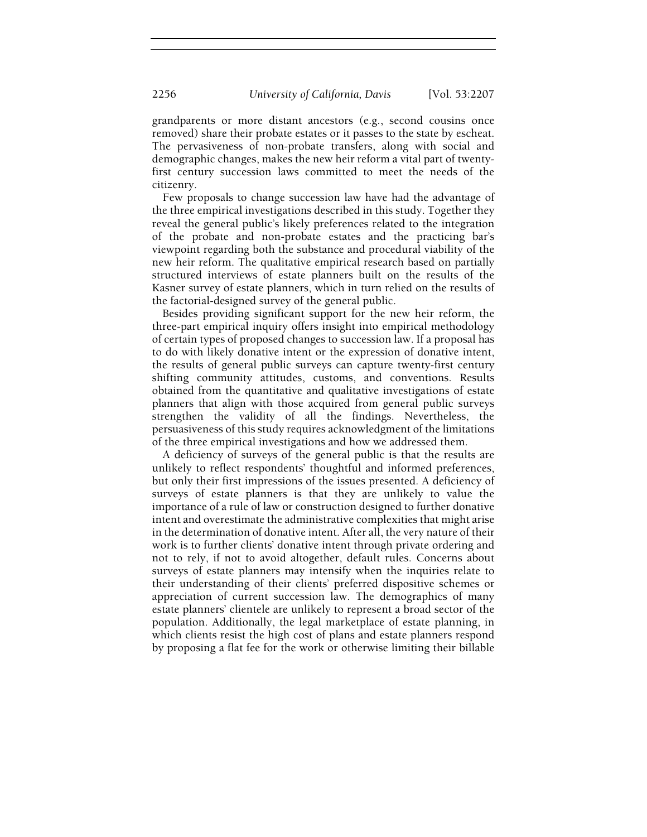grandparents or more distant ancestors (e.g., second cousins once removed) share their probate estates or it passes to the state by escheat. The pervasiveness of non-probate transfers, along with social and demographic changes, makes the new heir reform a vital part of twentyfirst century succession laws committed to meet the needs of the citizenry.

Few proposals to change succession law have had the advantage of the three empirical investigations described in this study. Together they reveal the general public's likely preferences related to the integration of the probate and non-probate estates and the practicing bar's viewpoint regarding both the substance and procedural viability of the new heir reform. The qualitative empirical research based on partially structured interviews of estate planners built on the results of the Kasner survey of estate planners, which in turn relied on the results of the factorial-designed survey of the general public.

Besides providing significant support for the new heir reform, the three-part empirical inquiry offers insight into empirical methodology of certain types of proposed changes to succession law. If a proposal has to do with likely donative intent or the expression of donative intent, the results of general public surveys can capture twenty-first century shifting community attitudes, customs, and conventions. Results obtained from the quantitative and qualitative investigations of estate planners that align with those acquired from general public surveys strengthen the validity of all the findings. Nevertheless, the persuasiveness of this study requires acknowledgment of the limitations of the three empirical investigations and how we addressed them.

A deficiency of surveys of the general public is that the results are unlikely to reflect respondents' thoughtful and informed preferences, but only their first impressions of the issues presented. A deficiency of surveys of estate planners is that they are unlikely to value the importance of a rule of law or construction designed to further donative intent and overestimate the administrative complexities that might arise in the determination of donative intent. After all, the very nature of their work is to further clients' donative intent through private ordering and not to rely, if not to avoid altogether, default rules. Concerns about surveys of estate planners may intensify when the inquiries relate to their understanding of their clients' preferred dispositive schemes or appreciation of current succession law. The demographics of many estate planners' clientele are unlikely to represent a broad sector of the population. Additionally, the legal marketplace of estate planning, in which clients resist the high cost of plans and estate planners respond by proposing a flat fee for the work or otherwise limiting their billable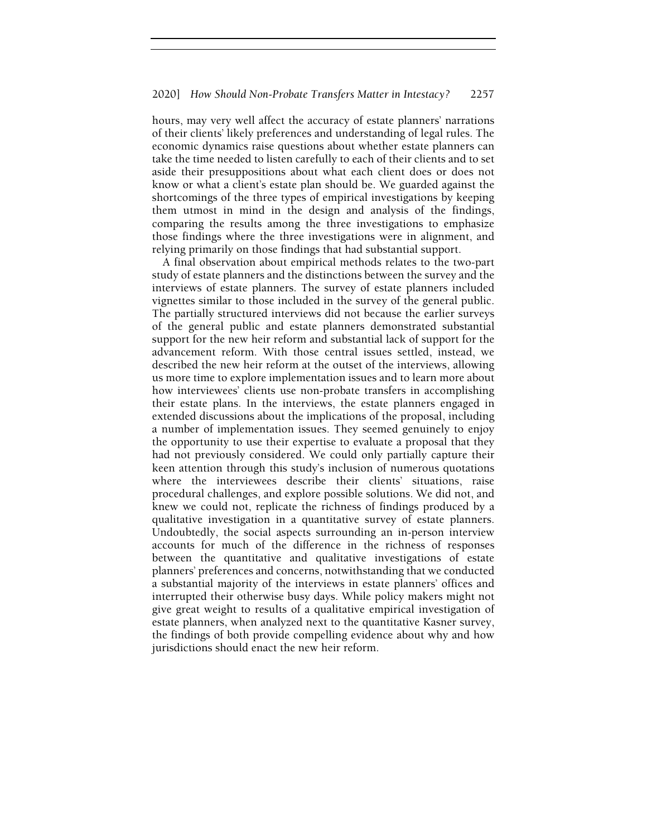hours, may very well affect the accuracy of estate planners' narrations of their clients' likely preferences and understanding of legal rules. The economic dynamics raise questions about whether estate planners can take the time needed to listen carefully to each of their clients and to set aside their presuppositions about what each client does or does not know or what a client's estate plan should be. We guarded against the shortcomings of the three types of empirical investigations by keeping them utmost in mind in the design and analysis of the findings, comparing the results among the three investigations to emphasize those findings where the three investigations were in alignment, and relying primarily on those findings that had substantial support.

A final observation about empirical methods relates to the two-part study of estate planners and the distinctions between the survey and the interviews of estate planners. The survey of estate planners included vignettes similar to those included in the survey of the general public. The partially structured interviews did not because the earlier surveys of the general public and estate planners demonstrated substantial support for the new heir reform and substantial lack of support for the advancement reform. With those central issues settled, instead, we described the new heir reform at the outset of the interviews, allowing us more time to explore implementation issues and to learn more about how interviewees' clients use non-probate transfers in accomplishing their estate plans. In the interviews, the estate planners engaged in extended discussions about the implications of the proposal, including a number of implementation issues. They seemed genuinely to enjoy the opportunity to use their expertise to evaluate a proposal that they had not previously considered. We could only partially capture their keen attention through this study's inclusion of numerous quotations where the interviewees describe their clients' situations, raise procedural challenges, and explore possible solutions. We did not, and knew we could not, replicate the richness of findings produced by a qualitative investigation in a quantitative survey of estate planners. Undoubtedly, the social aspects surrounding an in-person interview accounts for much of the difference in the richness of responses between the quantitative and qualitative investigations of estate planners' preferences and concerns, notwithstanding that we conducted a substantial majority of the interviews in estate planners' offices and interrupted their otherwise busy days. While policy makers might not give great weight to results of a qualitative empirical investigation of estate planners, when analyzed next to the quantitative Kasner survey, the findings of both provide compelling evidence about why and how jurisdictions should enact the new heir reform.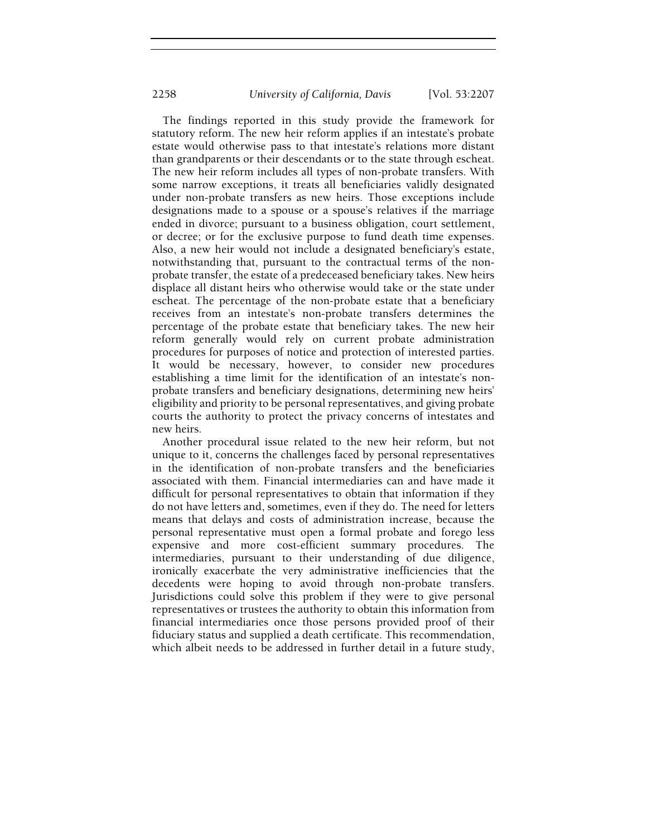The findings reported in this study provide the framework for statutory reform. The new heir reform applies if an intestate's probate estate would otherwise pass to that intestate's relations more distant than grandparents or their descendants or to the state through escheat. The new heir reform includes all types of non-probate transfers. With some narrow exceptions, it treats all beneficiaries validly designated under non-probate transfers as new heirs. Those exceptions include designations made to a spouse or a spouse's relatives if the marriage ended in divorce; pursuant to a business obligation, court settlement, or decree; or for the exclusive purpose to fund death time expenses. Also, a new heir would not include a designated beneficiary's estate, notwithstanding that, pursuant to the contractual terms of the nonprobate transfer, the estate of a predeceased beneficiary takes. New heirs displace all distant heirs who otherwise would take or the state under escheat. The percentage of the non-probate estate that a beneficiary receives from an intestate's non-probate transfers determines the percentage of the probate estate that beneficiary takes. The new heir reform generally would rely on current probate administration procedures for purposes of notice and protection of interested parties. It would be necessary, however, to consider new procedures establishing a time limit for the identification of an intestate's nonprobate transfers and beneficiary designations, determining new heirs' eligibility and priority to be personal representatives, and giving probate courts the authority to protect the privacy concerns of intestates and new heirs.

Another procedural issue related to the new heir reform, but not unique to it, concerns the challenges faced by personal representatives in the identification of non-probate transfers and the beneficiaries associated with them. Financial intermediaries can and have made it difficult for personal representatives to obtain that information if they do not have letters and, sometimes, even if they do. The need for letters means that delays and costs of administration increase, because the personal representative must open a formal probate and forego less expensive and more cost-efficient summary procedures. The intermediaries, pursuant to their understanding of due diligence, ironically exacerbate the very administrative inefficiencies that the decedents were hoping to avoid through non-probate transfers. Jurisdictions could solve this problem if they were to give personal representatives or trustees the authority to obtain this information from financial intermediaries once those persons provided proof of their fiduciary status and supplied a death certificate. This recommendation, which albeit needs to be addressed in further detail in a future study,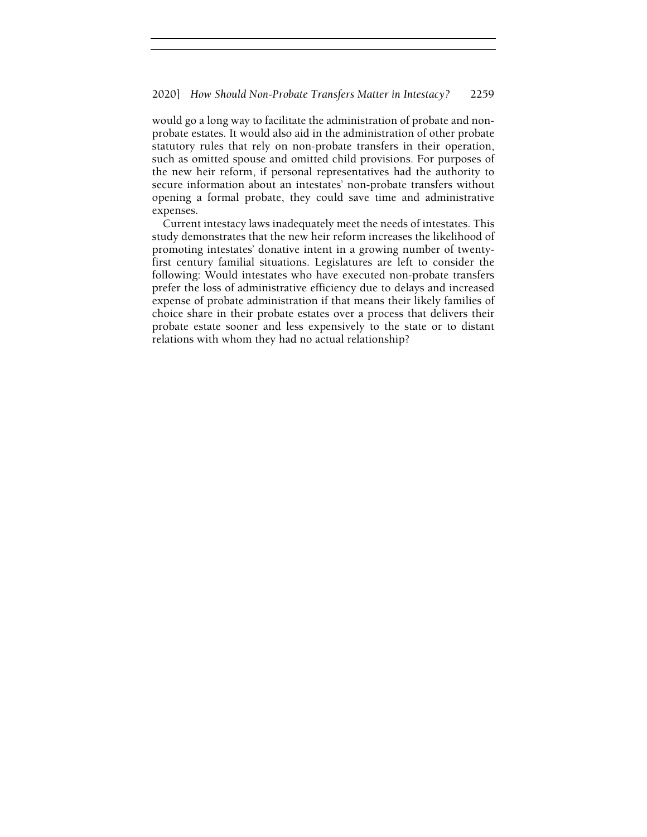would go a long way to facilitate the administration of probate and nonprobate estates. It would also aid in the administration of other probate statutory rules that rely on non-probate transfers in their operation, such as omitted spouse and omitted child provisions. For purposes of the new heir reform, if personal representatives had the authority to secure information about an intestates' non-probate transfers without opening a formal probate, they could save time and administrative expenses.

Current intestacy laws inadequately meet the needs of intestates. This study demonstrates that the new heir reform increases the likelihood of promoting intestates' donative intent in a growing number of twentyfirst century familial situations. Legislatures are left to consider the following: Would intestates who have executed non-probate transfers prefer the loss of administrative efficiency due to delays and increased expense of probate administration if that means their likely families of choice share in their probate estates over a process that delivers their probate estate sooner and less expensively to the state or to distant relations with whom they had no actual relationship?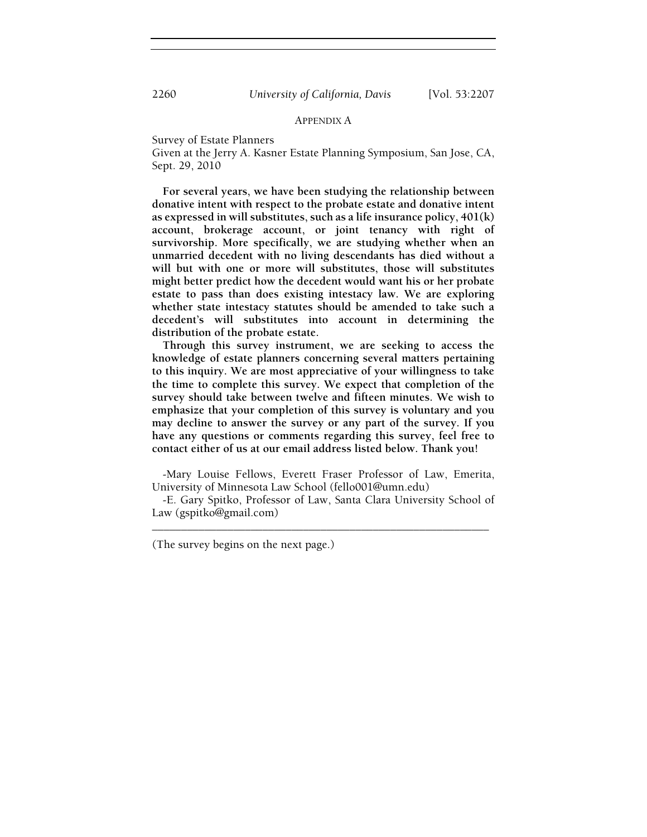# APPENDIX A

Survey of Estate Planners

Given at the Jerry A. Kasner Estate Planning Symposium, San Jose, CA, Sept. 29, 2010

For several years, we have been studying the relationship between donative intent with respect to the probate estate and donative intent as expressed in will substitutes, such as a life insurance policy, 401(k) account, brokerage account, or joint tenancy with right of survivorship. More specifically, we are studying whether when an unmarried decedent with no living descendants has died without a will but with one or more will substitutes, those will substitutes might better predict how the decedent would want his or her probate estate to pass than does existing intestacy law. We are exploring whether state intestacy statutes should be amended to take such a decedent's will substitutes into account in determining the distribution of the probate estate.

Through this survey instrument, we are seeking to access the knowledge of estate planners concerning several matters pertaining to this inquiry. We are most appreciative of your willingness to take the time to complete this survey. We expect that completion of the survey should take between twelve and fifteen minutes. We wish to emphasize that your completion of this survey is voluntary and you may decline to answer the survey or any part of the survey. If you have any questions or comments regarding this survey, feel free to contact either of us at our email address listed below. Thank you!

-Mary Louise Fellows, Everett Fraser Professor of Law, Emerita, University of Minnesota Law School (fello001@umn.edu)

-E. Gary Spitko, Professor of Law, Santa Clara University School of Law (gspitko@gmail.com) \_\_\_\_\_\_\_\_\_\_\_\_\_\_\_\_\_\_\_\_\_\_\_\_\_\_\_\_\_\_\_\_\_\_\_\_\_\_\_\_\_\_\_\_\_\_\_\_\_\_\_\_\_\_\_\_\_\_

(The survey begins on the next page.)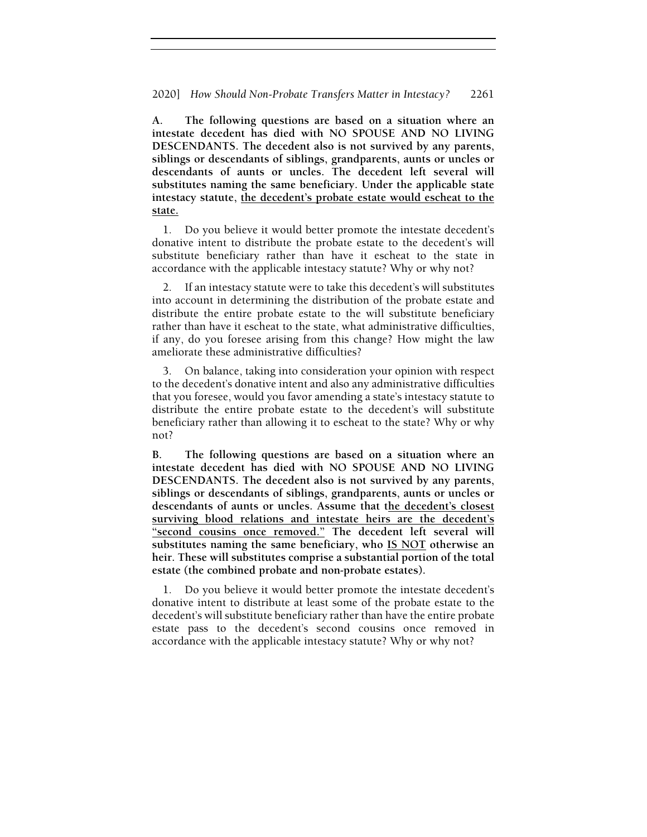A. The following questions are based on a situation where an intestate decedent has died with NO SPOUSE AND NO LIVING DESCENDANTS. The decedent also is not survived by any parents, siblings or descendants of siblings, grandparents, aunts or uncles or descendants of aunts or uncles. The decedent left several will substitutes naming the same beneficiary. Under the applicable state intestacy statute, the decedent's probate estate would escheat to the state.

1. Do you believe it would better promote the intestate decedent's donative intent to distribute the probate estate to the decedent's will substitute beneficiary rather than have it escheat to the state in accordance with the applicable intestacy statute? Why or why not?

2. If an intestacy statute were to take this decedent's will substitutes into account in determining the distribution of the probate estate and distribute the entire probate estate to the will substitute beneficiary rather than have it escheat to the state, what administrative difficulties, if any, do you foresee arising from this change? How might the law ameliorate these administrative difficulties?

3. On balance, taking into consideration your opinion with respect to the decedent's donative intent and also any administrative difficulties that you foresee, would you favor amending a state's intestacy statute to distribute the entire probate estate to the decedent's will substitute beneficiary rather than allowing it to escheat to the state? Why or why not?

B. The following questions are based on a situation where an intestate decedent has died with NO SPOUSE AND NO LIVING DESCENDANTS. The decedent also is not survived by any parents, siblings or descendants of siblings, grandparents, aunts or uncles or descendants of aunts or uncles. Assume that the decedent's closest surviving blood relations and intestate heirs are the decedent's "second cousins once removed." The decedent left several will substitutes naming the same beneficiary, who **IS NOT** otherwise an heir. These will substitutes comprise a substantial portion of the total estate (the combined probate and non-probate estates).

1. Do you believe it would better promote the intestate decedent's donative intent to distribute at least some of the probate estate to the decedent's will substitute beneficiary rather than have the entire probate estate pass to the decedent's second cousins once removed in accordance with the applicable intestacy statute? Why or why not?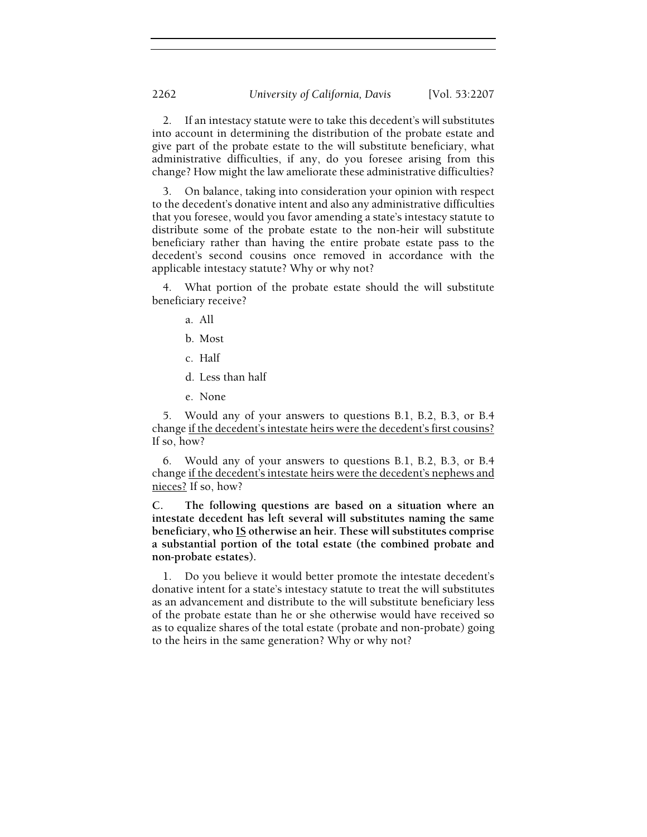2. If an intestacy statute were to take this decedent's will substitutes into account in determining the distribution of the probate estate and give part of the probate estate to the will substitute beneficiary, what administrative difficulties, if any, do you foresee arising from this change? How might the law ameliorate these administrative difficulties?

3. On balance, taking into consideration your opinion with respect to the decedent's donative intent and also any administrative difficulties that you foresee, would you favor amending a state's intestacy statute to distribute some of the probate estate to the non-heir will substitute beneficiary rather than having the entire probate estate pass to the decedent's second cousins once removed in accordance with the applicable intestacy statute? Why or why not?

What portion of the probate estate should the will substitute beneficiary receive?

- a. All
- b. Most
- c. Half
- d. Less than half
- e. None

5. Would any of your answers to questions B.1, B.2, B.3, or B.4 change if the decedent's intestate heirs were the decedent's first cousins? If so, how?

6. Would any of your answers to questions B.1, B.2, B.3, or B.4 change if the decedent's intestate heirs were the decedent's nephews and nieces? If so, how?

C. The following questions are based on a situation where an intestate decedent has left several will substitutes naming the same beneficiary, who  $\underline{IS}$  otherwise an heir. These will substitutes comprise a substantial portion of the total estate (the combined probate and non-probate estates).

1. Do you believe it would better promote the intestate decedent's donative intent for a state's intestacy statute to treat the will substitutes as an advancement and distribute to the will substitute beneficiary less of the probate estate than he or she otherwise would have received so as to equalize shares of the total estate (probate and non-probate) going to the heirs in the same generation? Why or why not?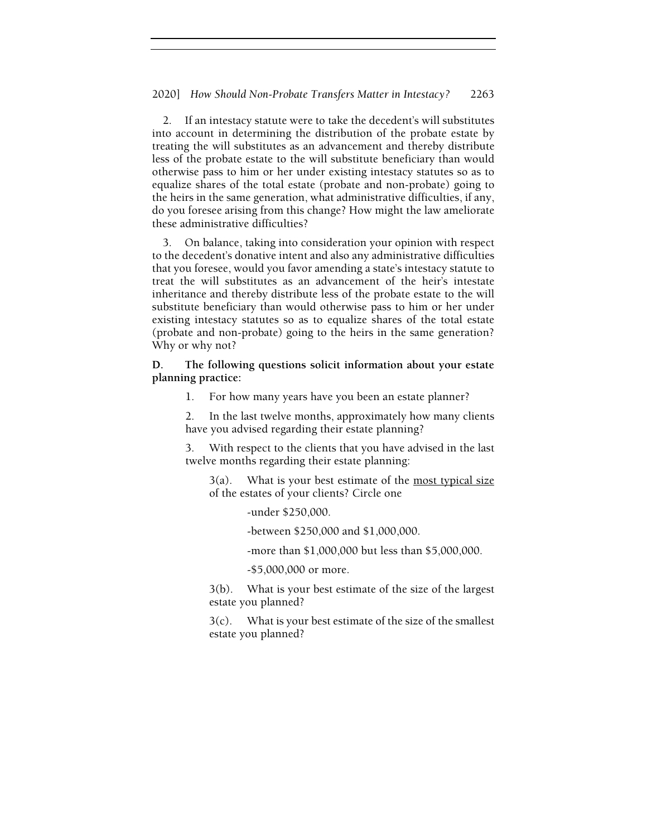2. If an intestacy statute were to take the decedent's will substitutes into account in determining the distribution of the probate estate by treating the will substitutes as an advancement and thereby distribute less of the probate estate to the will substitute beneficiary than would otherwise pass to him or her under existing intestacy statutes so as to equalize shares of the total estate (probate and non-probate) going to the heirs in the same generation, what administrative difficulties, if any, do you foresee arising from this change? How might the law ameliorate these administrative difficulties?

3. On balance, taking into consideration your opinion with respect to the decedent's donative intent and also any administrative difficulties that you foresee, would you favor amending a state's intestacy statute to treat the will substitutes as an advancement of the heir's intestate inheritance and thereby distribute less of the probate estate to the will substitute beneficiary than would otherwise pass to him or her under existing intestacy statutes so as to equalize shares of the total estate (probate and non-probate) going to the heirs in the same generation? Why or why not?

D. The following questions solicit information about your estate planning practice:

1. For how many years have you been an estate planner?

2. In the last twelve months, approximately how many clients have you advised regarding their estate planning?

3. With respect to the clients that you have advised in the last twelve months regarding their estate planning:

 $3(a)$ . What is your best estimate of the <u>most typical size</u> of the estates of your clients? Circle one

-under \$250,000.

-between \$250,000 and \$1,000,000.

-more than \$1,000,000 but less than \$5,000,000.

-\$5,000,000 or more.

3(b). What is your best estimate of the size of the largest estate you planned?

3(c). What is your best estimate of the size of the smallest estate you planned?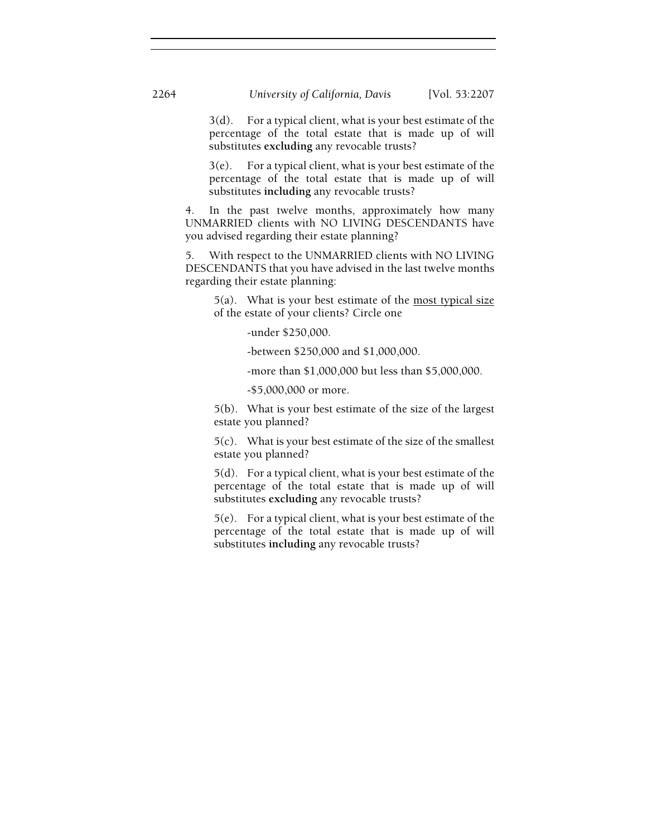3(d). For a typical client, what is your best estimate of the percentage of the total estate that is made up of will substitutes excluding any revocable trusts?

3(e). For a typical client, what is your best estimate of the percentage of the total estate that is made up of will substitutes including any revocable trusts?

4. In the past twelve months, approximately how many UNMARRIED clients with NO LIVING DESCENDANTS have you advised regarding their estate planning?

5. With respect to the UNMARRIED clients with NO LIVING DESCENDANTS that you have advised in the last twelve months regarding their estate planning:

 $5(a)$ . What is your best estimate of the most typical size of the estate of your clients? Circle one

-under \$250,000.

-between \$250,000 and \$1,000,000.

-more than \$1,000,000 but less than \$5,000,000.

-\$5,000,000 or more.

5(b). What is your best estimate of the size of the largest estate you planned?

5(c). What is your best estimate of the size of the smallest estate you planned?

5(d). For a typical client, what is your best estimate of the percentage of the total estate that is made up of will substitutes excluding any revocable trusts?

5(e). For a typical client, what is your best estimate of the percentage of the total estate that is made up of will substitutes including any revocable trusts?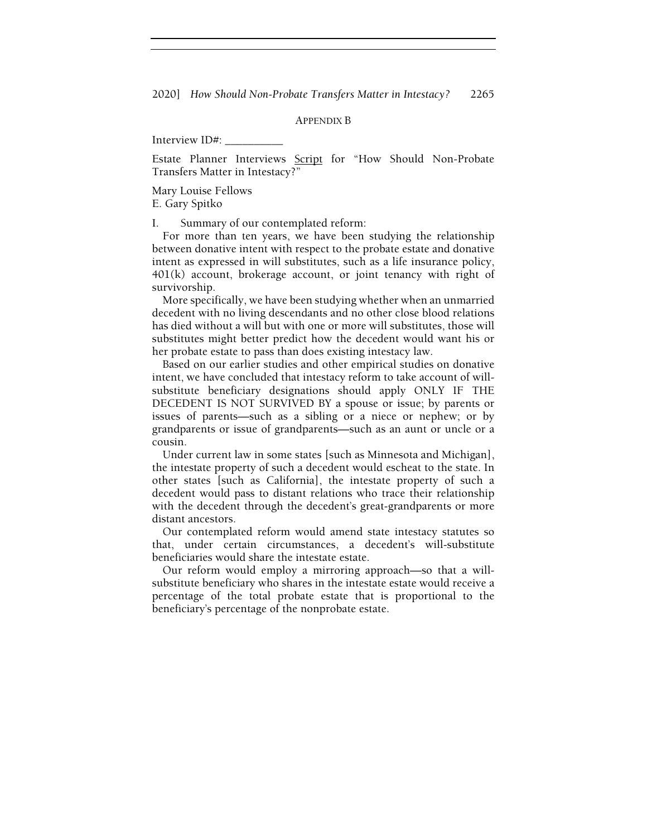2020] How Should Non-Probate Transfers Matter in Intestacy? 2265

# APPENDIX B

Interview ID#: \_\_\_\_\_\_\_\_\_\_

Estate Planner Interviews Script for "How Should Non-Probate Transfers Matter in Intestacy?"

Mary Louise Fellows E. Gary Spitko

I. Summary of our contemplated reform:

For more than ten years, we have been studying the relationship between donative intent with respect to the probate estate and donative intent as expressed in will substitutes, such as a life insurance policy, 401(k) account, brokerage account, or joint tenancy with right of survivorship.

More specifically, we have been studying whether when an unmarried decedent with no living descendants and no other close blood relations has died without a will but with one or more will substitutes, those will substitutes might better predict how the decedent would want his or her probate estate to pass than does existing intestacy law.

Based on our earlier studies and other empirical studies on donative intent, we have concluded that intestacy reform to take account of willsubstitute beneficiary designations should apply ONLY IF THE DECEDENT IS NOT SURVIVED BY a spouse or issue; by parents or issues of parents—such as a sibling or a niece or nephew; or by grandparents or issue of grandparents—such as an aunt or uncle or a cousin.

Under current law in some states [such as Minnesota and Michigan], the intestate property of such a decedent would escheat to the state. In other states [such as California], the intestate property of such a decedent would pass to distant relations who trace their relationship with the decedent through the decedent's great-grandparents or more distant ancestors.

Our contemplated reform would amend state intestacy statutes so that, under certain circumstances, a decedent's will-substitute beneficiaries would share the intestate estate.

Our reform would employ a mirroring approach—so that a willsubstitute beneficiary who shares in the intestate estate would receive a percentage of the total probate estate that is proportional to the beneficiary's percentage of the nonprobate estate.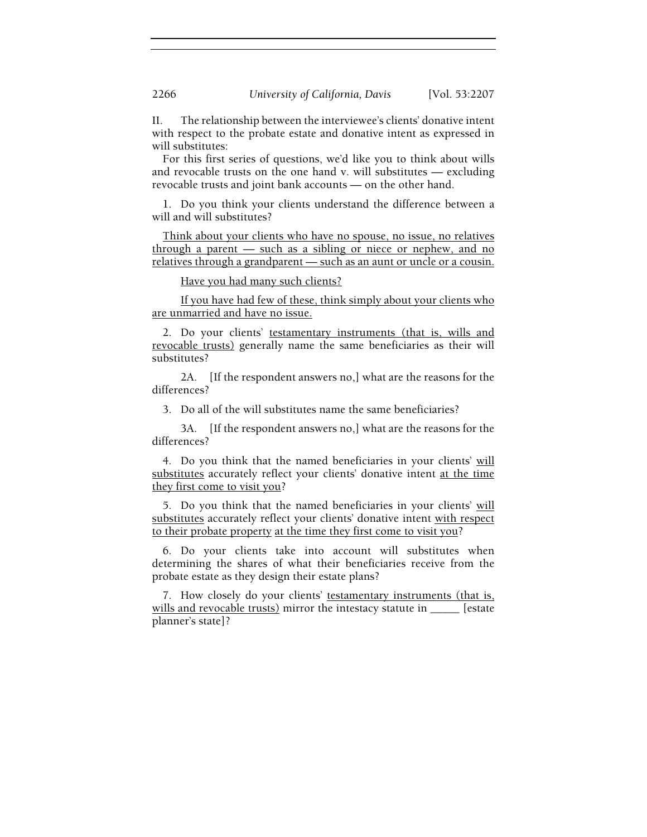II. The relationship between the interviewee's clients' donative intent with respect to the probate estate and donative intent as expressed in will substitutes:

For this first series of questions, we'd like you to think about wills and revocable trusts on the one hand v. will substitutes  $-$  excluding revocable trusts and joint bank accounts — on the other hand.

1. Do you think your clients understand the difference between a will and will substitutes?

Think about your clients who have no spouse, no issue, no relatives through a parent — such as a sibling or niece or nephew, and no relatives through a grandparent — such as an aunt or uncle or a cousin.

Have you had many such clients?

 If you have had few of these, think simply about your clients who are unmarried and have no issue.

2. Do your clients' testamentary instruments (that is, wills and revocable trusts) generally name the same beneficiaries as their will substitutes?

 2A. [If the respondent answers no,] what are the reasons for the differences?

3. Do all of the will substitutes name the same beneficiaries?

 3A. [If the respondent answers no,] what are the reasons for the differences?

4. Do you think that the named beneficiaries in your clients' will substitutes accurately reflect your clients' donative intent at the time they first come to visit you?

5. Do you think that the named beneficiaries in your clients' will substitutes accurately reflect your clients' donative intent with respect to their probate property at the time they first come to visit you?

6. Do your clients take into account will substitutes when determining the shares of what their beneficiaries receive from the probate estate as they design their estate plans?

7. How closely do your clients' testamentary instruments (that is, wills and revocable trusts) mirror the intestacy statute in \_\_\_\_\_ [estate planner's state]?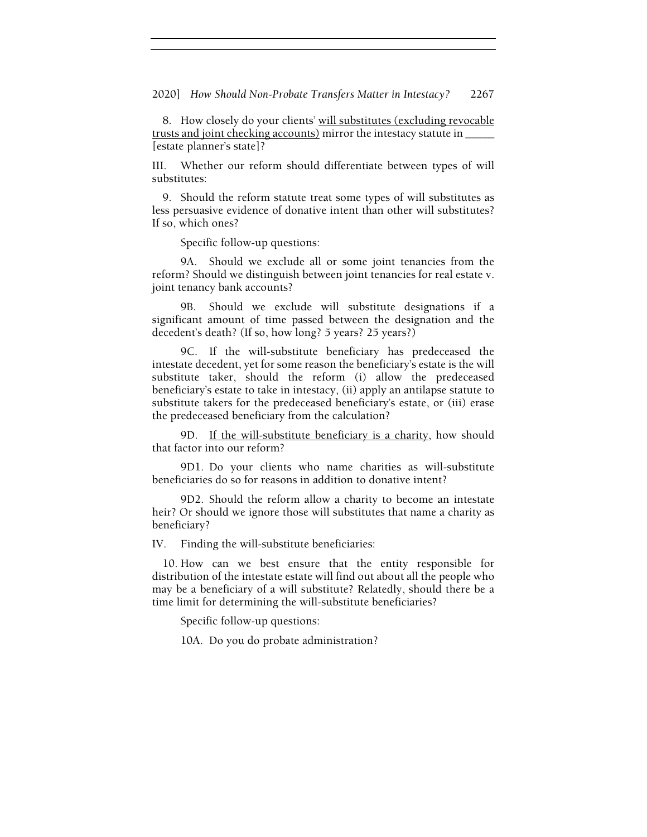2020] How Should Non-Probate Transfers Matter in Intestacy? 2267

8. How closely do your clients' will substitutes (excluding revocable trusts and joint checking accounts) mirror the intestacy statute in \_\_\_\_\_ [estate planner's state]?

III. Whether our reform should differentiate between types of will substitutes:

9. Should the reform statute treat some types of will substitutes as less persuasive evidence of donative intent than other will substitutes? If so, which ones?

Specific follow-up questions:

 9A. Should we exclude all or some joint tenancies from the reform? Should we distinguish between joint tenancies for real estate v. joint tenancy bank accounts?

 9B. Should we exclude will substitute designations if a significant amount of time passed between the designation and the decedent's death? (If so, how long? 5 years? 25 years?)

 9C. If the will-substitute beneficiary has predeceased the intestate decedent, yet for some reason the beneficiary's estate is the will substitute taker, should the reform (i) allow the predeceased beneficiary's estate to take in intestacy, (ii) apply an antilapse statute to substitute takers for the predeceased beneficiary's estate, or (iii) erase the predeceased beneficiary from the calculation?

9D. If the will-substitute beneficiary is a charity, how should that factor into our reform?

 9D1. Do your clients who name charities as will-substitute beneficiaries do so for reasons in addition to donative intent?

 9D2. Should the reform allow a charity to become an intestate heir? Or should we ignore those will substitutes that name a charity as beneficiary?

IV. Finding the will-substitute beneficiaries:

10. How can we best ensure that the entity responsible for distribution of the intestate estate will find out about all the people who may be a beneficiary of a will substitute? Relatedly, should there be a time limit for determining the will-substitute beneficiaries?

Specific follow-up questions:

10A. Do you do probate administration?